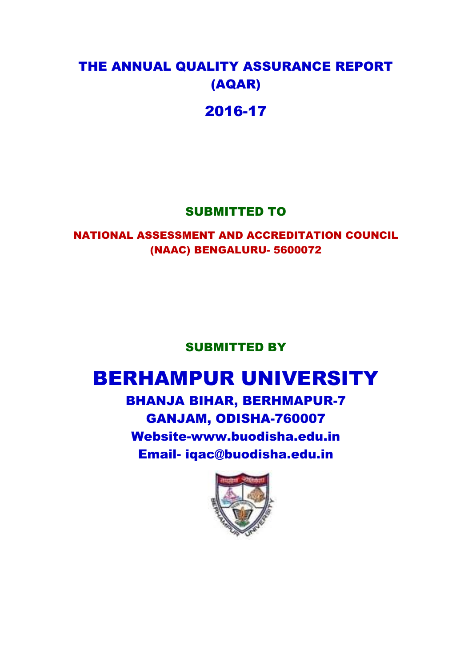# THE ANNUAL QUALITY ASSURANCE REPORT (AQAR) 2016-17

### SUBMITTED TO

### NATIONAL ASSESSMENT AND ACCREDITATION COUNCIL (NAAC) BENGALURU- 5600072

### SUBMITTED BY

# BERHAMPUR UNIVERSITY

BHANJA BIHAR, BERHMAPUR-7 GANJAM, ODISHA-760007 Website-www.buodisha.edu.in Email- iqac@buodisha.edu.in

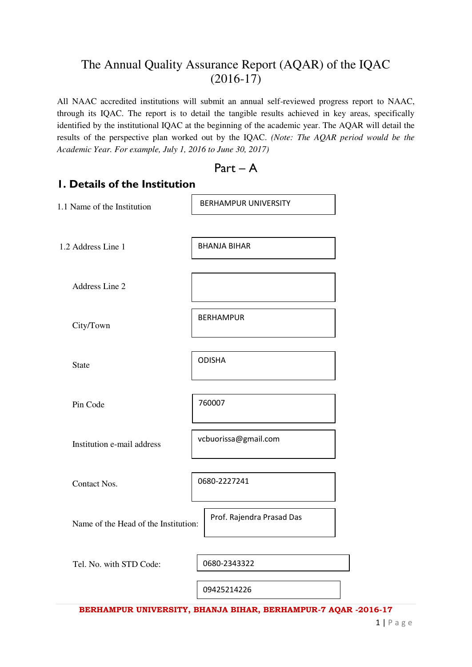### The Annual Quality Assurance Report (AQAR) of the IQAC (2016-17)

All NAAC accredited institutions will submit an annual self-reviewed progress report to NAAC, through its IQAC. The report is to detail the tangible results achieved in key areas, specifically identified by the institutional IQAC at the beginning of the academic year. The AQAR will detail the results of the perspective plan worked out by the IQAC. *(Note: The AQAR period would be the Academic Year. For example, July 1, 2016 to June 30, 2017)* 

```
Part - A
```
### **1. Details of the Institution**

| 1.1 Name of the Institution          | <b>BERHAMPUR UNIVERSITY</b> |  |  |
|--------------------------------------|-----------------------------|--|--|
|                                      |                             |  |  |
| 1.2 Address Line 1                   | <b>BHANJA BIHAR</b>         |  |  |
|                                      |                             |  |  |
| Address Line 2                       |                             |  |  |
| City/Town                            | <b>BERHAMPUR</b>            |  |  |
| <b>State</b>                         | <b>ODISHA</b>               |  |  |
| Pin Code                             | 760007                      |  |  |
| Institution e-mail address           | vcbuorissa@gmail.com        |  |  |
| Contact Nos.                         | 0680-2227241                |  |  |
| Name of the Head of the Institution: | Prof. Rajendra Prasad Das   |  |  |
| Tel. No. with STD Code:              | 0680-2343322                |  |  |
|                                      | 09425214226                 |  |  |

**BERHAMPUR UNIVERSITY, BHANJA BIHAR, BERHAMPUR-7 AQAR -2016-17**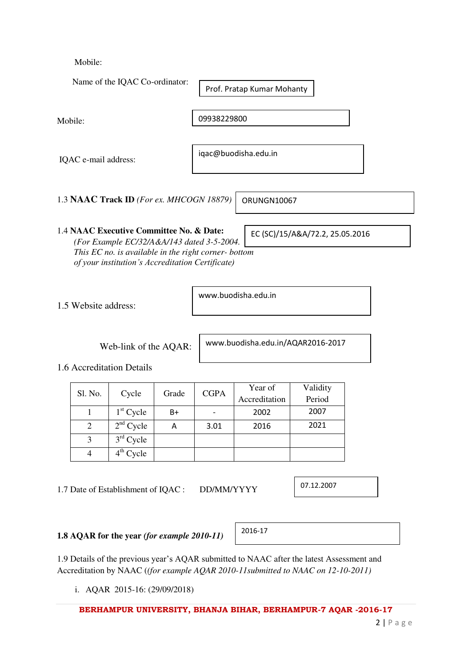Mobile:

|                      | Name of the IQAC Co-ordinator:                                                                                                                                                                     |       |             | Prof. Pratap Kumar Mohanty        |                                 |  |
|----------------------|----------------------------------------------------------------------------------------------------------------------------------------------------------------------------------------------------|-------|-------------|-----------------------------------|---------------------------------|--|
| Mobile:              |                                                                                                                                                                                                    |       | 09938229800 |                                   |                                 |  |
| IQAC e-mail address: |                                                                                                                                                                                                    |       |             | iqac@buodisha.edu.in              |                                 |  |
|                      | 1.3 NAAC Track ID (For ex. MHCOGN 18879)                                                                                                                                                           |       |             | ORUNGN10067                       |                                 |  |
|                      | 1.4 NAAC Executive Committee No. & Date:<br>(For Example EC/32/A&A/143 dated 3-5-2004.<br>This EC no. is available in the right corner- bottom<br>of your institution's Accreditation Certificate) |       |             |                                   | EC (SC)/15/A&A/72.2, 25.05.2016 |  |
| 1.5 Website address: |                                                                                                                                                                                                    |       |             | www.buodisha.edu.in               |                                 |  |
|                      | Web-link of the AQAR:<br>1.6 Accreditation Details                                                                                                                                                 |       |             | www.buodisha.edu.in/AQAR2016-2017 |                                 |  |
| Sl. No.              | Cycle                                                                                                                                                                                              | Grade | <b>CGPA</b> | Year of<br><i>Acorditation</i>    | Validity<br>$D^{mid}$           |  |

| Sl. No. | Cycle       | Grade | <b>CGPA</b> | T AMI AI      | $, \, \ldots$ |
|---------|-------------|-------|-------------|---------------|---------------|
|         |             |       |             | Accreditation | Period        |
|         | $1st$ Cycle | B+    |             | 2002          | 2007          |
| 2       | $2nd$ Cycle | Α     | 3.01        | 2016          | 2021          |
| 3       | $3rd$ Cycle |       |             |               |               |
|         | $4th$ Cycle |       |             |               |               |

1.7 Date of Establishment of IQAC : DD/MM/YYYY

07.12.2007

### **1.8 AQAR for the year** *(for example 2010-11)*

2016-17

1.9 Details of the previous year"s AQAR submitted to NAAC after the latest Assessment and Accreditation by NAAC (*(for example AQAR 2010-11submitted to NAAC on 12-10-2011)*

i. AQAR 2015-16: (29/09/2018)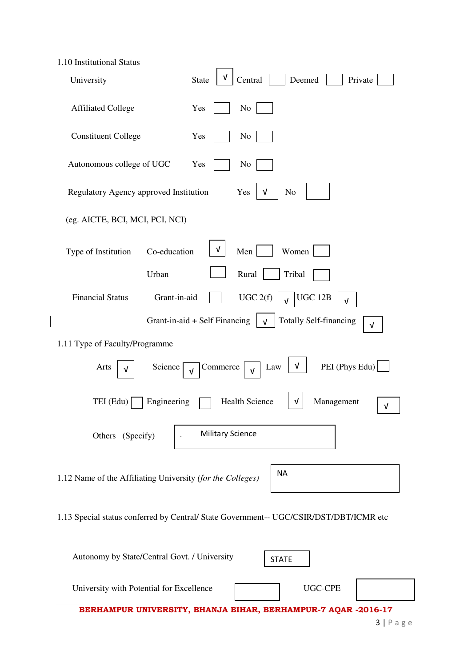| 1.10 Institutional Status                                                                         |
|---------------------------------------------------------------------------------------------------|
| V<br><b>State</b><br>Central<br>Deemed<br>Private<br>University                                   |
| No<br><b>Affiliated College</b><br>Yes                                                            |
| <b>Constituent College</b><br>Yes<br>N <sub>0</sub>                                               |
| Autonomous college of UGC<br>Yes<br>No                                                            |
| Regulatory Agency approved Institution<br>Yes<br>N <sub>o</sub><br>$\sqrt{ }$                     |
| (eg. AICTE, BCI, MCI, PCI, NCI)                                                                   |
| V<br>Women<br>Co-education<br>Men<br>Type of Institution                                          |
| Rural<br>Urban<br>Tribal                                                                          |
| <b>Financial Status</b><br>UGC 2(f)<br>Grant-in-aid<br><b>UGC 12B</b><br>$\sqrt{ }$<br>$\sqrt{ }$ |
| Grant-in-aid + Self Financing<br><b>Totally Self-financing</b><br>$\sqrt{ }$<br>V                 |
| 1.11 Type of Faculty/Programme                                                                    |
| PEI (Phys Edu)<br>V<br>Arts<br>Commerce<br>Science<br>Law<br>V<br>V                               |
| <b>Health Science</b><br>TEI (Edu)<br>Engineering<br>Management<br>V<br>V                         |
| <b>Military Science</b><br>Others (Specify)                                                       |
| <b>NA</b><br>1.12 Name of the Affiliating University (for the Colleges)                           |
| 1.13 Special status conferred by Central/ State Government-- UGC/CSIR/DST/DBT/ICMR etc            |

| Autonomy by State/Central Govt. / University                  | <b>STATE</b> |
|---------------------------------------------------------------|--------------|
| University with Potential for Excellence                      | UGC-CPE      |
| BERHAMPUR UNIVERSITY, BHANJA BIHAR, BERHAMPUR-7 AQAR -2016-17 | - - -        |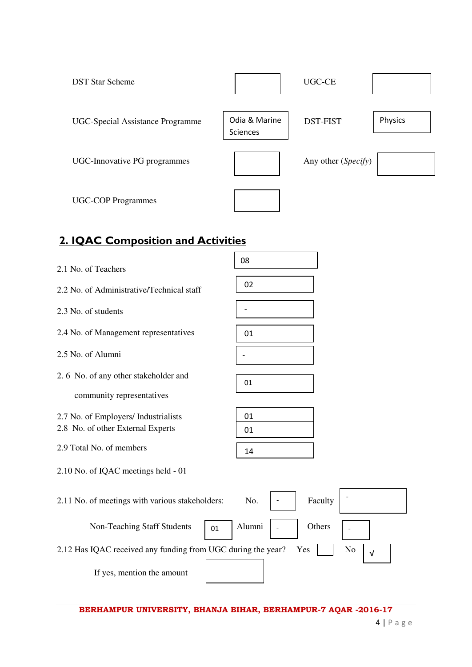| <b>DST Star Scheme</b>           |                           | UGC-CE              |         |
|----------------------------------|---------------------------|---------------------|---------|
| UGC-Special Assistance Programme | Odia & Marine<br>Sciences | <b>DST-FIST</b>     | Physics |
| UGC-Innovative PG programmes     |                           | Any other (Specify) |         |
| <b>UGC-COP Programmes</b>        |                           |                     |         |

### **2. IQAC Composition and Activities**

| 2.1 No. of Teachers                                          | 08                                  |
|--------------------------------------------------------------|-------------------------------------|
| 2.2 No. of Administrative/Technical staff                    | 02                                  |
| 2.3 No. of students                                          |                                     |
| 2.4 No. of Management representatives                        | 01                                  |
| 2.5 No. of Alumni                                            |                                     |
| 2.6 No. of any other stakeholder and                         | 01                                  |
| community representatives                                    |                                     |
| 2.7 No. of Employers/ Industrialists                         | 01                                  |
| 2.8 No. of other External Experts                            | 01                                  |
| 2.9 Total No. of members                                     | 14                                  |
| 2.10 No. of IQAC meetings held - 01                          |                                     |
| 2.11 No. of meetings with various stakeholders:              | Faculty<br>No.                      |
| Non-Teaching Staff Students<br>01                            | Alumni<br>Others                    |
| 2.12 Has IQAC received any funding from UGC during the year? | Yes<br>N <sub>o</sub><br>$\sqrt{ }$ |
| If yes, mention the amount                                   |                                     |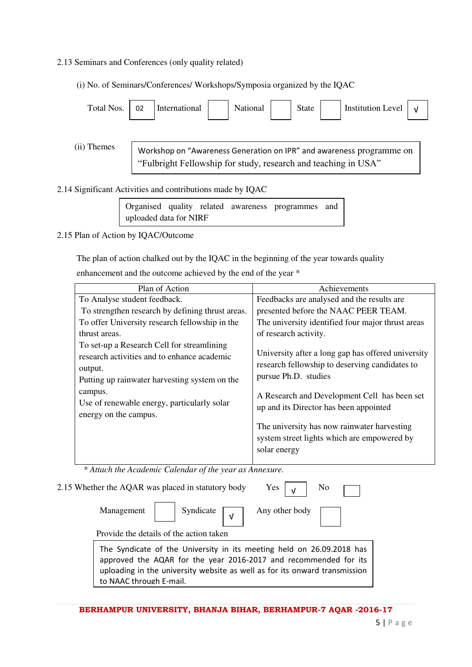#### 2.13 Seminars and Conferences (only quality related)

(i) No. of Seminars/Conferences/ Workshops/Symposia organized by the IQAC



#### 2.15 Plan of Action by IQAC/Outcome

The plan of action chalked out by the IQAC in the beginning of the year towards quality

| enhancement and the outcome achieved by the end of the year * |  |  |
|---------------------------------------------------------------|--|--|
|---------------------------------------------------------------|--|--|

| Plan of Action                                                                                                                                        | Achievements                                                                                                                 |
|-------------------------------------------------------------------------------------------------------------------------------------------------------|------------------------------------------------------------------------------------------------------------------------------|
| To Analyse student feedback.                                                                                                                          | Feedbacks are analysed and the results are                                                                                   |
| To strengthen research by defining thrust areas.                                                                                                      | presented before the NAAC PEER TEAM.                                                                                         |
| To offer University research fellowship in the                                                                                                        | The university identified four major thrust areas                                                                            |
| thrust areas.                                                                                                                                         | of research activity.                                                                                                        |
| To set-up a Research Cell for streamlining<br>research activities and to enhance academic<br>output.<br>Putting up rainwater harvesting system on the | University after a long gap has offered university<br>research fellowship to deserving candidates to<br>pursue Ph.D. studies |
| campus.<br>Use of renewable energy, particularly solar<br>energy on the campus.                                                                       | A Research and Development Cell has been set<br>up and its Director has been appointed                                       |
|                                                                                                                                                       | The university has now rainwater harvesting<br>system street lights which are empowered by<br>solar energy                   |

 *\* Attach the Academic Calendar of the year as Annexure.*

| 2.15 Whether the AQAR was placed in statutory body                                                                                                                                                                                                 | Yes<br>No      |
|----------------------------------------------------------------------------------------------------------------------------------------------------------------------------------------------------------------------------------------------------|----------------|
| Syndicate $\Box$<br>Management                                                                                                                                                                                                                     | Any other body |
| Provide the details of the action taken                                                                                                                                                                                                            |                |
| The Syndicate of the University in its meeting held on 26.09.2018 has<br>approved the AQAR for the year 2016-2017 and recommended for its<br>uploading in the university website as well as for its onward transmission<br>to NAAC through E-mail. |                |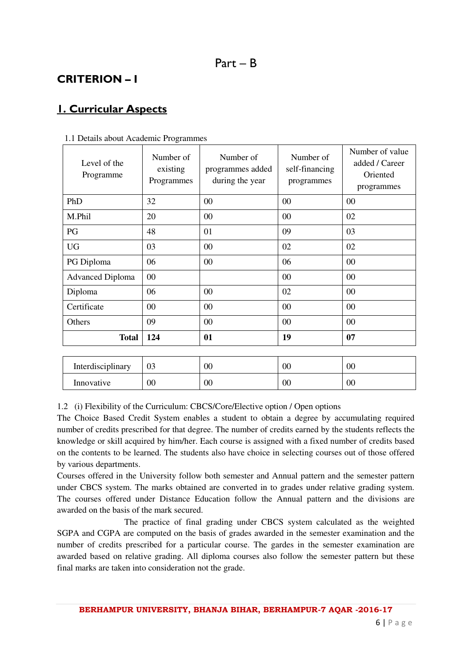### **CRITERION – I**

### **1. Curricular Aspects**

| Level of the<br>Programme | Number of<br>existing<br>Programmes | Number of<br>programmes added<br>during the year | Number of<br>self-financing<br>programmes | Number of value<br>added / Career<br>Oriented<br>programmes |
|---------------------------|-------------------------------------|--------------------------------------------------|-------------------------------------------|-------------------------------------------------------------|
| PhD                       | 32                                  | $00\,$                                           | 00                                        | 00                                                          |
| M.Phil                    | 20                                  | 00                                               | 00                                        | 02                                                          |
| PG                        | 48                                  | 01                                               | 09                                        | 03                                                          |
| <b>UG</b>                 | 03                                  | $00\,$                                           | 02                                        | 02                                                          |
| PG Diploma                | 06                                  | $00\,$                                           | 06                                        | 00                                                          |
| <b>Advanced Diploma</b>   | 00                                  |                                                  | 00                                        | 00                                                          |
| Diploma                   | 06                                  | 00                                               | 02                                        | 00                                                          |
| Certificate               | $00\,$                              | $00\,$                                           | 00                                        | $00\,$                                                      |
| Others                    | 09                                  | 00                                               | 00                                        | 00                                                          |
| <b>Total</b>              | 124                                 | 01                                               | 19                                        | 07                                                          |
|                           |                                     |                                                  |                                           |                                                             |
| Interdisciplinary         | 03                                  | $00\,$                                           | 00                                        | 00                                                          |
| Innovative                | 00                                  | $00\,$                                           | 00                                        | 00                                                          |

#### 1.1 Details about Academic Programmes

1.2 (i) Flexibility of the Curriculum: CBCS/Core/Elective option / Open options

The Choice Based Credit System enables a student to obtain a degree by accumulating required number of credits prescribed for that degree. The number of credits earned by the students reflects the knowledge or skill acquired by him/her. Each course is assigned with a fixed number of credits based on the contents to be learned. The students also have choice in selecting courses out of those offered by various departments.

Courses offered in the University follow both semester and Annual pattern and the semester pattern under CBCS system. The marks obtained are converted in to grades under relative grading system. The courses offered under Distance Education follow the Annual pattern and the divisions are awarded on the basis of the mark secured.

 The practice of final grading under CBCS system calculated as the weighted SGPA and CGPA are computed on the basis of grades awarded in the semester examination and the number of credits prescribed for a particular course. The gardes in the semester examination are awarded based on relative grading. All diploma courses also follow the semester pattern but these final marks are taken into consideration not the grade.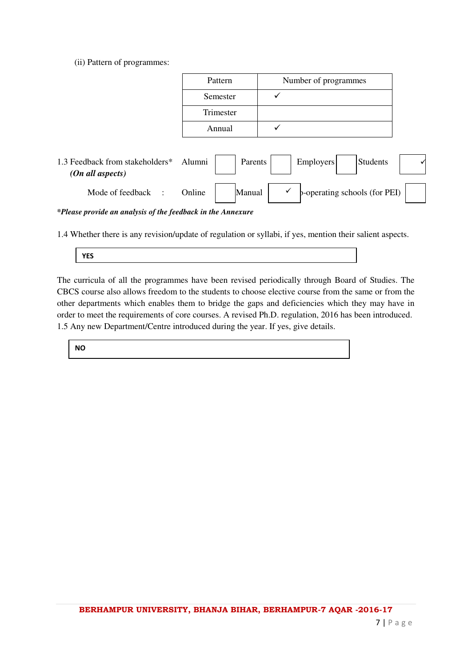(ii) Pattern of programmes:

|                                                     | Pattern           | Number of programmes          |  |
|-----------------------------------------------------|-------------------|-------------------------------|--|
|                                                     | Semester          | ✓                             |  |
|                                                     | Trimester         |                               |  |
|                                                     | Annual            | $\checkmark$                  |  |
|                                                     |                   |                               |  |
| 1.3 Feedback from stakeholders*<br>(On all aspects) | Alumni<br>Parents | Employers<br><b>Students</b>  |  |
| Mode of feedback<br>$\cdot$                         | Manual<br>Online  | b-operating schools (for PEI) |  |
| .<br>$\sim$ $\sim$ $\sim$                           |                   |                               |  |

*\*Please provide an analysis of the feedback in the Annexure* 

1.4 Whether there is any revision/update of regulation or syllabi, if yes, mention their salient aspects.

|--|--|--|

The curricula of all the programmes have been revised periodically through Board of Studies. The CBCS course also allows freedom to the students to choose elective course from the same or from the other departments which enables them to bridge the gaps and deficiencies which they may have in order to meet the requirements of core courses. A revised Ph.D. regulation, 2016 has been introduced. 1.5 Any new Department/Centre introduced during the year. If yes, give details.

| <b>NO</b> |
|-----------|
|-----------|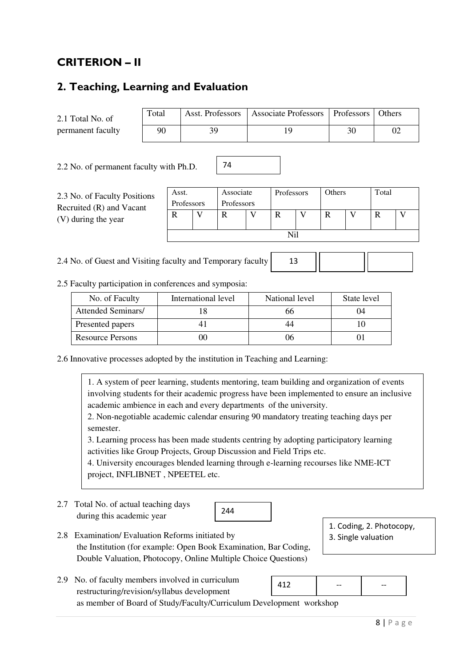### **CRITERION – II**

### **2. Teaching, Learning and Evaluation**

2.1 Total No. of permanent faculty

| Total | Asst. Professors   Associate Professors   Professors   Others |  |
|-------|---------------------------------------------------------------|--|
| 90    |                                                               |  |

2.2 No. of permanent faculty with Ph.D.

2.3 No. of Faculty Positions Recruited (R) and Vacant (V) during the year

| Asst.      |  | Associate  |  | Professors | Others | Total |  |
|------------|--|------------|--|------------|--------|-------|--|
| Professors |  | Professors |  |            |        |       |  |
|            |  |            |  |            |        |       |  |
|            |  |            |  |            |        |       |  |
|            |  |            |  |            |        |       |  |

| 2.4 No. of Guest and Visiting faculty and Temporary faculty |  |  |  |
|-------------------------------------------------------------|--|--|--|
|-------------------------------------------------------------|--|--|--|

74

### 2.5 Faculty participation in conferences and symposia:

| No. of Faculty            | International level | National level | State level |
|---------------------------|---------------------|----------------|-------------|
| <b>Attended Seminars/</b> |                     |                |             |
| Presented papers          |                     |                |             |
| <b>Resource Persons</b>   |                     |                |             |

2.6 Innovative processes adopted by the institution in Teaching and Learning:

1. A system of peer learning, students mentoring, team building and organization of events involving students for their academic progress have been implemented to ensure an inclusive academic ambience in each and every departments of the university.

2. Non-negotiable academic calendar ensuring 90 mandatory treating teaching days per semester.

3. Learning process has been made students centring by adopting participatory learning activities like Group Projects, Group Discussion and Field Trips etc.

4. University encourages blended learning through e-learning recourses like NME-ICT project, INFLIBNET , NPEETEL etc.

2.7 Total No. of actual teaching days during this academic year

2.9 No. of faculty members involved in curriculum

| 244 |  |
|-----|--|
|     |  |

- 2.8 Examination/ Evaluation Reforms initiated by the Institution (for example: Open Book Examination, Bar Coding, Double Valuation, Photocopy, Online Multiple Choice Questions)
- 1. Coding, 2. Photocopy, 3. Single valuation
- --  $412$  --
- restructuring/revision/syllabus development as member of Board of Study/Faculty/Curriculum Development workshop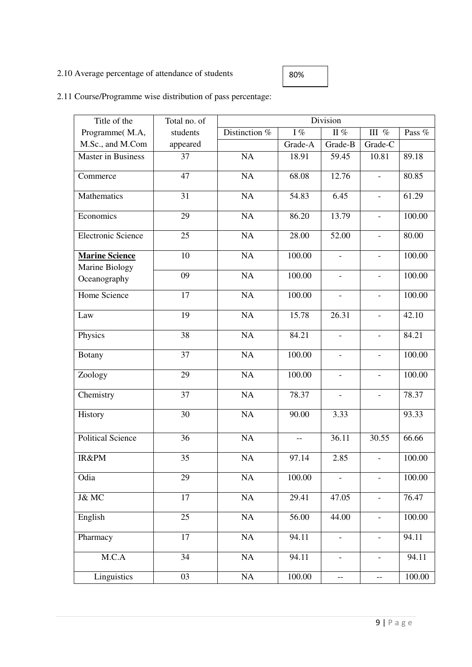### 2.10 Average percentage of attendance of students

### 80%

2.11 Course/Programme wise distribution of pass percentage:

| Title of the                            | Total no. of    |                 |                               | Division                                            |                          |        |
|-----------------------------------------|-----------------|-----------------|-------------------------------|-----------------------------------------------------|--------------------------|--------|
| Programme(M.A,                          | students        | Distinction %   | I %                           | $\scriptstyle\rm II$ $\%$                           | III $%$                  | Pass % |
| M.Sc., and M.Com                        | appeared        |                 | Grade-A                       | Grade-B                                             | Grade-C                  |        |
| <b>Master in Business</b>               | 37              | <b>NA</b>       | 18.91                         | 59.45                                               | 10.81                    | 89.18  |
| Commerce                                | 47              | <b>NA</b>       | 68.08                         | 12.76                                               | $\blacksquare$           | 80.85  |
| Mathematics                             | 31              | NA              | 54.83                         | 6.45                                                | $\overline{\phantom{a}}$ | 61.29  |
| Economics                               | 29              | NA              | 86.20                         | 13.79                                               | $\equiv$                 | 100.00 |
| <b>Electronic Science</b>               | 25              | NA              | 28.00                         | 52.00                                               | $\blacksquare$           | 80.00  |
| <b>Marine Science</b><br>Marine Biology | 10              | NA              | 100.00                        | $\overline{\phantom{a}}$                            | $\overline{\phantom{a}}$ | 100.00 |
| Oceanography                            | 09              | NA              | 100.00                        | $\overline{\phantom{a}}$                            | $\overline{\phantom{a}}$ | 100.00 |
| Home Science                            | 17              | NA              | 100.00                        | $\overline{\phantom{a}}$                            | $\overline{\phantom{a}}$ | 100.00 |
| Law                                     | 19              | NA              | 15.78                         | 26.31                                               | $\overline{\phantom{a}}$ | 42.10  |
| Physics                                 | 38              | NA              | 84.21                         | $\overline{\phantom{a}}$                            | $\overline{\phantom{0}}$ | 84.21  |
| <b>Botany</b>                           | 37              | NA              | 100.00                        |                                                     | $\overline{a}$           | 100.00 |
| Zoology                                 | 29              | <b>NA</b>       | 100.00                        | $\blacksquare$                                      | $\overline{\phantom{0}}$ | 100.00 |
| Chemistry                               | 37              | NA              | 78.37                         | $\overline{\phantom{a}}$                            | $\overline{\phantom{a}}$ | 78.37  |
| History                                 | 30              | NA              | 90.00                         | 3.33                                                |                          | 93.33  |
| <b>Political Science</b>                | 36              | NA              | $\hspace{0.05cm} \textbf{--}$ | 36.11                                               | 30.55                    | 66.66  |
| IR&PM                                   | 35              | <b>NA</b>       | 97.14                         | 2.85                                                | $\overline{\phantom{a}}$ | 100.00 |
| Odia                                    | 29              | NA              | 100.00                        | $\overline{a}$                                      | $\overline{\phantom{0}}$ | 100.00 |
| J& MC                                   | $\overline{17}$ | NA              | 29.41                         | 47.05                                               | $\overline{a}$           | 76.47  |
| English                                 | $\overline{25}$ | $\overline{NA}$ | $\frac{56.00}{56.00}$         | 44.00                                               | $\overline{\phantom{0}}$ | 100.00 |
| Pharmacy                                | 17              | NA              | 94.11                         | $\overline{\phantom{a}}$                            | $\overline{\phantom{0}}$ | 94.11  |
| M.C.A                                   | 34              | NA              | 94.11                         | $\blacksquare$                                      | $\overline{\phantom{a}}$ | 94.11  |
| Linguistics                             | 03              | NA              | 100.00                        | $\hspace{0.05cm} -\hspace{0.05cm} -\hspace{0.05cm}$ | $- -$                    | 100.00 |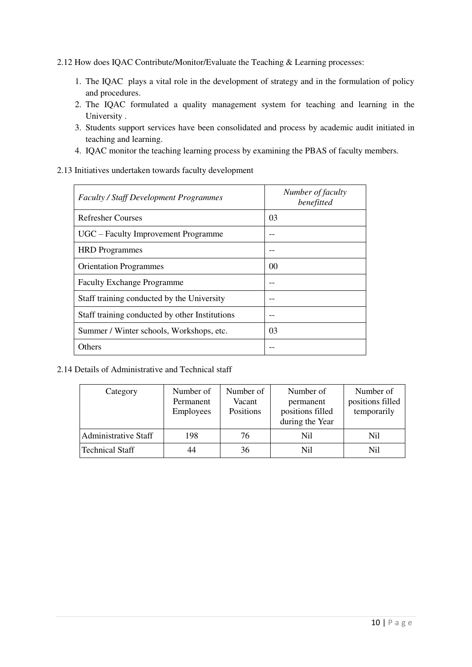- 2.12 How does IQAC Contribute/Monitor/Evaluate the Teaching & Learning processes:
	- 1. The IQAC plays a vital role in the development of strategy and in the formulation of policy and procedures.
	- 2. The IQAC formulated a quality management system for teaching and learning in the University .
	- 3. Students support services have been consolidated and process by academic audit initiated in teaching and learning.
	- 4. IQAC monitor the teaching learning process by examining the PBAS of faculty members.
- 2.13 Initiatives undertaken towards faculty development

| <b>Faculty / Staff Development Programmes</b>  | Number of faculty<br>benefitted |
|------------------------------------------------|---------------------------------|
| <b>Refresher Courses</b>                       | 03                              |
| UGC – Faculty Improvement Programme            |                                 |
| <b>HRD</b> Programmes                          |                                 |
| <b>Orientation Programmes</b>                  | 00                              |
| <b>Faculty Exchange Programme</b>              |                                 |
| Staff training conducted by the University     |                                 |
| Staff training conducted by other Institutions | --                              |
| Summer / Winter schools, Workshops, etc.       | 03                              |
| Others                                         |                                 |

2.14 Details of Administrative and Technical staff

| Category                    | Number of<br>Permanent<br><b>Employees</b> | Number of<br>Vacant<br>Positions | Number of<br>permanent<br>positions filled<br>during the Year | Number of<br>positions filled<br>temporarily |
|-----------------------------|--------------------------------------------|----------------------------------|---------------------------------------------------------------|----------------------------------------------|
| <b>Administrative Staff</b> | 198                                        | 76                               | Nil                                                           | Nil                                          |
| <b>Technical Staff</b>      | 44                                         | 36                               | Nil                                                           | Nil                                          |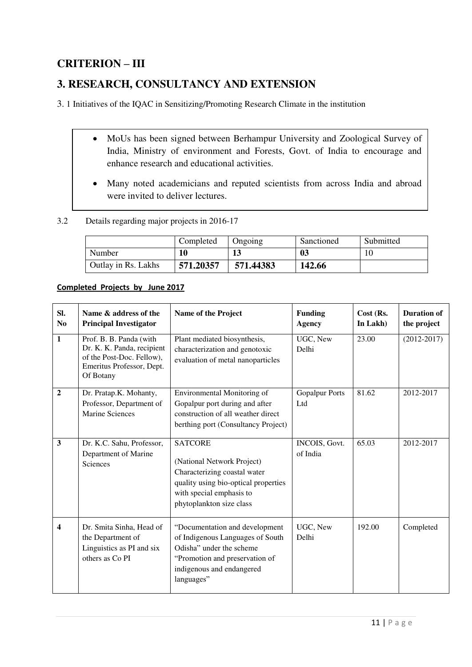### **CRITERION – III**

### **3. RESEARCH, CONSULTANCY AND EXTENSION**

3. 1 Initiatives of the IQAC in Sensitizing/Promoting Research Climate in the institution

- MoUs has been signed between Berhampur University and Zoological Survey of India, Ministry of environment and Forests, Govt. of India to encourage and enhance research and educational activities.
- Many noted academicians and reputed scientists from across India and abroad were invited to deliver lectures.

3.2 Details regarding major projects in 2016-17

|                     | Completed | Ongoing   | Sanctioned | Submitted |
|---------------------|-----------|-----------|------------|-----------|
| Number              | 10        | 13        | 03         | 10        |
| Outlay in Rs. Lakhs | 571.20357 | 571.44383 | 142.66     |           |

### **Completed Projects by June 2017**

| SI.<br>N <sub>o</sub>   | Name & address of the<br><b>Principal Investigator</b>                                                                       | Name of the Project                                                                                                                                                          | <b>Funding</b><br><b>Agency</b> | Cost (Rs.<br>In Lakh) | <b>Duration of</b><br>the project |
|-------------------------|------------------------------------------------------------------------------------------------------------------------------|------------------------------------------------------------------------------------------------------------------------------------------------------------------------------|---------------------------------|-----------------------|-----------------------------------|
| $\mathbf{1}$            | Prof. B. B. Panda (with<br>Dr. K. K. Panda, recipient<br>of the Post-Doc. Fellow),<br>Emeritus Professor, Dept.<br>Of Botany | Plant mediated biosynthesis,<br>characterization and genotoxic<br>evaluation of metal nanoparticles                                                                          | UGC, New<br>Delhi               | 23.00                 | $(2012 - 2017)$                   |
| $\overline{2}$          | Dr. Pratap.K. Mohanty,<br>Professor, Department of<br><b>Marine Sciences</b>                                                 | Environmental Monitoring of<br>Gopalpur port during and after<br>construction of all weather direct<br>berthing port (Consultancy Project)                                   | <b>Gopalpur Ports</b><br>Ltd    | 81.62                 | 2012-2017                         |
| $\mathbf{3}$            | Dr. K.C. Sahu, Professor,<br>Department of Marine<br>Sciences                                                                | <b>SATCORE</b><br>(National Network Project)<br>Characterizing coastal water<br>quality using bio-optical properties<br>with special emphasis to<br>phytoplankton size class | INCOIS, Govt.<br>of India       | 65.03                 | 2012-2017                         |
| $\overline{\mathbf{4}}$ | Dr. Smita Sinha, Head of<br>the Department of<br>Linguistics as PI and six<br>others as Co PI                                | "Documentation and development<br>of Indigenous Languages of South<br>Odisha" under the scheme<br>"Promotion and preservation of<br>indigenous and endangered<br>languages"  | UGC, New<br>Delhi               | 192.00                | Completed                         |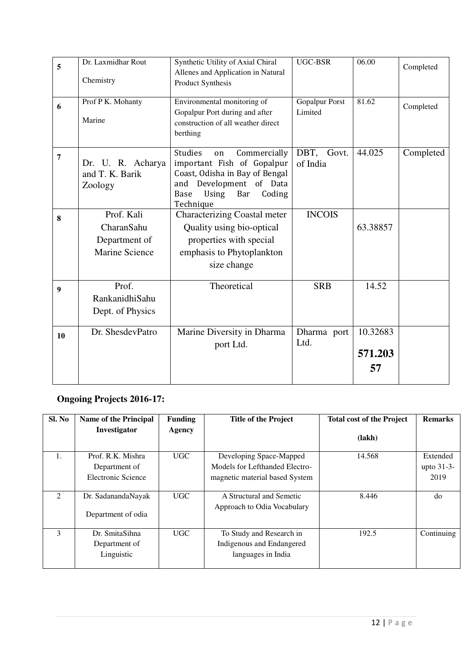| 5  | Dr. Laxmidhar Rout<br>Chemistry                             | Synthetic Utility of Axial Chiral<br>Allenes and Application in Natural<br>Product Synthesis                                                                                   | <b>UGC-BSR</b>                   | 06.00                     | Completed |
|----|-------------------------------------------------------------|--------------------------------------------------------------------------------------------------------------------------------------------------------------------------------|----------------------------------|---------------------------|-----------|
| 6  | Prof P K. Mohanty<br>Marine                                 | Environmental monitoring of<br>Gopalpur Port during and after<br>construction of all weather direct<br>berthing                                                                | <b>Gopalpur Porst</b><br>Limited | 81.62                     | Completed |
| 7  | Dr. U. R. Acharya<br>and T. K. Barik<br>Zoology             | <b>Studies</b><br>Commercially<br>on<br>important Fish of Gopalpur<br>Coast, Odisha in Bay of Bengal<br>and Development of Data<br>Using<br>Bar<br>Coding<br>Base<br>Technique | DBT, Govt.<br>of India           | 44.025                    | Completed |
| 8  | Prof. Kali<br>CharanSahu<br>Department of<br>Marine Science | <b>Characterizing Coastal meter</b><br>Quality using bio-optical<br>properties with special<br>emphasis to Phytoplankton<br>size change                                        | <b>INCOIS</b>                    | 63.38857                  |           |
| 9  | Prof.<br>RankanidhiSahu<br>Dept. of Physics                 | Theoretical                                                                                                                                                                    | <b>SRB</b>                       | 14.52                     |           |
| 10 | Dr. ShesdevPatro                                            | Marine Diversity in Dharma<br>port Ltd.                                                                                                                                        | Dharma port<br>Ltd.              | 10.32683<br>571.203<br>57 |           |

### **Ongoing Projects 2016-17:**

| Sl. No                      | <b>Name of the Principal</b><br>Investigator | <b>Funding</b><br>Agency | <b>Title of the Project</b>    | <b>Total cost of the Project</b> | <b>Remarks</b> |
|-----------------------------|----------------------------------------------|--------------------------|--------------------------------|----------------------------------|----------------|
|                             |                                              |                          |                                | (lakh)                           |                |
| $\mathbf{1}$ .              | Prof. R.K. Mishra                            | <b>UGC</b>               | Developing Space-Mapped        | 14.568                           | Extended       |
|                             | Department of                                |                          | Models for Lefthanded Electro- |                                  | upto 31-3-     |
|                             | Electronic Science                           |                          | magnetic material based System |                                  | 2019           |
| $\mathcal{D}_{\mathcal{L}}$ | Dr. SadanandaNayak                           | <b>UGC</b>               | A Structural and Semetic       | 8.446                            | do             |
|                             | Department of odia                           |                          | Approach to Odia Vocabulary    |                                  |                |
| $\mathbf{3}$                | Dr. SmitaSihna                               | UGC.                     | To Study and Research in       | 192.5                            | Continuing     |
|                             | Department of                                |                          | Indigenous and Endangered      |                                  |                |
|                             | Linguistic                                   |                          | languages in India             |                                  |                |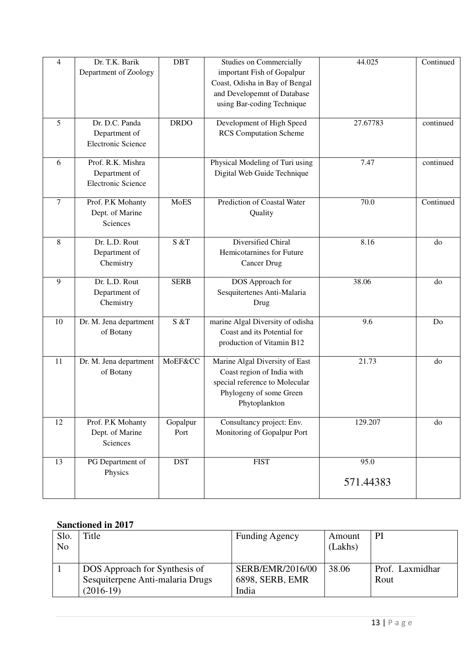| 4      | Dr. T.K. Barik            | <b>DBT</b>  | <b>Studies on Commercially</b>   | 44.025    | Continued |
|--------|---------------------------|-------------|----------------------------------|-----------|-----------|
|        | Department of Zoology     |             | important Fish of Gopalpur       |           |           |
|        |                           |             |                                  |           |           |
|        |                           |             | Coast, Odisha in Bay of Bengal   |           |           |
|        |                           |             | and Developemnt of Database      |           |           |
|        |                           |             | using Bar-coding Technique       |           |           |
| 5      | Dr. D.C. Panda            | <b>DRDO</b> | Development of High Speed        | 27.67783  | continued |
|        | Department of             |             | <b>RCS</b> Computation Scheme    |           |           |
|        | <b>Electronic Science</b> |             |                                  |           |           |
| 6      | Prof. R.K. Mishra         |             | Physical Modeling of Turi using  | 7.47      | continued |
|        | Department of             |             | Digital Web Guide Technique      |           |           |
|        | Electronic Science        |             |                                  |           |           |
| $\tau$ | Prof. P.K Mohanty         | <b>MoES</b> | Prediction of Coastal Water      | 70.0      | Continued |
|        | Dept. of Marine           |             | Quality                          |           |           |
|        | Sciences                  |             |                                  |           |           |
| 8      | Dr. L.D. Rout             | S & T       | Diversified Chiral               | 8.16      | do        |
|        | Department of             |             | Hemicotarnines for Future        |           |           |
|        | Chemistry                 |             | Cancer Drug                      |           |           |
|        |                           |             |                                  |           |           |
| 9      | Dr. L.D. Rout             | <b>SERB</b> | DOS Approach for                 | 38.06     | do        |
|        | Department of             |             | Sesquitertenes Anti-Malaria      |           |           |
|        | Chemistry                 |             | Drug                             |           |           |
| 10     | Dr. M. Jena department    | S & T       | marine Algal Diversity of odisha | 9.6       | Do        |
|        | of Botany                 |             | Coast and its Potential for      |           |           |
|        |                           |             | production of Vitamin B12        |           |           |
| 11     | Dr. M. Jena department    | MoEF&CC     | Marine Algal Diversity of East   | 21.73     | do        |
|        | of Botany                 |             | Coast region of India with       |           |           |
|        |                           |             | special reference to Molecular   |           |           |
|        |                           |             | Phylogeny of some Green          |           |           |
|        |                           |             | Phytoplankton                    |           |           |
| 12     | Prof. P.K Mohanty         | Gopalpur    | Consultancy project: Env.        | 129.207   | do        |
|        | Dept. of Marine           | Port        | Monitoring of Gopalpur Port      |           |           |
|        | Sciences                  |             |                                  |           |           |
| 13     | PG Department of          | <b>DST</b>  | <b>FIST</b>                      | 95.0      |           |
|        | Physics                   |             |                                  |           |           |
|        |                           |             |                                  | 571.44383 |           |
|        |                           |             |                                  |           |           |

### **Sanctioned in 2017**

| Slo.<br>N <sub>o</sub> | Title                                                                            | <b>Funding Agency</b>                        | Amount<br>(Lakhs) | PI                      |
|------------------------|----------------------------------------------------------------------------------|----------------------------------------------|-------------------|-------------------------|
|                        | DOS Approach for Synthesis of<br>Sesquiterpene Anti-malaria Drugs<br>$(2016-19)$ | SERB/EMR/2016/00<br>6898, SERB, EMR<br>India | 38.06             | Prof. Laxmidhar<br>Rout |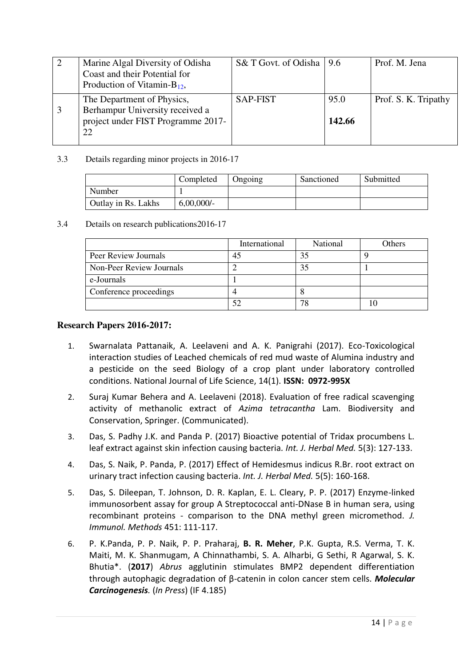| Marine Algal Diversity of Odisha<br>Coast and their Potential for<br>Production of Vitamin- $B_{12}$ ,    | $S&T$ Govt. of Odisha   9.6 |                | Prof. M. Jena        |
|-----------------------------------------------------------------------------------------------------------|-----------------------------|----------------|----------------------|
| The Department of Physics,<br>Berhampur University received a<br>project under FIST Programme 2017-<br>22 | <b>SAP-FIST</b>             | 95.0<br>142.66 | Prof. S. K. Tripathy |

3.3 Details regarding minor projects in 2016-17

|                     | Completed     | <b>Ongoing</b> | Sanctioned | Submitted |
|---------------------|---------------|----------------|------------|-----------|
| Number              |               |                |            |           |
| Outlay in Rs. Lakhs | $6,00,000/$ - |                |            |           |

3.4 Details on research publications2016-17

|                          | International | National | Others |
|--------------------------|---------------|----------|--------|
| Peer Review Journals     | 45            | 35       |        |
| Non-Peer Review Journals |               | 35       |        |
| e-Journals               |               |          |        |
| Conference proceedings   |               |          |        |
|                          |               | 78       |        |

### **Research Papers 2016-2017:**

- 1. Swarnalata Pattanaik, A. Leelaveni and A. K. Panigrahi (2017). Eco-Toxicological interaction studies of Leached chemicals of red mud waste of Alumina industry and a pesticide on the seed Biology of a crop plant under laboratory controlled conditions. National Journal of Life Science, 14(1). **ISSN: 0972-995X**
- 2. Suraj Kumar Behera and A. Leelaveni (2018). Evaluation of free radical scavenging activity of methanolic extract of *Azima tetracantha* Lam. Biodiversity and Conservation, Springer. (Communicated).
- 3. Das, S. Padhy J.K. and Panda P. (2017) Bioactive potential of Tridax procumbens L. leaf extract against skin infection causing bacteria*. Int. J. Herbal Med.* 5(3): 127-133.
- 4. Das, S. Naik, P. Panda, P. (2017) Effect of Hemidesmus indicus R.Br. root extract on urinary tract infection causing bacteria. *Int. J. Herbal Med.* 5(5): 160-168.
- 5. Das, S. Dileepan, T. Johnson, D. R. Kaplan, E. L. Cleary, P. P. (2017) Enzyme-linked immunosorbent assay for group A Streptococcal anti-DNase B in human sera, using recombinant proteins - comparison to the DNA methyl green micromethod. *J. Immunol. Methods* 451: 111-117.
- 6. P. K.Panda, P. P. Naik, P. P. Praharaj, **B. R. Meher**, P.K. Gupta, R.S. Verma, T. K. Maiti, M. K. Shanmugam, A Chinnathambi, S. A. Alharbi, G Sethi, R Agarwal, S. K. Bhutia\*. (**2017**) *Abrus* agglutinin stimulates BMP2 dependent differentiation through autophagic degradation of β-catenin in colon cancer stem cells. *Molecular Carcinogenesis.* (*In Press*) (IF 4.185)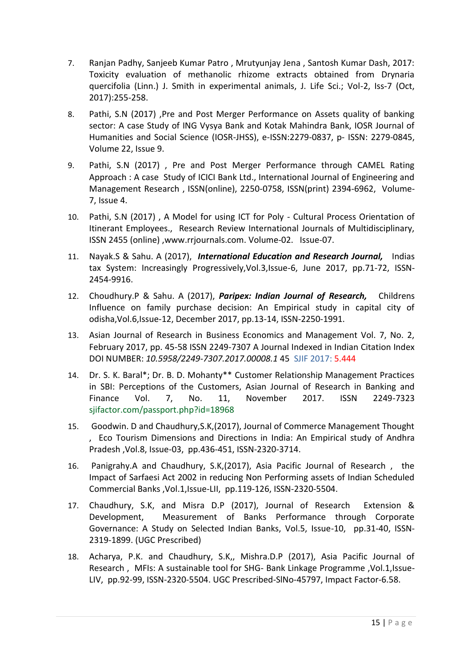- 7. Ranjan Padhy, Sanjeeb Kumar Patro , Mrutyunjay Jena , Santosh Kumar Dash, 2017: Toxicity evaluation of methanolic rhizome extracts obtained from Drynaria quercifolia (Linn.) J. Smith in experimental animals, J. Life Sci.; Vol-2, Iss-7 (Oct, 2017):255-258.
- 8. Pathi, S.N (2017) ,Pre and Post Merger Performance on Assets quality of banking sector: A case Study of ING Vysya Bank and Kotak Mahindra Bank, IOSR Journal of Humanities and Social Science (IOSR-JHSS), e-ISSN:2279-0837, p- ISSN: 2279-0845, Volume 22, Issue 9.
- 9. Pathi, S.N (2017) , Pre and Post Merger Performance through CAMEL Rating Approach : A case Study of ICICI Bank Ltd., International Journal of Engineering and Management Research , ISSN(online), 2250-0758, ISSN(print) 2394-6962, Volume-7, Issue 4.
- 10. Pathi, S.N (2017) , A Model for using ICT for Poly Cultural Process Orientation of Itinerant Employees., Research Review International Journals of Multidisciplinary, ISSN 2455 (online) [,www.rrjournals.com.](http://www.rrjournals.com/) Volume-02. Issue-07.
- 11. Nayak.S & Sahu. A (2017), *International Education and Research Journal,* Indias tax System: Increasingly Progressively,Vol.3,Issue-6, June 2017, pp.71-72, ISSN-2454-9916.
- 12. Choudhury.P & Sahu. A (2017), *Paripex: Indian Journal of Research,* Childrens Influence on family purchase decision: An Empirical study in capital city of odisha,Vol.6,Issue-12, December 2017, pp.13-14, ISSN-2250-1991.
- 13. Asian Journal of Research in Business Economics and Management Vol. 7, No. 2, February 2017, pp. 45-58 ISSN 2249-7307 A Journal Indexed in Indian Citation Index DOI NUMBER: *10.5958/2249-7307.2017.00008.1* 45 SJIF 2017: 5.444
- 14. Dr. S. K. Baral\*; Dr. B. D. Mohanty\*\* Customer Relationship Management Practices in SBI: Perceptions of the Customers, Asian Journal of Research in Banking and Finance Vol. 7, No. 11, November 2017. ISSN 2249-7323 sjifactor.com/passport.php?id=18968
- 15. Goodwin. D and Chaudhury,S.K,(2017), Journal of Commerce Management Thought , Eco Tourism Dimensions and Directions in India: An Empirical study of Andhra Pradesh ,Vol.8, Issue-03, pp.436-451, ISSN-2320-3714.
- 16. Panigrahy.A and Chaudhury, S.K,(2017), Asia Pacific Journal of Research , the Impact of Sarfaesi Act 2002 in reducing Non Performing assets of Indian Scheduled Commercial Banks ,Vol.1,Issue-LII, pp.119-126, ISSN-2320-5504.
- 17. Chaudhury, S.K, and Misra D.P (2017), Journal of Research Extension & Development, Measurement of Banks Performance through Corporate Governance: A Study on Selected Indian Banks, Vol.5, Issue-10, pp.31-40, ISSN-2319-1899. (UGC Prescribed)
- 18. Acharya, P.K. and Chaudhury, S.K,, Mishra.D.P (2017), Asia Pacific Journal of Research, MFIs: A sustainable tool for SHG- Bank Linkage Programme, Vol.1, Issue-LIV, pp.92-99, ISSN-2320-5504. UGC Prescribed-SlNo-45797, Impact Factor-6.58.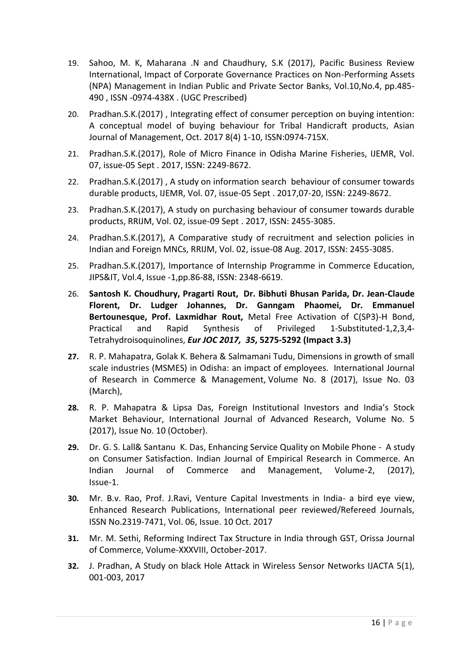- 19. Sahoo, M. K, Maharana .N and Chaudhury, S.K (2017), Pacific Business Review International, Impact of Corporate Governance Practices on Non-Performing Assets (NPA) Management in Indian Public and Private Sector Banks, Vol.10,No.4, pp.485- 490 , ISSN -0974-438X . (UGC Prescribed)
- 20. Pradhan.S.K.(2017) , Integrating effect of consumer perception on buying intention: A conceptual model of buying behaviour for Tribal Handicraft products, Asian Journal of Management, Oct. 2017 8(4) 1-10, ISSN:0974-715X.
- 21. Pradhan.S.K.(2017), Role of Micro Finance in Odisha Marine Fisheries, IJEMR, Vol. 07, issue-05 Sept . 2017, ISSN: 2249-8672.
- 22. Pradhan.S.K.(2017) , A study on information search behaviour of consumer towards durable products, IJEMR, Vol. 07, issue-05 Sept . 2017,07-20, ISSN: 2249-8672.
- 23. Pradhan.S.K.(2017), A study on purchasing behaviour of consumer towards durable products, RRIJM, Vol. 02, issue-09 Sept . 2017, ISSN: 2455-3085.
- 24. Pradhan.S.K.(2017), A Comparative study of recruitment and selection policies in Indian and Foreign MNCs, RRIJM, Vol. 02, issue-08 Aug. 2017, ISSN: 2455-3085.
- 25. Pradhan.S.K.(2017), Importance of Internship Programme in Commerce Education, JIPS&IT, Vol.4, Issue -1,pp.86-88, ISSN: 2348-6619.
- 26. **Santosh K. Choudhury, Pragarti Rout, Dr. Bibhuti Bhusan Parida, Dr. Jean-Claude Florent, Dr. Ludger Johannes, Dr. Ganngam Phaomei, Dr. Emmanuel Bertounesque, Prof. Laxmidhar Rout,** Metal Free Activation of C(SP3)-H Bond, Practical and Rapid Synthesis of Privileged 1-Substituted-1,2,3,4- Tetrahydroisoquinolines, *Eur JOC 2017, 35***, 5275-5292 (Impact 3.3)**
- **27.** R. P. Mahapatra, Golak K. Behera & Salmamani Tudu, Dimensions in growth of small scale industries (MSMES) in Odisha: an impact of employees. International Journal of Research in Commerce & Management, Volume No. 8 (2017), Issue No. 03 (March),
- **28.** R. P. Mahapatra & Lipsa Das, Foreign Institutional Investors and India's Stock Market Behaviour, International Journal of Advanced Research, Volume No. 5 (2017), Issue No. 10 (October).
- **29.** Dr. G. S. Lall& Santanu K. Das, Enhancing Service Quality on Mobile Phone A study on Consumer Satisfaction. Indian Journal of Empirical Research in Commerce. An Indian Journal of Commerce and Management, Volume-2, (2017), Issue-1.
- **30.** Mr. B.v. Rao, Prof. J.Ravi, Venture Capital Investments in India- a bird eye view, Enhanced Research Publications, International peer reviewed/Refereed Journals, ISSN No.2319-7471, Vol. 06, Issue. 10 Oct. 2017
- **31.** Mr. M. Sethi, Reforming Indirect Tax Structure in India through GST, Orissa Journal of Commerce, Volume-XXXVIII, October-2017.
- **32.** J. Pradhan, A Study on black Hole Attack in Wireless Sensor Networks IJACTA 5(1), 001-003, 2017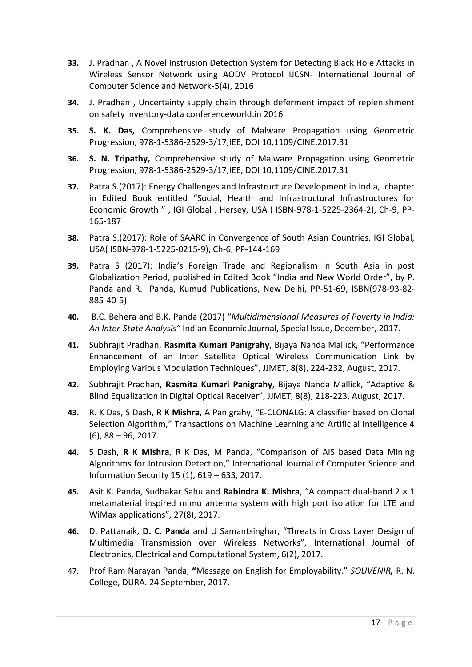- **33.** J. Pradhan , A Novel Instrusion Detection System for Detecting Black Hole Attacks in Wireless Sensor Network using AODV Protocol IJCSN- International Journal of Computer Science and Network-5(4), 2016
- **34.** J. Pradhan , Uncertainty supply chain through deferment impact of replenishment on safety inventory-data conferenceworld.in 2016
- **35. S. K. Das,** Comprehensive study of Malware Propagation using Geometric Progression, 978-1-5386-2529-3/17,IEE, DOI 10,1109/CINE.2017.31
- **36. S. N. Tripathy,** Comprehensive study of Malware Propagation using Geometric Progression, 978-1-5386-2529-3/17,IEE, DOI 10,1109/CINE.2017.31
- **37.** Patra S.(2017): Energy Challenges and Infrastructure Development in India, chapter in Edited Book entitled "Social, Health and Infrastructural Infrastructures for Economic Growth " , IGI Global , Hersey, USA ( ISBN-978-1-5225-2364-2), Ch-9, PP-165-187
- **38.** Patra S.(2017): Role of SAARC in Convergence of South Asian Countries, IGI Global, USA( ISBN-978-1-5225-0215-9), Ch-6, PP-144-169
- **39.** Patra S (2017): India's Foreign Trade and Regionalism in South Asia in post Globalization Period, published in Edited Book "India and New World Order", by P. Panda and R. Panda, Kumud Publications, New Delhi, PP-51-69, ISBN(978-93-82- 885-40-5)
- **40.** B.C. Behera and B.K. Panda (2017) "*Multidimensional Measures of Poverty in India: An Inter-State Analysis"* Indian Economic Journal, Special Issue, December, 2017.
- **41.** Subhrajit Pradhan, **Rasmita Kumari Panigrahy**, Bijaya Nanda Mallick, "Performance Enhancement of an Inter Satellite Optical Wireless Communication Link by Employing Various Modulation Techniques", JJMET, 8(8), 224-232, August, 2017.
- **42.** Subhrajit Pradhan, **Rasmita Kumari Panigrahy**, Bijaya Nanda Mallick, "Adaptive & Blind Equalization in Digital Optical Receiver", JJMET, 8(8), 218-223, August, 2017.
- **43.** R. K Das, S Dash, **R K Mishra**, A Panigrahy, "E-CLONALG: A classifier based on Clonal Selection Algorithm," Transactions on Machine Learning and Artificial Intelligence 4 (6), 88 – 96, 2017.
- **44.** S Dash, **R K Mishra**, R K Das, M Panda, "Comparison of AIS based Data Mining Algorithms for Intrusion Detection," International Journal of Computer Science and Information Security 15 (1), 619 – 633, 2017.
- **45.** Asit K. Panda, Sudhakar Sahu and **Rabindra K. Mishra**, "A compact dual‐band 2 × 1 metamaterial inspired mimo antenna system with high port isolation for LTE and WiMax applications", 27(8), 2017.
- **46.** D. Pattanaik, **D. C. Panda** and U Samantsinghar, "Threats in Cross Layer Design of Multimedia Transmission over Wireless Networks", International Journal of Electronics, Electrical and Computational System, 6(2), 2017.
- 47. Prof Ram Narayan Panda, **"**Message on English for Employability." *SOUVENIR,* R. N. College, DURA. 24 September, 2017.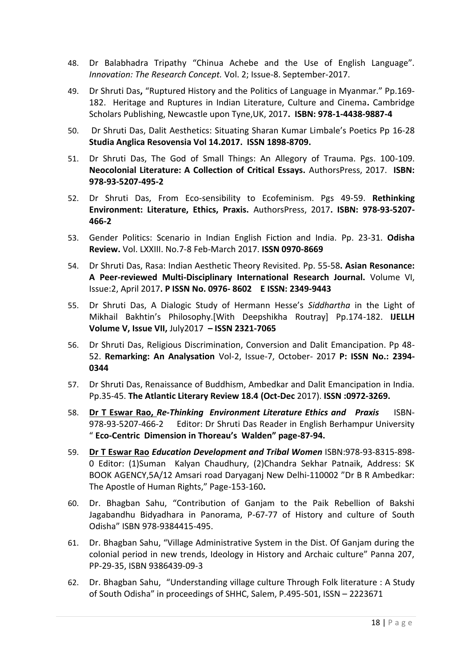- 48. Dr Balabhadra Tripathy "Chinua Achebe and the Use of English Language". *Innovation: The Research Concept.* Vol. 2; Issue-8. September-2017.
- 49. Dr Shruti Das**,** "Ruptured History and the Politics of Language in Myanmar." Pp.169- 182. Heritage and Ruptures in Indian Literature, Culture and Cinema**.** Cambridge Scholars Publishing, Newcastle upon Tyne,UK, 2017**. ISBN: 978-1-4438-9887-4**
- 50. Dr Shruti Das, Dalit Aesthetics: Situating Sharan Kumar Limbale's Poetics Pp 16-28 **Studia Anglica Resovensia Vol 14.2017. ISSN 1898-8709.**
- 51. Dr Shruti Das, The God of Small Things: An Allegory of Trauma. Pgs. 100-109. **Neocolonial Literature: A Collection of Critical Essays.** AuthorsPress, 2017. **ISBN: 978-93-5207-495-2**
- 52. Dr Shruti Das, From Eco-sensibility to Ecofeminism. Pgs 49-59. **Rethinking Environment: Literature, Ethics, Praxis.** AuthorsPress, 2017**. ISBN: 978-93-5207- 466-2**
- 53. Gender Politics: Scenario in Indian English Fiction and India. Pp. 23-31. **Odisha Review.** Vol. LXXIII. No.7-8 Feb-March 2017. **ISSN 0970-8669**
- 54. Dr Shruti Das, Rasa: Indian Aesthetic Theory Revisited. Pp. 55-58**. Asian Resonance: A Peer-reviewed Multi-Disciplinary International Research Journal.** Volume VI, Issue:2, April 2017**. P ISSN No. 0976- 8602 E ISSN: 2349-9443**
- 55. Dr Shruti Das, A Dialogic Study of Hermann Hesse's *Siddhartha* in the Light of Mikhail Bakhtin's Philosophy.[With Deepshikha Routray] Pp.174-182. IJELLH **Volume V, Issue VII,** July2017 **– ISSN 2321-7065**
- 56. Dr Shruti Das, Religious Discrimination, Conversion and Dalit Emancipation. Pp 48- 52. **Remarking: An Analysation** Vol-2, Issue-7, October- 2017 **P: ISSN No.: 2394- 0344**
- 57. Dr Shruti Das, Renaissance of Buddhism, Ambedkar and Dalit Emancipation in India. Pp.35-45. **The Atlantic Literary Review 18.4 (Oct-Dec** 2017). **ISSN :0972-3269.**
- 58. **Dr T Eswar Rao,** *Re-Thinking Environment Literature Ethics and Praxis* ISBN-978-93-5207-466-2 Editor: Dr Shruti Das Reader in English Berhampur University " **Eco-Centric Dimension in Thoreau's Walden" page-87-94.**
- 59. **Dr T Eswar Rao** *Education Development and Tribal Women* ISBN:978-93-8315-898- 0 Editor: (1)Suman Kalyan Chaudhury, (2)Chandra Sekhar Patnaik, Address: SK BOOK AGENCY,5A/12 Amsari road Daryaganj New Delhi-110002 "Dr B R Ambedkar: The Apostle of Human Rights," Page-153-160**.**
- 60. Dr. Bhagban Sahu, "Contribution of Ganjam to the Paik Rebellion of Bakshi Jagabandhu Bidyadhara in Panorama, P-67-77 of History and culture of South Odisha" ISBN 978-9384415-495.
- 61. Dr. Bhagban Sahu, "Village Administrative System in the Dist. Of Ganjam during the colonial period in new trends, Ideology in History and Archaic culture" Panna 207, PP-29-35, ISBN 9386439-09-3
- 62. Dr. Bhagban Sahu, "Understanding village culture Through Folk literature : A Study of South Odisha" in proceedings of SHHC, Salem, P.495-501, ISSN – 2223671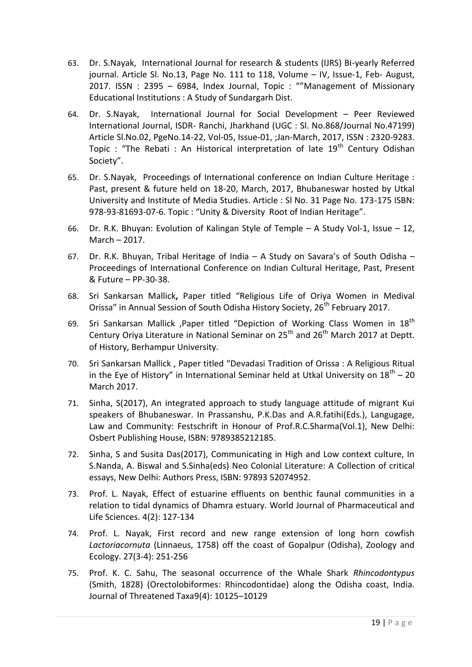- 63. Dr. S.Nayak, International Journal for research & students (IJRS) Bi-yearly Referred journal. Article Sl. No.13, Page No. 111 to 118, Volume – IV, Issue-1, Feb- August, 2017. ISSN : 2395 – 6984, Index Journal, Topic : ""Management of Missionary Educational Institutions : A Study of Sundargarh Dist.
- 64. Dr. S.Nayak, International Journal for Social Development Peer Reviewed International Journal, ISDR- Ranchi, Jharkhand (UGC : Sl. No.868/Journal No.47199) Article Sl.No.02, PgeNo.14-22, Vol-05, Issue-01, ;Jan-March, 2017, ISSN : 2320-9283. Topic : "The Rebati : An Historical interpretation of late  $19<sup>th</sup>$  Century Odishan Society".
- 65. Dr. S.Nayak, Proceedings of International conference on Indian Culture Heritage : Past, present & future held on 18-20, March, 2017, Bhubaneswar hosted by Utkal University and Institute of Media Studies. Article : Sl No. 31 Page No. 173-175 ISBN: 978-93-81693-07-6. Topic : "Unity & Diversity Root of Indian Heritage".
- 66. Dr. R.K. Bhuyan: Evolution of Kalingan Style of Temple A Study Vol-1, Issue 12, March – 2017.
- 67. Dr. R.K. Bhuyan, Tribal Heritage of India A Study on Savara's of South Odisha Proceedings of International Conference on Indian Cultural Heritage, Past, Present & Future – PP-30-38.
- 68. Sri Sankarsan Mallick**,** Paper titled "Religious Life of Oriya Women in Medival Orissa" in Annual Session of South Odisha History Society, 26<sup>th</sup> February 2017.
- 69. Sri Sankarsan Mallick ,Paper titled "Depiction of Working Class Women in  $18<sup>th</sup>$ Century Oriya Literature in National Seminar on  $25^{th}$  and  $26^{th}$  March 2017 at Deptt. of History, Berhampur University.
- 70. Sri Sankarsan Mallick , Paper titled "Devadasi Tradition of Orissa : A Religious Ritual in the Eye of History" in International Seminar held at Utkal University on  $18^{\text{th}} - 20$ March 2017.
- 71. Sinha, S(2017), An integrated approach to study language attitude of migrant Kui speakers of Bhubaneswar. In Prassanshu, P.K.Das and A.R.fatihi(Eds.), Langugage, Law and Community: Festschrift in Honour of Prof.R.C.Sharma(Vol.1), New Delhi: Osbert Publishing House, ISBN: 9789385212185.
- 72. Sinha, S and Susita Das(2017), Communicating in High and Low context culture, In S.Nanda, A. Biswal and S.Sinha(eds) Neo Colonial Literature: A Collection of critical essays, New Delhi: Authors Press, ISBN: 97893 52074952.
- 73. Prof. L. Nayak, Effect of estuarine effluents on benthic faunal communities in a relation to tidal dynamics of Dhamra estuary. World Journal of Pharmaceutical and Life Sciences. 4(2): 127-134
- 74. Prof. L. Nayak, First record and new range extension of long horn cowfish *Lactoriacornuta* (Linnaeus, 1758) off the coast of Gopalpur (Odisha), Zoology and Ecology. 27(3-4): 251-256
- 75. Prof. K. C. Sahu, The seasonal occurrence of the Whale Shark *Rhincodontypus* (Smith, 1828) (Orectolobiformes: Rhincodontidae) along the Odisha coast, India. Journal of Threatened Taxa9(4): 10125–10129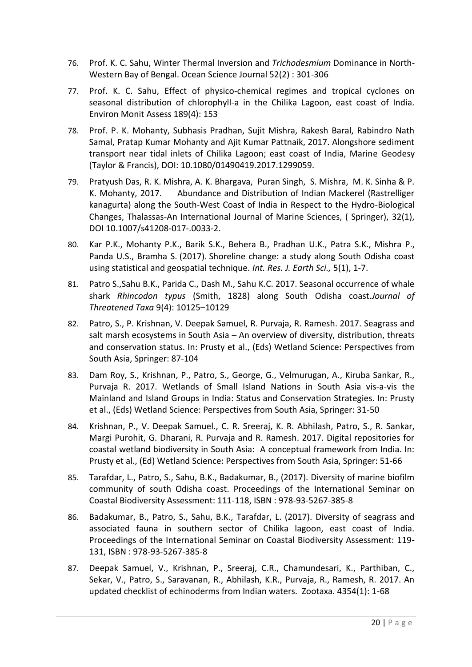- 76. Prof. K. C. Sahu, Winter Thermal Inversion and *Trichodesmium* Dominance in North-Western Bay of Bengal. Ocean Science Journal 52(2) : 301-306
- 77. Prof. K. C. Sahu, Effect of physico-chemical regimes and tropical cyclones on seasonal distribution of chlorophyll-a in the Chilika Lagoon, east coast of India. Environ Monit Assess 189(4): 153
- 78. Prof. P. K. Mohanty, Subhasis Pradhan, Sujit Mishra, Rakesh Baral, Rabindro Nath Samal, Pratap Kumar Mohanty and Ajit Kumar Pattnaik, 2017. Alongshore sediment transport near tidal inlets of Chilika Lagoon; east coast of India, Marine Geodesy (Taylor & Francis), DOI: 10.1080/01490419.2017.1299059.
- 79. Pratyush Das, R. K. Mishra, A. K. Bhargava, Puran Singh, S. Mishra, M. K. Sinha & P. K. Mohanty, 2017. Abundance and Distribution of Indian Mackerel (Rastrelliger kanagurta) along the South-West Coast of India in Respect to the Hydro-Biological Changes, Thalassas-An International Journal of Marine Sciences, ( Springer), 32(1), DOI 10.1007/s41208-017-.0033-2.
- 80. Kar P.K., Mohanty P.K., Barik S.K., Behera B., Pradhan U.K., Patra S.K., Mishra P., Panda U.S., Bramha S. (2017). Shoreline change: a study along South Odisha coast using statistical and geospatial technique. *Int. Res. J. Earth Sci.,* 5(1), 1-7.
- 81. Patro S.,Sahu B.K., Parida C., Dash M., Sahu K.C. 2017. Seasonal occurrence of whale shark *Rhincodon typus* (Smith, 1828) along South Odisha coast.*Journal of Threatened Taxa* 9(4): 10125–10129
- 82. Patro, S., P. Krishnan, V. Deepak Samuel, R. Purvaja, R. Ramesh. 2017. Seagrass and salt marsh ecosystems in South Asia – An overview of diversity, distribution, threats and conservation status. In: Prusty et al., (Eds) Wetland Science: Perspectives from South Asia, Springer: 87-104
- 83. Dam Roy, S., Krishnan, P., Patro, S., George, G., Velmurugan, A., Kiruba Sankar, R., Purvaja R. 2017. Wetlands of Small Island Nations in South Asia vis-a-vis the Mainland and Island Groups in India: Status and Conservation Strategies. In: Prusty et al., (Eds) Wetland Science: Perspectives from South Asia, Springer: 31-50
- 84. Krishnan, P., V. Deepak Samuel., C. R. Sreeraj, K. R. Abhilash, Patro, S., R. Sankar, Margi Purohit, G. Dharani, R. Purvaja and R. Ramesh. 2017. Digital repositories for coastal wetland biodiversity in South Asia: A conceptual framework from India. In: Prusty et al., (Ed) Wetland Science: Perspectives from South Asia, Springer: 51-66
- 85. Tarafdar, L., Patro, S., Sahu, B.K., Badakumar, B., (2017). Diversity of marine biofilm community of south Odisha coast. Proceedings of the International Seminar on Coastal Biodiversity Assessment: 111-118, ISBN : 978-93-5267-385-8
- 86. Badakumar, B., Patro, S., Sahu, B.K., Tarafdar, L. (2017). Diversity of seagrass and associated fauna in southern sector of Chilika lagoon, east coast of India. Proceedings of the International Seminar on Coastal Biodiversity Assessment: 119- 131, ISBN : 978-93-5267-385-8
- 87. Deepak Samuel, V., Krishnan, P., Sreeraj, C.R., Chamundesari, K., Parthiban, C., Sekar, V., Patro, S., Saravanan, R., Abhilash, K.R., Purvaja, R., Ramesh, R. 2017. An updated checklist of echinoderms from Indian waters. Zootaxa. 4354(1): 1-68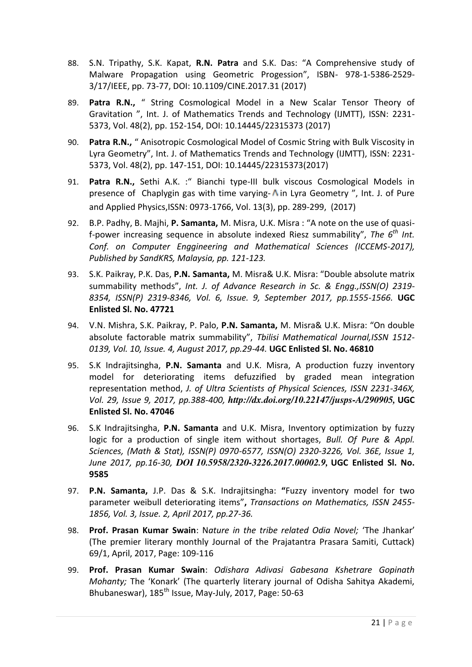- 88. S.N. Tripathy, S.K. Kapat, **R.N. Patra** and S.K. Das: "A Comprehensive study of Malware Propagation using Geometric Progession", ISBN- 978-1-5386-2529- 3/17/IEEE, pp. 73-77, DOI: 10.1109/CINE.2017.31 (2017)
- 89. **Patra R.N.,** " String Cosmological Model in a New Scalar Tensor Theory of Gravitation ", Int. J. of Mathematics Trends and Technology (IJMTT), ISSN: 2231- 5373, Vol. 48(2), pp. 152-154, DOI: 10.14445/22315373 (2017)
- 90. **Patra R.N.,** " Anisotropic Cosmological Model of Cosmic String with Bulk Viscosity in Lyra Geometry", Int. J. of Mathematics Trends and Technology (IJMTT), ISSN: 2231- 5373, Vol. 48(2), pp. 147-151, DOI: 10.14445/22315373(2017)
- 91. **Patra R.N.,** Sethi A.K. :" Bianchi type-III bulk viscous Cosmological Models in presence of Chaplygin gas with time varying- $\Lambda$  in Lyra Geometry ", Int. J. of Pure and Applied Physics,ISSN: 0973-1766, Vol. 13(3), pp. 289-299, (2017)
- 92. B.P. Padhy, B. Majhi, **P. Samanta,** M. Misra, U.K. Misra : "A note on the use of quasif-power increasing sequence in absolute indexed Riesz summability", *The 6th Int. Conf. on Computer Enggineering and Mathematical Sciences (ICCEMS-2017), Published by SandKRS, Malaysia, pp. 121-123.*
- 93. S.K. Paikray, P.K. Das, **P.N. Samanta,** M. Misra& U.K. Misra: "Double absolute matrix summability methods", *Int. J. of Advance Research in Sc. & Engg.,ISSN(O) 2319- 8354, ISSN(P) 2319-8346, Vol. 6, Issue. 9, September 2017, pp.1555-1566.* **UGC Enlisted Sl. No. 47721**
- 94. V.N. Mishra, S.K. Paikray, P. Palo, **P.N. Samanta,** M. Misra& U.K. Misra: "On double absolute factorable matrix summability", *Tbilisi Mathematical Journal,ISSN 1512- 0139, Vol. 10, Issue. 4, August 2017, pp.29-44.* **UGC Enlisted Sl. No. 46810**
- 95. S.K Indrajitsingha, **P.N. Samanta** and U.K. Misra, A production fuzzy inventory model for deteriorating items defuzzified by graded mean integration representation method, *J. of Ultra Scientists of Physical Sciences, ISSN 2231-346X, Vol. 29, Issue 9, 2017, pp.388-400, http://dx.doi.org/10.22147/jusps-A/290905,* **UGC Enlisted Sl. No. 47046**
- 96. S.K Indrajitsingha, **P.N. Samanta** and U.K. Misra, Inventory optimization by fuzzy logic for a production of single item without shortages, *Bull. Of Pure & Appl. Sciences, (Math & Stat), ISSN(P) 0970-6577, ISSN(O) 2320-3226, Vol. 36E, Issue 1, June 2017, pp.16-30, DOI 10.5958/2320-3226.2017.00002.9,* **UGC Enlisted Sl. No. 9585**
- 97. **P.N. Samanta,** J.P. Das & S.K. Indrajitsingha: **"**Fuzzy inventory model for two parameter weibull deteriorating items"**,** *Transactions on Mathematics, ISSN 2455- 1856, Vol. 3, Issue. 2, April 2017, pp.27-36.*
- 98. **Prof. Prasan Kumar Swain**: N*ature in the tribe related Odia Novel;* 'The Jhankar' (The premier literary monthly Journal of the Prajatantra Prasara Samiti, Cuttack) 69/1, April, 2017, Page: 109-116
- 99. **Prof. Prasan Kumar Swain**: *Odishara Adivasi Gabesana Kshetrare Gopinath Mohanty;* The 'Konark' (The quarterly literary journal of Odisha Sahitya Akademi, Bhubaneswar),  $185<sup>th</sup>$  Issue, May-July, 2017, Page: 50-63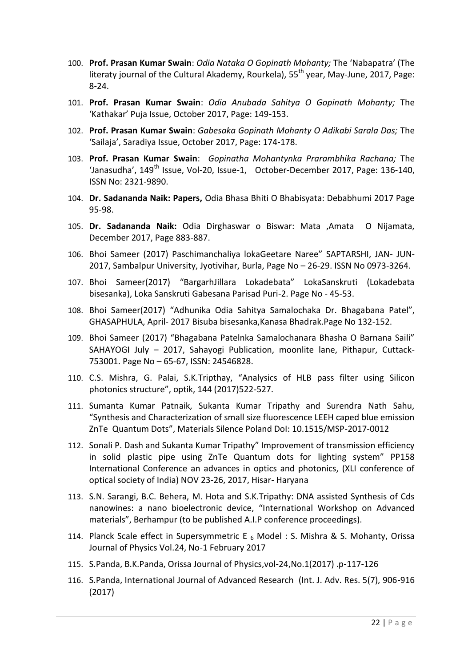- 100. **Prof. Prasan Kumar Swain**: *Odia Nataka O Gopinath Mohanty;* The 'Nabapatra' (The literaty journal of the Cultural Akademy, Rourkela),  $55<sup>th</sup>$  year, May-June, 2017, Page: 8-24.
- 101. **Prof. Prasan Kumar Swain**: *Odia Anubada Sahitya O Gopinath Mohanty;* The 'Kathakar' Puja Issue, October 2017, Page: 149-153.
- 102. **Prof. Prasan Kumar Swain**: *Gabesaka Gopinath Mohanty O Adikabi Sarala Das;* The 'Sailaja', Saradiya Issue, October 2017, Page: 174-178.
- 103. **Prof. Prasan Kumar Swain**: *Gopinatha Mohantynka Prarambhika Rachana;* The 'Janasudha', 149<sup>th</sup> Issue, Vol-20, Issue-1, October-December 2017, Page: 136-140, ISSN No: 2321-9890.
- 104. **Dr. Sadananda Naik: Papers,** Odia Bhasa Bhiti O Bhabisyata: Debabhumi 2017 Page 95-98.
- 105. **Dr. Sadananda Naik:** Odia Dirghaswar o Biswar: Mata ,Amata O Nijamata, December 2017, Page 883-887.
- 106. Bhoi Sameer (2017) Paschimanchaliya lokaGeetare Naree" SAPTARSHI, JAN- JUN-2017, Sambalpur University, Jyotivihar, Burla, Page No – 26-29. ISSN No 0973-3264.
- 107. Bhoi Sameer(2017) "BargarhJillara Lokadebata" LokaSanskruti (Lokadebata bisesanka), Loka Sanskruti Gabesana Parisad Puri-2. Page No - 45-53.
- 108. Bhoi Sameer(2017) "Adhunika Odia Sahitya Samalochaka Dr. Bhagabana Patel", GHASAPHULA, April- 2017 Bisuba bisesanka,Kanasa Bhadrak.Page No 132-152.
- 109. Bhoi Sameer (2017) "Bhagabana Patelnka Samalochanara Bhasha O Barnana Saili" SAHAYOGI July – 2017, Sahayogi Publication, moonlite lane, Pithapur, Cuttack-753001. Page No – 65-67, ISSN: 24546828.
- 110. C.S. Mishra, G. Palai, S.K.Tripthay, "Analysics of HLB pass filter using Silicon photonics structure", optik, 144 (2017)522-527.
- 111. Sumanta Kumar Patnaik, Sukanta Kumar Tripathy and Surendra Nath Sahu, "Synthesis and Characterization of small size fluorescence LEEH caped blue emission ZnTe Quantum Dots", Materials Silence Poland DoI: 10.1515/MSP-2017-0012
- 112. Sonali P. Dash and Sukanta Kumar Tripathy" Improvement of transmission efficiency in solid plastic pipe using ZnTe Quantum dots for lighting system" PP158 International Conference an advances in optics and photonics, (XLI conference of optical society of India) NOV 23-26, 2017, Hisar- Haryana
- 113. S.N. Sarangi, B.C. Behera, M. Hota and S.K.Tripathy: DNA assisted Synthesis of Cds nanowines: a nano bioelectronic device, "International Workshop on Advanced materials", Berhampur (to be published A.I.P conference proceedings).
- 114. Planck Scale effect in Supersymmetric E  $_6$  Model : S. Mishra & S. Mohanty, Orissa Journal of Physics Vol.24, No-1 February 2017
- 115. S.Panda, B.K.Panda, Orissa Journal of Physics,vol-24,No.1(2017) .p-117-126
- 116. S.Panda, International Journal of Advanced Research (Int. J. Adv. Res. 5(7), 906-916 (2017)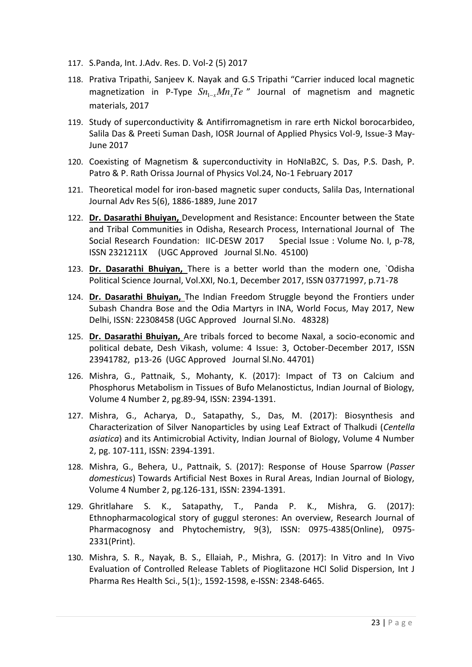- 117. S.Panda, Int. J.Adv. Res. D. Vol-2 (5) 2017
- 118. Prativa Tripathi, Sanjeev K. Nayak and G.S Tripathi "Carrier induced local magnetic magnetization in P-Type  $Sn_{1-x}Mn_xTe$  " Journal of magnetism and magnetic materials, 2017
- 119. Study of superconductivity & Antifirromagnetism in rare erth Nickol borocarbideo, Salila Das & Preeti Suman Dash, IOSR Journal of Applied Physics Vol-9, Issue-3 May-June 2017
- 120. Coexisting of Magnetism & superconductivity in HoNIaB2C, S. Das, P.S. Dash, P. Patro & P. Rath Orissa Journal of Physics Vol.24, No-1 February 2017
- 121. Theoretical model for iron-based magnetic super conducts, Salila Das, International Journal Adv Res 5(6), 1886-1889, June 2017
- 122. **Dr. Dasarathi Bhuiyan,** Development and Resistance: Encounter between the State and Tribal Communities in Odisha, Research Process, International Journal of The Social Research Foundation: IIC-DESW 2017 Special Issue : Volume No. I, p-78, ISSN 2321211X (UGC Approved Journal Sl.No. 45100)
- 123. **Dr. Dasarathi Bhuiyan,** There is a better world than the modern one, `Odisha Political Science Journal, Vol.XXI, No.1, December 2017, ISSN 03771997, p.71-78
- 124. **Dr. Dasarathi Bhuiyan,** The Indian Freedom Struggle beyond the Frontiers under Subash Chandra Bose and the Odia Martyrs in INA, World Focus, May 2017, New Delhi, ISSN: 22308458 (UGC Approved Journal Sl.No. 48328)
- 125. **Dr. Dasarathi Bhuiyan,** Are tribals forced to become Naxal, a socio-economic and political debate, Desh Vikash, volume: 4 Issue: 3, October-December 2017, ISSN 23941782, p13-26 (UGC Approved Journal Sl.No. 44701)
- 126. Mishra, G., Pattnaik, S., Mohanty, K. (2017): Impact of T3 on Calcium and Phosphorus Metabolism in Tissues of Bufo Melanostictus, Indian Journal of Biology, Volume 4 Number 2, pg.89-94, ISSN: 2394-1391.
- 127. Mishra, G., Acharya, D., Satapathy, S., Das, M. (2017): Biosynthesis and Characterization of Silver Nanoparticles by using Leaf Extract of Thalkudi (*Centella asiatica*) and its Antimicrobial Activity, Indian Journal of Biology, Volume 4 Number 2, pg. 107-111, ISSN: 2394-1391.
- 128. Mishra, G., Behera, U., Pattnaik, S. (2017): Response of House Sparrow (*Passer domesticus*) Towards Artificial Nest Boxes in Rural Areas, Indian Journal of Biology, Volume 4 Number 2, pg.126-131, ISSN: 2394-1391.
- 129. Ghritlahare S. K., Satapathy, T., Panda P. K., Mishra, G. (2017): Ethnopharmacological story of guggul sterones: An overview, Research Journal of Pharmacognosy and Phytochemistry, 9(3), ISSN: 0975-4385(Online), 0975- 2331(Print).
- 130. Mishra, S. R., Nayak, B. S., Ellaiah, P., Mishra, G. (2017): In Vitro and In Vivo Evaluation of Controlled Release Tablets of Pioglitazone HCl Solid Dispersion, Int J Pharma Res Health Sci., 5(1):, 1592-1598, e-ISSN: 2348-6465.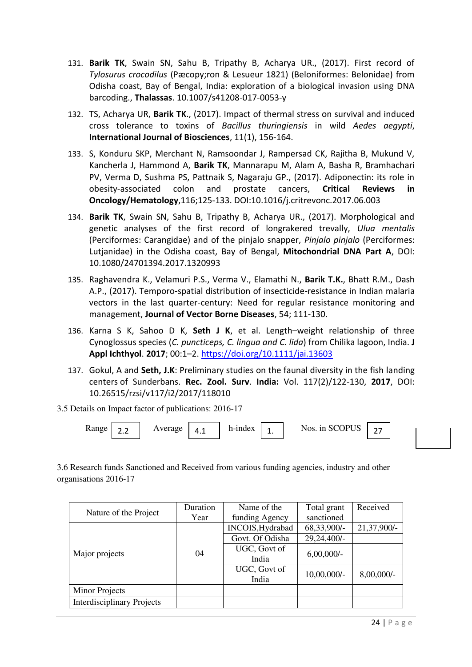- 131. **Barik TK**, Swain SN, Sahu B, Tripathy B, Acharya UR., (2017). First record of *Tylosurus crocodilus* (Pæcopy;ron & Lesueur 1821) (Beloniformes: Belonidae) from Odisha coast, Bay of Bengal, India: exploration of a biological invasion using DNA barcoding., **Thalassas**. 10.1007/s41208-017-0053-y
- 132. TS, Acharya UR, **Barik TK**., (2017). Impact of thermal stress on survival and induced cross tolerance to toxins of *Bacillus thuringiensis* in wild *Aedes aegypti*, **International Journal of Biosciences**, 11(1), 156-164.
- 133. S, Konduru SKP, Merchant N, Ramsoondar J, Rampersad CK, Rajitha B, Mukund V, Kancherla J, Hammond A, **Barik TK**, Mannarapu M, Alam A, Basha R, Bramhachari PV, Verma D, Sushma PS, Pattnaik S, Nagaraju GP., (2017). Adiponectin: its role in obesity-associated colon and prostate cancers, **Critical Reviews in Oncology/Hematology**,116;125-133. DOI:10.1016/j.critrevonc.2017.06.003
- 134. **Barik TK**, Swain SN, Sahu B, Tripathy B, Acharya UR., (2017). Morphological and genetic analyses of the first record of longrakered trevally, *Ulua mentalis* (Perciformes: Carangidae) and of the pinjalo snapper, *Pinjalo pinjalo* (Perciformes: Lutjanidae) in the Odisha coast, Bay of Bengal, **Mitochondrial DNA Part A**, DOI: 10.1080/24701394.2017.1320993
- 135. Raghavendra K., Velamuri P.S., Verma V., Elamathi N., **Barik T.K.**, Bhatt R.M., Dash A.P., (2017). Temporo-spatial distribution of insecticide-resistance in Indian malaria vectors in the last quarter-century: Need for regular resistance monitoring and management, **Journal of Vector Borne Diseases**, 54; 111-130.
- 136. Karna S K, Sahoo D K, **Seth J K**, et al. Length–weight relationship of three Cynoglossus species (*C. puncticeps, C. lingua and C. lida*) from Chilika lagoon, India. **J Appl Ichthyol**. **2017**; 00:1–2. <https://doi.org/10.1111/jai.13603>
- 137. Gokul, A and **Seth, J.K**: Preliminary studies on the faunal diversity in the fish landing centers of Sunderbans. **Rec. Zool. Surv**. **India:** Vol. 117(2)/122-130, **2017**, DOI: 10.26515/rzsi/v117/i2/2017/118010

3.5 Details on Impact factor of publications: 2016-17



3.6 Research funds Sanctioned and Received from various funding agencies, industry and other organisations 2016-17

| Nature of the Project             | Duration | Name of the      | Total grant    | Received    |
|-----------------------------------|----------|------------------|----------------|-------------|
|                                   | Year     | funding Agency   | sanctioned     |             |
|                                   |          | INCOIS, Hydrabad | 68,33,900/-    | 21,37,900/- |
|                                   |          | Govt. Of Odisha  | 29,24,400/-    |             |
| Major projects                    | 04       | UGC, Govt of     | $6,00,000/$ -  |             |
|                                   |          | India            |                |             |
|                                   |          | UGC, Govt of     | $10,00,000/$ - | 8,00,000/-  |
|                                   |          | India            |                |             |
| <b>Minor Projects</b>             |          |                  |                |             |
| <b>Interdisciplinary Projects</b> |          |                  |                |             |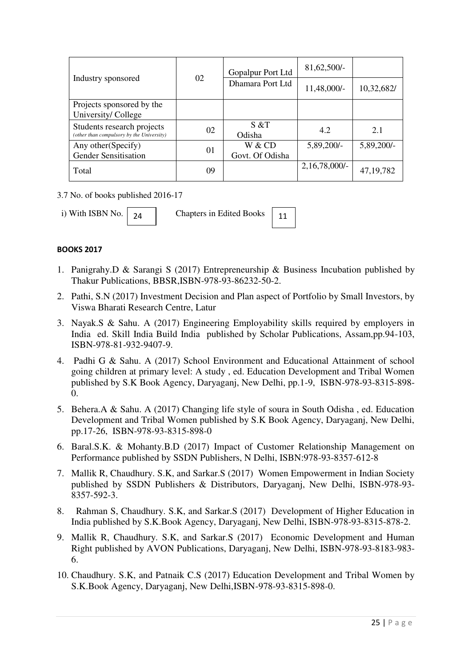| Industry sponsored                        | 02 | Gopalpur Port Ltd | 81,62,500/-      |             |
|-------------------------------------------|----|-------------------|------------------|-------------|
|                                           |    | Dhamara Port Ltd  | 11,48,000/-      | 10,32,682/  |
| Projects sponsored by the                 |    |                   |                  |             |
| University/College                        |    |                   |                  |             |
| Students research projects                | 02 | $S \& T$          | 4.2              | 2.1         |
| (other than compulsory by the University) |    | Odisha            |                  |             |
| Any other (Specify)                       | 01 | W & CD            | 5,89,200/-       | 5,89,200/-  |
| <b>Gender Sensitisation</b>               |    | Govt. Of Odisha   |                  |             |
| Total                                     | 09 |                   | $2,16,78,000/$ - | 47, 19, 782 |

3.7 No. of books published 2016-17

i) With ISBN No.  $\begin{vmatrix} 24 \end{vmatrix}$  Chapters in Edited Books  $\begin{vmatrix} 11 \end{vmatrix}$ 

### **BOOKS 2017**

- 1. Panigrahy.D & Sarangi S (2017) Entrepreneurship & Business Incubation published by Thakur Publications, BBSR,ISBN-978-93-86232-50-2.
- 2. Pathi, S.N (2017) Investment Decision and Plan aspect of Portfolio by Small Investors, by Viswa Bharati Research Centre, Latur
- 3. Nayak.S & Sahu. A (2017) Engineering Employability skills required by employers in India ed. Skill India Build India published by Scholar Publications, Assam,pp.94-103, ISBN-978-81-932-9407-9.
- 4. Padhi G & Sahu. A (2017) School Environment and Educational Attainment of school going children at primary level: A study , ed. Education Development and Tribal Women published by S.K Book Agency, Daryaganj, New Delhi, pp.1-9, ISBN-978-93-8315-898- 0.
- 5. Behera.A & Sahu. A (2017) Changing life style of soura in South Odisha , ed. Education Development and Tribal Women published by S.K Book Agency, Daryaganj, New Delhi, pp.17-26, ISBN-978-93-8315-898-0
- 6. Baral.S.K. & Mohanty.B.D (2017) Impact of Customer Relationship Management on Performance published by SSDN Publishers, N Delhi, ISBN:978-93-8357-612-8
- 7. Mallik R, Chaudhury. S.K, and Sarkar.S (2017) Women Empowerment in Indian Society published by SSDN Publishers & Distributors, Daryaganj, New Delhi, ISBN-978-93- 8357-592-3.
- 8. Rahman S, Chaudhury. S.K, and Sarkar.S (2017) Development of Higher Education in India published by S.K.Book Agency, Daryaganj, New Delhi, ISBN-978-93-8315-878-2.
- 9. Mallik R, Chaudhury. S.K, and Sarkar.S (2017) Economic Development and Human Right published by AVON Publications, Daryaganj, New Delhi, ISBN-978-93-8183-983- 6.
- 10. Chaudhury. S.K, and Patnaik C.S (2017) Education Development and Tribal Women by S.K.Book Agency, Daryaganj, New Delhi,ISBN-978-93-8315-898-0.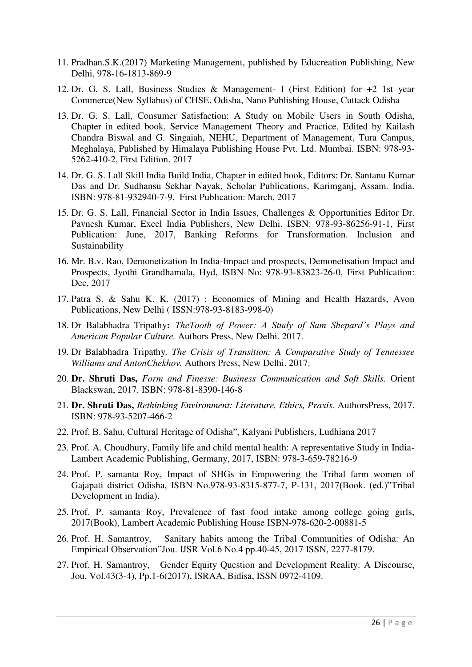- 11. Pradhan.S.K.(2017) Marketing Management, published by Educreation Publishing, New Delhi, 978-16-1813-869-9
- 12. Dr. G. S. Lall, Business Studies & Management- I (First Edition) for +2 1st year Commerce(New Syllabus) of CHSE, Odisha, Nano Publishing House, Cuttack Odisha
- 13. Dr. G. S. Lall, Consumer Satisfaction: A Study on Mobile Users in South Odisha, Chapter in edited book, Service Management Theory and Practice, Edited by Kailash Chandra Biswal and G. Singaiah, NEHU, Department of Management, Tura Campus, Meghalaya, Published by Himalaya Publishing House Pvt. Ltd. Mumbai. ISBN: 978-93- 5262-410-2, First Edition. 2017
- 14. Dr. G. S. Lall Skill India Build India, Chapter in edited book, Editors: Dr. Santanu Kumar Das and Dr. Sudhansu Sekhar Nayak, Scholar Publications, Karimganj, Assam. India. ISBN: 978-81-932940-7-9, First Publication: March, 2017
- 15. Dr. G. S. Lall, Financial Sector in India Issues, Challenges & Opportunities Editor Dr. Pavnesh Kumar, Excel India Publishers, New Delhi. ISBN: 978-93-86256-91-1, First Publication: June, 2017, Banking Reforms for Transformation. Inclusion and Sustainability
- 16. Mr. B.v. Rao, Demonetization In India-Impact and prospects, Demonetisation Impact and Prospects, Jyothi Grandhamala, Hyd, ISBN No: 978-93-83823-26-0, First Publication: Dec, 2017
- 17. Patra S. & Sahu K. K. (2017) : Economics of Mining and Health Hazards, Avon Publications, New Delhi ( ISSN:978-93-8183-998-0)
- 18. Dr Balabhadra Tripathy**:** *TheTooth of Power: A Study of Sam Shepard's Plays and American Popular Culture.* Authors Press, New Delhi. 2017.
- 19. Dr Balabhadra Tripathy*, The Crisis of Transition: A Comparative Study of Tennessee Williams and AntonChekhov.* Authors Press, New Delhi. 2017.
- 20. **Dr. Shruti Das,** *Form and Finesse: Business Communication and Soft Skills.* Orient Blackswan, 2017*.* ISBN: 978-81-8390-146-8
- 21. **Dr. Shruti Das,** *Rethinking Environment: Literature, Ethics, Praxis.* AuthorsPress, 2017. ISBN: 978-93-5207-466-2
- 22. Prof. B. Sahu, Cultural Heritage of Odisha", Kalyani Publishers, Ludhiana 2017
- 23. Prof. A. Choudhury, Family life and child mental health: A representative Study in India-Lambert Academic Publishing, Germany, 2017, ISBN: 978-3-659-78216-9
- 24. Prof. P. samanta Roy, Impact of SHGs in Empowering the Tribal farm women of Gajapati district Odisha, ISBN No.978-93-8315-877-7, P-131, 2017(Book. (ed.)"Tribal Development in India).
- 25. Prof. P. samanta Roy, Prevalence of fast food intake among college going girls, 2017(Book), Lambert Academic Publishing House ISBN-978-620-2-00881-5
- 26. Prof. H. Samantroy, Sanitary habits among the Tribal Communities of Odisha: An Empirical Observation"Jou. IJSR Vol.6 No.4 pp.40-45, 2017 ISSN, 2277-8179.
- 27. Prof. H. Samantroy, Gender Equity Question and Development Reality: A Discourse, Jou. Vol.43(3-4), Pp.1-6(2017), ISRAA, Bidisa, ISSN 0972-4109.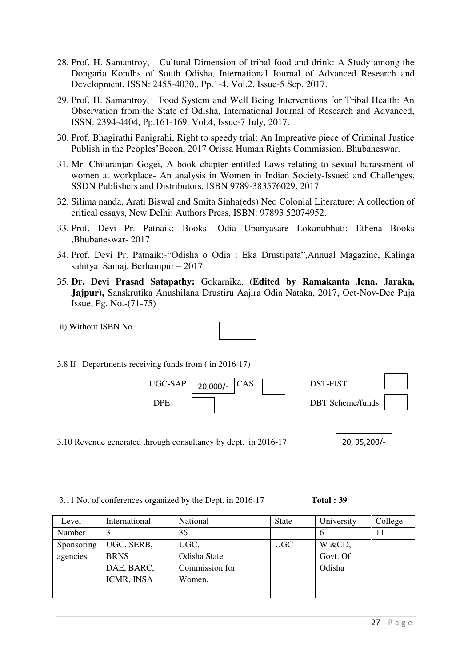- 28. Prof. H. Samantroy, Cultural Dimension of tribal food and drink: A Study among the Dongaria Kondhs of South Odisha, International Journal of Advanced Research and Development, ISSN: 2455-4030,. Pp.1-4, Vol.2, Issue-5 Sep. 2017.
- 29. Prof. H. Samantroy, Food System and Well Being Interventions for Tribal Health: An Observation from the State of Odisha, International Journal of Research and Advanced, ISSN: 2394-4404, Pp.161-169, Vol.4, Issue-7 July, 2017.
- 30. Prof. Bhagirathi Panigrahi, Right to speedy trial: An Impreative piece of Criminal Justice Publish in the Peoples"Becon, 2017 Orissa Human Rights Commission, Bhubaneswar.
- 31. Mr. Chitaranjan Gogei, A book chapter entitled Laws relating to sexual harassment of women at workplace- An analysis in Women in Indian Society-Issued and Challenges, SSDN Publishers and Distributors, ISBN 9789-383576029. 2017
- 32. Silima nanda, Arati Biswal and Smita Sinha(eds) Neo Colonial Literature: A collection of critical essays, New Delhi: Authors Press, ISBN: 97893 52074952.
- 33. Prof. Devi Pr. Patnaik: Books- Odia Upanyasare Lokanubhuti: Ethena Books ,Bhubaneswar- 2017
- 34. Prof. Devi Pr. Patnaik:-"Odisha o Odia : Eka Drustipata",Annual Magazine, Kalinga sahitya Samaj, Berhampur – 2017.
- 35. **Dr. Devi Prasad Satapathy:** Gokarnika, **(Edited by Ramakanta Jena, Jaraka, Jajpur),** Sanskrutika Anushilana Drustiru Aajira Odia Nataka, 2017, Oct-Nov-Dec Puja Issue, Pg. No.-(71-75)
- ii) Without ISBN No.
- 3.8 If Departments receiving funds from ( in 2016-17)



3.10 Revenue generated through consultancy by dept. in 2016-17

|  | 20, 95, 200/- |
|--|---------------|
|--|---------------|

3.11 No. of conferences organized by the Dept. in 2016-17 **Total : 39** 

| Level      | International | National       | <b>State</b> | University | College |
|------------|---------------|----------------|--------------|------------|---------|
| Number     |               | 36             |              | b          |         |
| Sponsoring | UGC, SERB,    | UGC,           | <b>UGC</b>   | W &CD,     |         |
| agencies   | <b>BRNS</b>   | Odisha State   |              | Govt. Of   |         |
|            | DAE, BARC,    | Commission for |              | Odisha     |         |
|            | ICMR, INSA    | Women,         |              |            |         |
|            |               |                |              |            |         |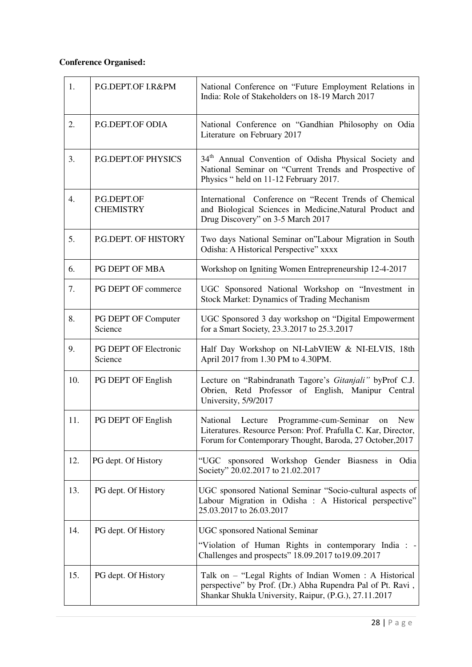### **Conference Organised:**

| 1.  | P.G.DEPT.OF I.R&PM               | National Conference on "Future Employment Relations in<br>India: Role of Stakeholders on 18-19 March 2017                                                                                   |
|-----|----------------------------------|---------------------------------------------------------------------------------------------------------------------------------------------------------------------------------------------|
| 2.  | P.G.DEPT.OF ODIA                 | National Conference on "Gandhian Philosophy on Odia<br>Literature on February 2017                                                                                                          |
| 3.  | <b>P.G.DEPT.OF PHYSICS</b>       | 34 <sup>th</sup> Annual Convention of Odisha Physical Society and<br>National Seminar on "Current Trends and Prospective of<br>Physics "held on 11-12 February 2017.                        |
| 4.  | P.G.DEPT.OF<br><b>CHEMISTRY</b>  | International Conference on "Recent Trends of Chemical<br>and Biological Sciences in Medicine, Natural Product and<br>Drug Discovery" on 3-5 March 2017                                     |
| 5.  | P.G.DEPT. OF HISTORY             | Two days National Seminar on"Labour Migration in South<br>Odisha: A Historical Perspective" xxxx                                                                                            |
| 6.  | PG DEPT OF MBA                   | Workshop on Igniting Women Entrepreneurship 12-4-2017                                                                                                                                       |
| 7.  | PG DEPT OF commerce              | UGC Sponsored National Workshop on "Investment in<br><b>Stock Market: Dynamics of Trading Mechanism</b>                                                                                     |
| 8.  | PG DEPT OF Computer<br>Science   | UGC Sponsored 3 day workshop on "Digital Empowerment<br>for a Smart Society, 23.3.2017 to 25.3.2017                                                                                         |
| 9.  | PG DEPT OF Electronic<br>Science | Half Day Workshop on NI-LabVIEW & NI-ELVIS, 18th<br>April 2017 from 1.30 PM to 4.30PM.                                                                                                      |
| 10. | PG DEPT OF English               | Lecture on "Rabindranath Tagore's Gitanjali" byProf C.J.<br>Obrien, Retd Professor of English, Manipur Central<br>University, 5/9/2017                                                      |
| 11. | PG DEPT OF English               | Programme-cum-Seminar on<br>National<br>Lecture<br><b>New</b><br>Literatures. Resource Person: Prof. Prafulla C. Kar. Director.<br>Forum for Contemporary Thought, Baroda, 27 October, 2017 |
| 12. | PG dept. Of History              | "UGC sponsored Workshop Gender Biasness in Odia<br>Society" 20.02.2017 to 21.02.2017                                                                                                        |
| 13. | PG dept. Of History              | UGC sponsored National Seminar "Socio-cultural aspects of<br>Labour Migration in Odisha : A Historical perspective"<br>25.03.2017 to 26.03.2017                                             |
| 14. | PG dept. Of History              | <b>UGC</b> sponsored National Seminar<br>"Violation of Human Rights in contemporary India : -<br>Challenges and prospects" 18.09.2017 to 19.09.2017                                         |
| 15. | PG dept. Of History              | Talk on - "Legal Rights of Indian Women: A Historical<br>perspective" by Prof. (Dr.) Abha Rupendra Pal of Pt. Ravi,<br>Shankar Shukla University, Raipur, (P.G.), 27.11.2017                |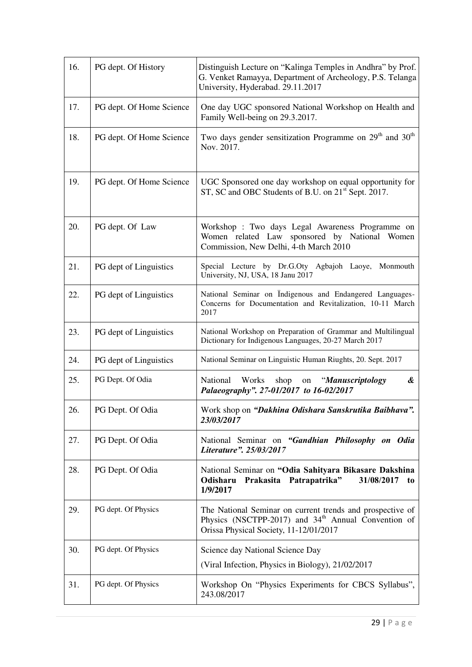| 16. | PG dept. Of History      | Distinguish Lecture on "Kalinga Temples in Andhra" by Prof.<br>G. Venket Ramayya, Department of Archeology, P.S. Telanga<br>University, Hyderabad. 29.11.2017          |
|-----|--------------------------|------------------------------------------------------------------------------------------------------------------------------------------------------------------------|
| 17. | PG dept. Of Home Science | One day UGC sponsored National Workshop on Health and<br>Family Well-being on 29.3.2017.                                                                               |
| 18. | PG dept. Of Home Science | Two days gender sensitization Programme on 29 <sup>th</sup> and 30 <sup>th</sup><br>Nov. 2017.                                                                         |
| 19. | PG dept. Of Home Science | UGC Sponsored one day workshop on equal opportunity for<br>ST, SC and OBC Students of B.U. on 21 <sup>st</sup> Sept. 2017.                                             |
| 20. | PG dept. Of Law          | Workshop: Two days Legal Awareness Programme on<br>Women related Law sponsored by National Women<br>Commission, New Delhi, 4-th March 2010                             |
| 21. | PG dept of Linguistics   | Special Lecture by Dr.G.Oty Agbajoh Laoye, Monmouth<br>University, NJ, USA, 18 Janu 2017                                                                               |
| 22. | PG dept of Linguistics   | National Seminar on Indigenous and Endangered Languages-<br>Concerns for Documentation and Revitalization, 10-11 March<br>2017                                         |
| 23. | PG dept of Linguistics   | National Workshop on Preparation of Grammar and Multilingual<br>Dictionary for Indigenous Languages, 20-27 March 2017                                                  |
| 24. | PG dept of Linguistics   | National Seminar on Linguistic Human Riughts, 20. Sept. 2017                                                                                                           |
| 25. | PG Dept. Of Odia         | National<br>Works shop<br>"Manuscriptology<br>&<br>on<br>Palaeography". 27-01/2017 to 16-02/2017                                                                       |
| 26. | PG Dept. Of Odia         | Work shop on "Dakhina Odishara Sanskrutika Baibhava".<br>23/03/2017                                                                                                    |
| 27. | PG Dept. Of Odia         | National Seminar on "Gandhian Philosophy on Odia<br>Literature". 25/03/2017                                                                                            |
| 28. | PG Dept. Of Odia         | National Seminar on "Odia Sahityara Bikasare Dakshina<br>Odisharu Prakasita Patrapatrika"<br>31/08/2017<br>to<br>1/9/2017                                              |
| 29. | PG dept. Of Physics      | The National Seminar on current trends and prospective of<br>Physics (NSCTPP-2017) and 34 <sup>th</sup> Annual Convention of<br>Orissa Physical Society, 11-12/01/2017 |
| 30. | PG dept. Of Physics      | Science day National Science Day<br>(Viral Infection, Physics in Biology), 21/02/2017                                                                                  |
| 31. | PG dept. Of Physics      | Workshop On "Physics Experiments for CBCS Syllabus",<br>243.08/2017                                                                                                    |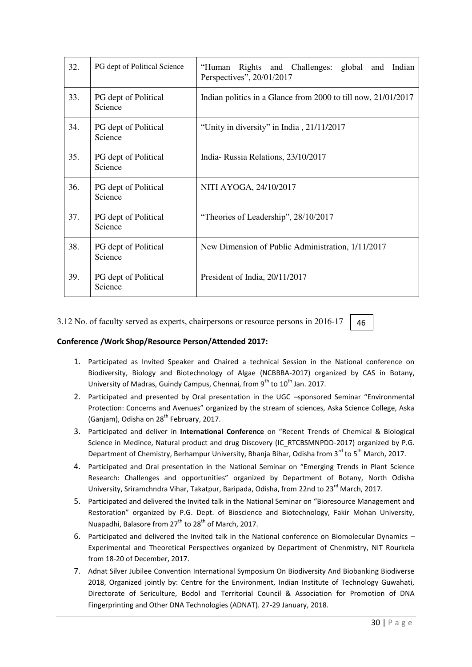| 32. | PG dept of Political Science    | Rights and Challenges: global and Indian<br>"Human<br>Perspectives", 20/01/2017 |
|-----|---------------------------------|---------------------------------------------------------------------------------|
| 33. | PG dept of Political<br>Science | Indian politics in a Glance from 2000 to till now, 21/01/2017                   |
| 34. | PG dept of Political<br>Science | "Unity in diversity" in India, 21/11/2017                                       |
| 35. | PG dept of Political<br>Science | India-Russia Relations, 23/10/2017                                              |
| 36. | PG dept of Political<br>Science | NITI AYOGA, 24/10/2017                                                          |
| 37. | PG dept of Political<br>Science | "Theories of Leadership", 28/10/2017                                            |
| 38. | PG dept of Political<br>Science | New Dimension of Public Administration, 1/11/2017                               |
| 39. | PG dept of Political<br>Science | President of India, 20/11/2017                                                  |

3.12 No. of faculty served as experts, chairpersons or resource persons in 2016-17

46

#### **Conference /Work Shop/Resource Person/Attended 2017:**

- 1. Participated as Invited Speaker and Chaired a technical Session in the National conference on Biodiversity, Biology and Biotechnology of Algae (NCBBBA-2017) organized by CAS in Botany, University of Madras, Guindy Campus, Chennai, from  $9^{th}$  to  $10^{th}$  Jan. 2017.
- 2. Participated and presented by Oral presentation in the UGC –sponsored Seminar "Environmental Protection: Concerns and Avenues" organized by the stream of sciences, Aska Science College, Aska (Ganjam), Odisha on 28<sup>th</sup> February, 2017.
- 3. Participated and deliver in **International Conference** on "Recent Trends of Chemical & Biological Science in Medince, Natural product and drug Discovery (IC\_RTCBSMNPDD-2017) organized by P.G. Department of Chemistry, Berhampur University, Bhanja Bihar, Odisha from 3<sup>rd</sup> to 5<sup>th</sup> March, 2017.
- 4. Participated and Oral presentation in the National Seminar on "Emerging Trends in Plant Science Research: Challenges and opportunities" organized by Department of Botany, North Odisha University, Sriramchndra Vihar, Takatpur, Baripada, Odisha, from 22nd to 23<sup>rd</sup> March, 2017.
- 5. Participated and delivered the Invited talk in the National Seminar on "Bioresource Management and Restoration" organized by P.G. Dept. of Bioscience and Biotechnology, Fakir Mohan University, Nuapadhi, Balasore from 27<sup>th</sup> to 28<sup>th</sup> of March, 2017.
- 6. Participated and delivered the Invited talk in the National conference on Biomolecular Dynamics Experimental and Theoretical Perspectives organized by Department of Chenmistry, NIT Rourkela from 18-20 of December, 2017.
- 7. Adnat Silver Jubilee Convention International Symposium On Biodiversity And Biobanking Biodiverse 2018, Organized jointly by: Centre for the Environment, Indian Institute of Technology Guwahati, Directorate of Sericulture, Bodol and Territorial Council & Association for Promotion of DNA Fingerprinting and Other DNA Technologies (ADNAT). 27-29 January, 2018.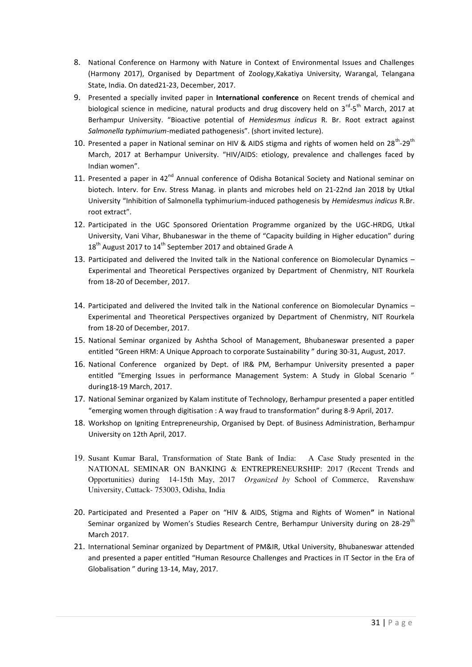- 8. National Conference on Harmony with Nature in Context of Environmental Issues and Challenges (Harmony 2017), Organised by Department of Zoology,Kakatiya University, Warangal, Telangana State, India. On dated21-23, December, 2017.
- 9. Presented a specially invited paper in **International conference** on Recent trends of chemical and biological science in medicine, natural products and drug discovery held on  $3^{rd}$ -5<sup>th</sup> March, 2017 at Berhampur University. "Bioactive potential of *Hemidesmus indicus* R. Br. Root extract against *Salmonella typhimurium*-mediated pathogenesis". (short invited lecture).
- 10. Presented a paper in National seminar on HIV & AIDS stigma and rights of women held on 28<sup>th</sup>-29<sup>th</sup> March, 2017 at Berhampur University. "HIV/AIDS: etiology, prevalence and challenges faced by Indian women".
- 11. Presented a paper in  $42^{nd}$  Annual conference of Odisha Botanical Society and National seminar on biotech. Interv. for Env. Stress Manag. in plants and microbes held on 21-22nd Jan 2018 by Utkal University "Inhibition of Salmonella typhimurium-induced pathogenesis by *Hemidesmus indicus* R.Br. root extract".
- 12. Participated in the UGC Sponsored Orientation Programme organized by the UGC-HRDG, Utkal University, Vani Vihar, Bhubaneswar in the theme of "Capacity building in Higher education" during 18<sup>th</sup> August 2017 to 14<sup>th</sup> September 2017 and obtained Grade A
- 13. Participated and delivered the Invited talk in the National conference on Biomolecular Dynamics Experimental and Theoretical Perspectives organized by Department of Chenmistry, NIT Rourkela from 18-20 of December, 2017.
- 14. Participated and delivered the Invited talk in the National conference on Biomolecular Dynamics Experimental and Theoretical Perspectives organized by Department of Chenmistry, NIT Rourkela from 18-20 of December, 2017.
- 15. National Seminar organized by Ashtha School of Management, Bhubaneswar presented a paper entitled "Green HRM: A Unique Approach to corporate Sustainability " during 30-31, August, 2017.
- 16. National Conference organized by Dept. of IR& PM, Berhampur University presented a paper entitled "Emerging Issues in performance Management System: A Study in Global Scenario " during18-19 March, 2017.
- 17. National Seminar organized by Kalam institute of Technology, Berhampur presented a paper entitled "emerging women through digitisation : A way fraud to transformation" during 8-9 April, 2017.
- 18. Workshop on Igniting Entrepreneurship, Organised by Dept. of Business Administration, Berhampur University on 12th April, 2017.
- 19. Susant Kumar Baral, Transformation of State Bank of India: A Case Study presented in the NATIONAL SEMINAR ON BANKING & ENTREPRENEURSHIP: 2017 (Recent Trends and Opportunities) during 14-15th May, 2017 *Organized by* School of Commerce, Ravenshaw University, Cuttack- 753003, Odisha, India
- 20. Participated and Presented a Paper on "HIV & AIDS, Stigma and Rights of Women**"** in National Seminar organized by Women's Studies Research Centre, Berhampur University during on 28-29<sup>th</sup> March 2017.
- 21. International Seminar organized by Department of PM&IR, Utkal University, Bhubaneswar attended and presented a paper entitled "Human Resource Challenges and Practices in IT Sector in the Era of Globalisation " during 13-14, May, 2017.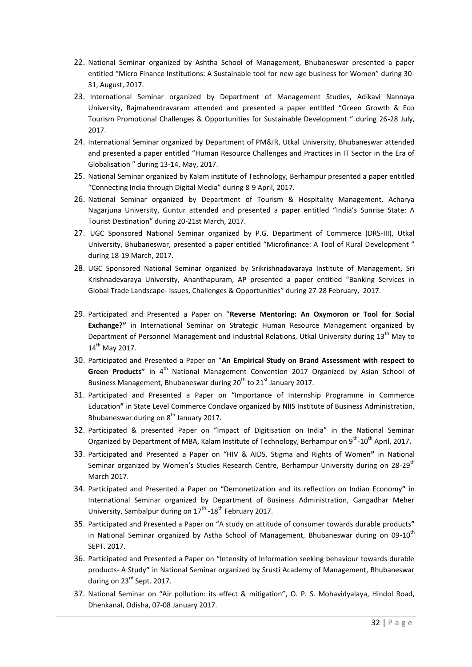- 22. National Seminar organized by Ashtha School of Management, Bhubaneswar presented a paper entitled "Micro Finance Institutions: A Sustainable tool for new age business for Women" during 30- 31, August, 2017.
- 23. International Seminar organized by Department of Management Studies, Adikavi Nannaya University, Rajmahendravaram attended and presented a paper entitled "Green Growth & Eco Tourism Promotional Challenges & Opportunities for Sustainable Development " during 26-28 July, 2017.
- 24. International Seminar organized by Department of PM&IR, Utkal University, Bhubaneswar attended and presented a paper entitled "Human Resource Challenges and Practices in IT Sector in the Era of Globalisation " during 13-14, May, 2017.
- 25. National Seminar organized by Kalam institute of Technology, Berhampur presented a paper entitled "Connecting India through Digital Media" during 8-9 April, 2017.
- 26. National Seminar organized by Department of Tourism & Hospitality Management, Acharya Nagarjuna University, Guntur attended and presented a paper entitled "India's Sunrise State: A Tourist Destination" during 20-21st March, 2017.
- 27. UGC Sponsored National Seminar organized by P.G. Department of Commerce (DRS-III), Utkal University, Bhubaneswar, presented a paper entitled "Microfinance: A Tool of Rural Development " during 18-19 March, 2017.
- 28. UGC Sponsored National Seminar organized by Srikrishnadavaraya Institute of Management, Sri Krishnadevaraya University, Ananthapuram, AP presented a paper entitled "Banking Services in Global Trade Landscape- Issues, Challenges & Opportunities" during 27-28 February, 2017.
- 29. Participated and Presented a Paper on "**Reverse Mentoring: An Oxymoron or Tool for Social Exchange?"** in International Seminar on Strategic Human Resource Management organized by Department of Personnel Management and Industrial Relations, Utkal University during 13<sup>th</sup> May to 14<sup>th</sup> May 2017.
- 30. Participated and Presented a Paper on "**An Empirical Study on Brand Assessment with respect to**  Green Products" in 4<sup>th</sup> National Management Convention 2017 Organized by Asian School of Business Management, Bhubaneswar during 20<sup>th</sup> to 21<sup>st</sup> January 2017.
- 31. Participated and Presented a Paper on "Importance of Internship Programme in Commerce Education**"** in State Level Commerce Conclave organized by NIIS Institute of Business Administration, Bhubaneswar during on  $8<sup>th</sup>$  January 2017.
- 32. Participated & presented Paper on "Impact of Digitisation on India" in the National Seminar Organized by Department of MBA, Kalam Institute of Technology, Berhampur on 9<sup>th</sup>-10<sup>th</sup> April, 2017.
- 33. Participated and Presented a Paper on "HIV & AIDS, Stigma and Rights of Women**"** in National Seminar organized by Women's Studies Research Centre, Berhampur University during on 28-29<sup>th</sup> March 2017.
- 34. Participated and Presented a Paper on "Demonetization and its reflection on Indian Economy**"** in International Seminar organized by Department of Business Administration, Gangadhar Meher University, Sambalpur during on 17<sup>th</sup> -18<sup>th</sup> February 2017.
- 35. Participated and Presented a Paper on "A study on attitude of consumer towards durable products**"**  in National Seminar organized by Astha School of Management, Bhubaneswar during on 09-10<sup>th</sup> SEPT. 2017.
- 36. Participated and Presented a Paper on "Intensity of Information seeking behaviour towards durable products- A Study**"** in National Seminar organized by Srusti Academy of Management, Bhubaneswar during on  $23^{\text{rd}}$  Sept. 2017.
- 37. National Seminar on "Air pollution: its effect & mitigation", O. P. S. Mohavidyalaya, Hindol Road, Dhenkanal, Odisha, 07-08 January 2017.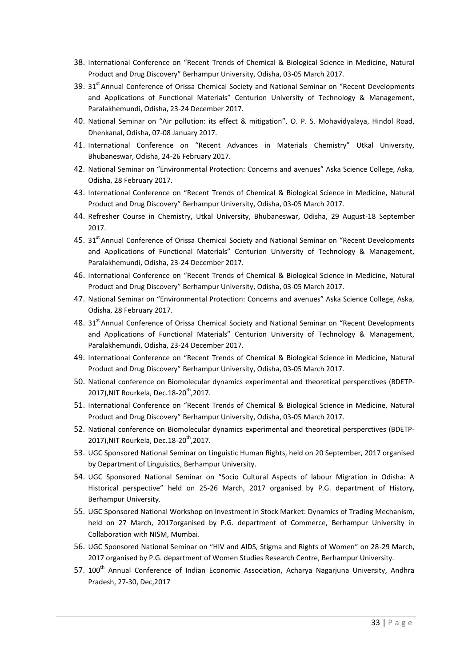- 38. International Conference on "Recent Trends of Chemical & Biological Science in Medicine, Natural Product and Drug Discovery" Berhampur University, Odisha, 03-05 March 2017.
- 39. 31<sup>st</sup> Annual Conference of Orissa Chemical Society and National Seminar on "Recent Developments and Applications of Functional Materials" Centurion University of Technology & Management, Paralakhemundi, Odisha, 23-24 December 2017.
- 40. National Seminar on "Air pollution: its effect & mitigation", O. P. S. Mohavidyalaya, Hindol Road, Dhenkanal, Odisha, 07-08 January 2017.
- 41. International Conference on "Recent Advances in Materials Chemistry" Utkal University, Bhubaneswar, Odisha, 24-26 February 2017.
- 42. National Seminar on "Environmental Protection: Concerns and avenues" Aska Science College, Aska, Odisha, 28 February 2017.
- 43. International Conference on "Recent Trends of Chemical & Biological Science in Medicine, Natural Product and Drug Discovery" Berhampur University, Odisha, 03-05 March 2017.
- 44. Refresher Course in Chemistry, Utkal University, Bhubaneswar, Odisha, 29 August-18 September 2017.
- 45. 31<sup>st</sup> Annual Conference of Orissa Chemical Society and National Seminar on "Recent Developments and Applications of Functional Materials" Centurion University of Technology & Management, Paralakhemundi, Odisha, 23-24 December 2017.
- 46. International Conference on "Recent Trends of Chemical & Biological Science in Medicine, Natural Product and Drug Discovery" Berhampur University, Odisha, 03-05 March 2017.
- 47. National Seminar on "Environmental Protection: Concerns and avenues" Aska Science College, Aska, Odisha, 28 February 2017.
- 48. 31<sup>st</sup> Annual Conference of Orissa Chemical Society and National Seminar on "Recent Developments and Applications of Functional Materials" Centurion University of Technology & Management, Paralakhemundi, Odisha, 23-24 December 2017.
- 49. International Conference on "Recent Trends of Chemical & Biological Science in Medicine, Natural Product and Drug Discovery" Berhampur University, Odisha, 03-05 March 2017.
- 50. National conference on Biomolecular dynamics experimental and theoretical persperctives (BDETP-2017), NIT Rourkela, Dec. 18-20<sup>th</sup>, 2017.
- 51. International Conference on "Recent Trends of Chemical & Biological Science in Medicine, Natural Product and Drug Discovery" Berhampur University, Odisha, 03-05 March 2017.
- 52. National conference on Biomolecular dynamics experimental and theoretical persperctives (BDETP-2017), NIT Rourkela, Dec. 18-20<sup>th</sup>, 2017.
- 53. UGC Sponsored National Seminar on Linguistic Human Rights, held on 20 September, 2017 organised by Department of Linguistics, Berhampur University.
- 54. UGC Sponsored National Seminar on "Socio Cultural Aspects of labour Migration in Odisha: A Historical perspective" held on 25-26 March, 2017 organised by P.G. department of History, Berhampur University.
- 55. UGC Sponsored National Workshop on Investment in Stock Market: Dynamics of Trading Mechanism, held on 27 March, 2017organised by P.G. department of Commerce, Berhampur University in Collaboration with NISM, Mumbai.
- 56. UGC Sponsored National Seminar on "HIV and AIDS, Stigma and Rights of Women" on 28-29 March, 2017 organised by P.G. department of Women Studies Research Centre, Berhampur University.
- 57. 100<sup>th</sup> Annual Conference of Indian Economic Association, Acharya Nagarjuna University, Andhra Pradesh, 27-30, Dec,2017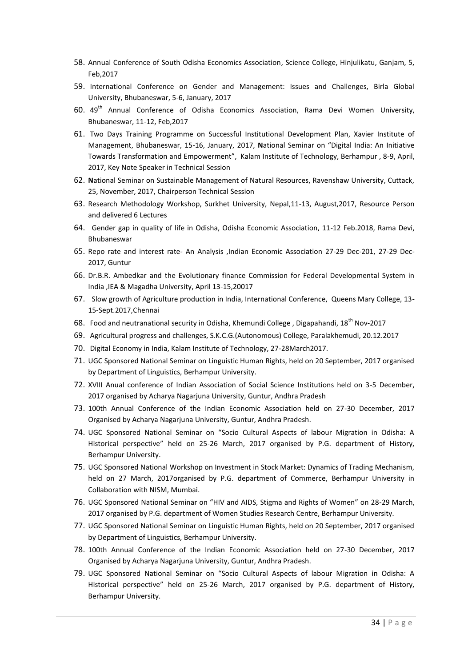- 58. Annual Conference of South Odisha Economics Association, Science College, Hinjulikatu, Ganjam, 5, Feb,2017
- 59. International Conference on Gender and Management: Issues and Challenges, Birla Global University, Bhubaneswar, 5-6, January, 2017
- 60. 49<sup>th</sup> Annual Conference of Odisha Economics Association, Rama Devi Women University, Bhubaneswar, 11-12, Feb,2017
- 61. Two Days Training Programme on Successful Institutional Development Plan, Xavier Institute of Management, Bhubaneswar, 15-16, January, 2017, **N**ational Seminar on "Digital India: An Initiative Towards Transformation and Empowerment", Kalam Institute of Technology, Berhampur , 8-9, April, 2017, Key Note Speaker in Technical Session
- 62. **N**ational Seminar on Sustainable Management of Natural Resources, Ravenshaw University, Cuttack, 25, November, 2017, Chairperson Technical Session
- 63. Research Methodology Workshop, Surkhet University, Nepal,11-13, August,2017, Resource Person and delivered 6 Lectures
- 64. Gender gap in quality of life in Odisha, Odisha Economic Association, 11-12 Feb.2018, Rama Devi, Bhubaneswar
- 65. Repo rate and interest rate- An Analysis ,Indian Economic Association 27-29 Dec-201, 27-29 Dec-2017, Guntur
- 66. Dr.B.R. Ambedkar and the Evolutionary finance Commission for Federal Developmental System in India ,IEA & Magadha University, April 13-15,20017
- 67.Slow growth of Agriculture production in India, International Conference, Queens Mary College, 13- 15-Sept.2017,Chennai
- 68. Food and neutranational security in Odisha, Khemundi College, Digapahandi, 18<sup>th</sup> Nov-2017
- 69. Agricultural progress and challenges, S.K.C.G.(Autonomous) College, Paralakhemudi, 20.12.2017
- 70. Digital Economy in India, Kalam Institute of Technology, 27-28March2017.
- 71. UGC Sponsored National Seminar on Linguistic Human Rights, held on 20 September, 2017 organised by Department of Linguistics, Berhampur University.
- 72. XVIII Anual conference of Indian Association of Social Science Institutions held on 3-5 December, 2017 organised by Acharya Nagarjuna University, Guntur, Andhra Pradesh
- 73. 100th Annual Conference of the Indian Economic Association held on 27-30 December, 2017 Organised by Acharya Nagarjuna University, Guntur, Andhra Pradesh.
- 74. UGC Sponsored National Seminar on "Socio Cultural Aspects of labour Migration in Odisha: A Historical perspective" held on 25-26 March, 2017 organised by P.G. department of History, Berhampur University.
- 75. UGC Sponsored National Workshop on Investment in Stock Market: Dynamics of Trading Mechanism, held on 27 March, 2017organised by P.G. department of Commerce, Berhampur University in Collaboration with NISM, Mumbai.
- 76. UGC Sponsored National Seminar on "HIV and AIDS, Stigma and Rights of Women" on 28-29 March, 2017 organised by P.G. department of Women Studies Research Centre, Berhampur University.
- 77. UGC Sponsored National Seminar on Linguistic Human Rights, held on 20 September, 2017 organised by Department of Linguistics, Berhampur University.
- 78. 100th Annual Conference of the Indian Economic Association held on 27-30 December, 2017 Organised by Acharya Nagarjuna University, Guntur, Andhra Pradesh.
- 79. UGC Sponsored National Seminar on "Socio Cultural Aspects of labour Migration in Odisha: A Historical perspective" held on 25-26 March, 2017 organised by P.G. department of History, Berhampur University.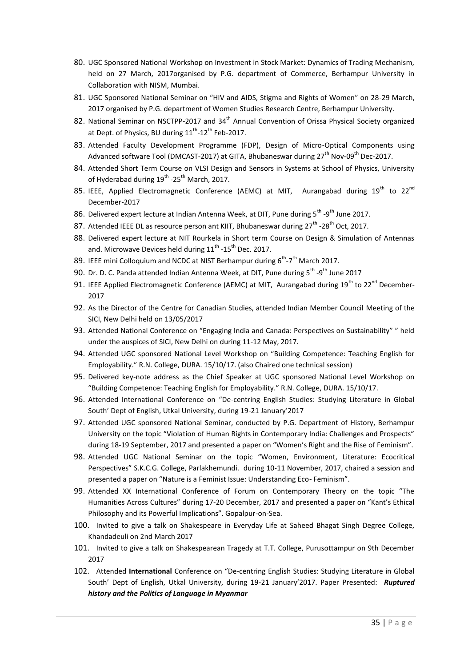- 80. UGC Sponsored National Workshop on Investment in Stock Market: Dynamics of Trading Mechanism, held on 27 March, 2017organised by P.G. department of Commerce, Berhampur University in Collaboration with NISM, Mumbai.
- 81. UGC Sponsored National Seminar on "HIV and AIDS, Stigma and Rights of Women" on 28-29 March, 2017 organised by P.G. department of Women Studies Research Centre, Berhampur University.
- 82. National Seminar on NSCTPP-2017 and 34<sup>th</sup> Annual Convention of Orissa Physical Society organized at Dept. of Physics, BU during 11<sup>th</sup>-12<sup>th</sup> Feb-2017.
- 83. Attended Faculty Development Programme (FDP), Design of Micro-Optical Components using Advanced software Tool (DMCAST-2017) at GITA, Bhubaneswar during 27<sup>th</sup> Nov-09<sup>th</sup> Dec-2017.
- 84. Attended Short Term Course on VLSI Design and Sensors in Systems at School of Physics, University of Hyderabad during 19<sup>th</sup> -25<sup>th</sup> March, 2017.
- 85. IEEE, Applied Electromagnetic Conference (AEMC) at MIT, Aurangabad during 19<sup>th</sup> to 22<sup>nd</sup> December-2017
- 86. Delivered expert lecture at Indian Antenna Week, at DIT, Pune during 5<sup>th</sup> -9<sup>th</sup> June 2017.
- 87. Attended IEEE DL as resource person ant KIIT, Bhubaneswar during 27<sup>th</sup> -28<sup>th</sup> Oct, 2017.
- 88. Delivered expert lecture at NIT Rourkela in Short term Course on Design & Simulation of Antennas and. Microwave Devices held during  $11<sup>th</sup>$ -15<sup>th</sup> Dec. 2017.
- 89. IEEE mini Colloquium and NCDC at NIST Berhampur during  $6<sup>th</sup> 7<sup>th</sup>$  March 2017.
- 90. Dr. D. C. Panda attended Indian Antenna Week, at DIT, Pune during  $5^{th}$  -9<sup>th</sup> June 2017
- 91. IEEE Applied Electromagnetic Conference (AEMC) at MIT, Aurangabad during 19<sup>th</sup> to 22<sup>nd</sup> December-2017
- 92. As the Director of the Centre for Canadian Studies, attended Indian Member Council Meeting of the SICI, New Delhi held on 13/05/2017
- 93. Attended National Conference on "Engaging India and Canada: Perspectives on Sustainability" " held under the auspices of SICI, New Delhi on during 11-12 May, 2017.
- 94. Attended UGC sponsored National Level Workshop on "Building Competence: Teaching English for Employability." R.N. College, DURA. 15/10/17. (also Chaired one technical session)
- 95. Delivered key-note address as the Chief Speaker at UGC sponsored National Level Workshop on "Building Competence: Teaching English for Employability." R.N. College, DURA. 15/10/17.
- 96. Attended International Conference on "De-centring English Studies: Studying Literature in Global South' Dept of English, Utkal University, during 19-21 January'2017
- 97. Attended UGC sponsored National Seminar, conducted by P.G. Department of History, Berhampur University on the topic "Violation of Human Rights in Contemporary India: Challenges and Prospects" during 18-19 September, 2017 and presented a paper on "Women's Right and the Rise of Feminism".
- 98. Attended UGC National Seminar on the topic "Women, Environment, Literature: Ecocritical Perspectives" S.K.C.G. College, Parlakhemundi. during 10-11 November, 2017, chaired a session and presented a paper on "Nature is a Feminist Issue: Understanding Eco- Feminism".
- 99. Attended XX International Conference of Forum on Contemporary Theory on the topic "The Humanities Across Cultures" during 17-20 December, 2017 and presented a paper on "Kant's Ethical Philosophy and its Powerful Implications". Gopalpur-on-Sea.
- 100. Invited to give a talk on Shakespeare in Everyday Life at Saheed Bhagat Singh Degree College, Khandadeuli on 2nd March 2017
- 101. Invited to give a talk on Shakespearean Tragedy at T.T. College, Purusottampur on 9th December 2017
- 102. Attended **International** Conference on "De-centring English Studies: Studying Literature in Global South' Dept of English, Utkal University, during 19-21 January'2017. Paper Presented: *Ruptured history and the Politics of Language in Myanmar*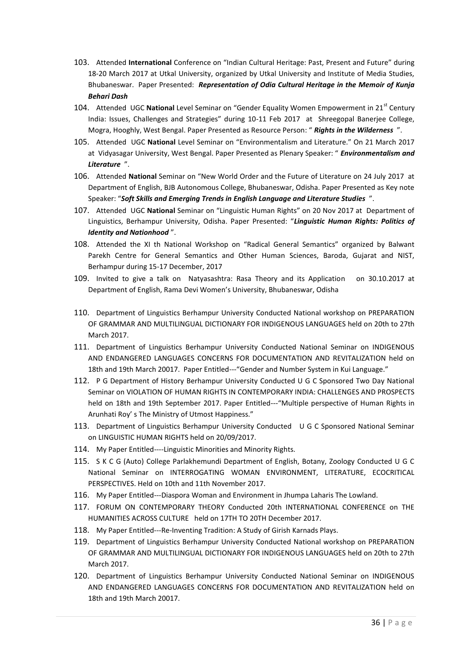- 103. Attended **International** Conference on "Indian Cultural Heritage: Past, Present and Future" during 18-20 March 2017 at Utkal University, organized by Utkal University and Institute of Media Studies, Bhubaneswar. Paper Presented: *Representation of Odia Cultural Heritage in the Memoir of Kunja Behari Dash*
- 104. Attended UGC National Level Seminar on "Gender Equality Women Empowerment in 21<sup>st</sup> Century India: Issues, Challenges and Strategies" during 10-11 Feb 2017 at Shreegopal Banerjee College, Mogra, Hooghly, West Bengal. Paper Presented as Resource Person: " *Rights in the Wilderness* ".
- 105. Attended UGC **National** Level Seminar on "Environmentalism and Literature." On 21 March 2017 at Vidyasagar University, West Bengal. Paper Presented as Plenary Speaker: " *Environmentalism and Literature* ".
- 106. Attended **National** Seminar on "New World Order and the Future of Literature on 24 July 2017 at Department of English, BJB Autonomous College, Bhubaneswar, Odisha. Paper Presented as Key note Speaker: "*Soft Skills and Emerging Trends in English Language and Literature Studies* ".
- 107. Attended UGC **National** Seminar on "Linguistic Human Rights" on 20 Nov 2017 at Department of Linguistics, Berhampur University, Odisha. Paper Presented: "*Linguistic Human Rights: Politics of Identity and Nationhood* ".
- 108. Attended the XI th National Workshop on "Radical General Semantics" organized by Balwant Parekh Centre for General Semantics and Other Human Sciences, Baroda, Gujarat and NIST, Berhampur during 15-17 December, 2017
- 109. Invited to give a talk on Natyasashtra: Rasa Theory and its Application on 30.10.2017 at Department of English, Rama Devi Women's University, Bhubaneswar, Odisha
- 110. Department of Linguistics Berhampur University Conducted National workshop on PREPARATION OF GRAMMAR AND MULTILINGUAL DICTIONARY FOR INDIGENOUS LANGUAGES held on 20th to 27th March 2017.
- 111. Department of Linguistics Berhampur University Conducted National Seminar on INDIGENOUS AND ENDANGERED LANGUAGES CONCERNS FOR DOCUMENTATION AND REVITALIZATION held on 18th and 19th March 20017. Paper Entitled---"Gender and Number System in Kui Language."
- 112. P G Department of History Berhampur University Conducted U G C Sponsored Two Day National Seminar on VIOLATION OF HUMAN RIGHTS IN CONTEMPORARY INDIA: CHALLENGES AND PROSPECTS held on 18th and 19th September 2017. Paper Entitled---"Multiple perspective of Human Rights in Arunhati Roy' s The Ministry of Utmost Happiness."
- 113. Department of Linguistics Berhampur University Conducted U G C Sponsored National Seminar on LINGUISTIC HUMAN RIGHTS held on 20/09/2017.
- 114. My Paper Entitled----Linguistic Minorities and Minority Rights.
- 115. S K C G (Auto) College Parlakhemundi Department of English, Botany, Zoology Conducted U G C National Seminar on INTERROGATING WOMAN ENVIRONMENT, LITERATURE, ECOCRITICAL PERSPECTIVES. Held on 10th and 11th November 2017.
- 116. My Paper Entitled---Diaspora Woman and Environment in Jhumpa Laharis The Lowland.
- 117. FORUM ON CONTEMPORARY THEORY Conducted 20th INTERNATIONAL CONFERENCE on THE HUMANITIES ACROSS CULTURE held on 17TH TO 20TH December 2017.
- 118. My Paper Entitled---Re-Inventing Tradition: A Study of Girish Karnads Plays.
- 119. Department of Linguistics Berhampur University Conducted National workshop on PREPARATION OF GRAMMAR AND MULTILINGUAL DICTIONARY FOR INDIGENOUS LANGUAGES held on 20th to 27th March 2017.
- 120. Department of Linguistics Berhampur University Conducted National Seminar on INDIGENOUS AND ENDANGERED LANGUAGES CONCERNS FOR DOCUMENTATION AND REVITALIZATION held on 18th and 19th March 20017.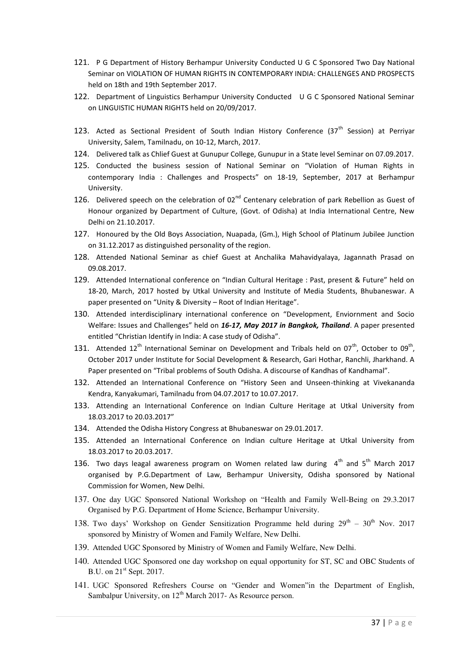- 121. P G Department of History Berhampur University Conducted U G C Sponsored Two Day National Seminar on VIOLATION OF HUMAN RIGHTS IN CONTEMPORARY INDIA: CHALLENGES AND PROSPECTS held on 18th and 19th September 2017.
- 122. Department of Linguistics Berhampur University Conducted U G C Sponsored National Seminar on LINGUISTIC HUMAN RIGHTS held on 20/09/2017.
- 123. Acted as Sectional President of South Indian History Conference (37<sup>th</sup> Session) at Perriyar University, Salem, Tamilnadu, on 10-12, March, 2017.
- 124. Delivered talk as Chlief Guest at Gunupur College, Gunupur in a State level Seminar on 07.09.2017.
- 125. Conducted the business session of National Seminar on "Violation of Human Rights in contemporary India : Challenges and Prospects" on 18-19, September, 2017 at Berhampur University.
- 126. Delivered speech on the celebration of  $02^{nd}$  Centenary celebration of park Rebellion as Guest of Honour organized by Department of Culture, (Govt. of Odisha) at India International Centre, New Delhi on 21.10.2017.
- 127. Honoured by the Old Boys Association, Nuapada, (Gm.), High School of Platinum Jubilee Junction on 31.12.2017 as distinguished personality of the region.
- 128. Attended National Seminar as chief Guest at Anchalika Mahavidyalaya, Jagannath Prasad on 09.08.2017.
- 129. Attended International conference on "Indian Cultural Heritage : Past, present & Future" held on 18-20, March, 2017 hosted by Utkal University and Institute of Media Students, Bhubaneswar. A paper presented on "Unity & Diversity – Root of Indian Heritage".
- 130. Attended interdisciplinary international conference on "Development, Enviornment and Socio Welfare: Issues and Challenges" held on *16-17, May 2017 in Bangkok, Thailand*. A paper presented entitled "Christian Identify in India: A case study of Odisha".
- 131. Attended  $12^{th}$  International Seminar on Development and Tribals held on 07<sup>th</sup>, October to 09<sup>th</sup>, October 2017 under Institute for Social Development & Research, Gari Hothar, Ranchli, Jharkhand. A Paper presented on "Tribal problems of South Odisha. A discourse of Kandhas of Kandhamal".
- 132. Attended an International Conference on "History Seen and Unseen-thinking at Vivekananda Kendra, Kanyakumari, Tamilnadu from 04.07.2017 to 10.07.2017.
- 133. Attending an International Conference on Indian Culture Heritage at Utkal University from 18.03.2017 to 20.03.2017"
- 134. Attended the Odisha History Congress at Bhubaneswar on 29.01.2017.
- 135. Attended an International Conference on Indian culture Heritage at Utkal University from 18.03.2017 to 20.03.2017.
- 136. Two days leagal awareness program on Women related law during  $4<sup>th</sup>$  and  $5<sup>th</sup>$  March 2017 organised by P.G.Department of Law, Berhampur University, Odisha sponsored by National Commission for Women, New Delhi.
- 137. One day UGC Sponsored National Workshop on "Health and Family Well-Being on 29.3.2017 Organised by P.G. Department of Home Science, Berhampur University.
- 138. Two days' Workshop on Gender Sensitization Programme held during  $29^{th}$   $30^{th}$  Nov. 2017 sponsored by Ministry of Women and Family Welfare, New Delhi.
- 139. Attended UGC Sponsored by Ministry of Women and Family Welfare, New Delhi.
- 140. Attended UGC Sponsored one day workshop on equal opportunity for ST, SC and OBC Students of B.U. on 21<sup>st</sup> Sept. 2017.
- 141. UGC Sponsored Refreshers Course on "Gender and Women"in the Department of English, Sambalpur University, on  $12<sup>th</sup>$  March 2017- As Resource person.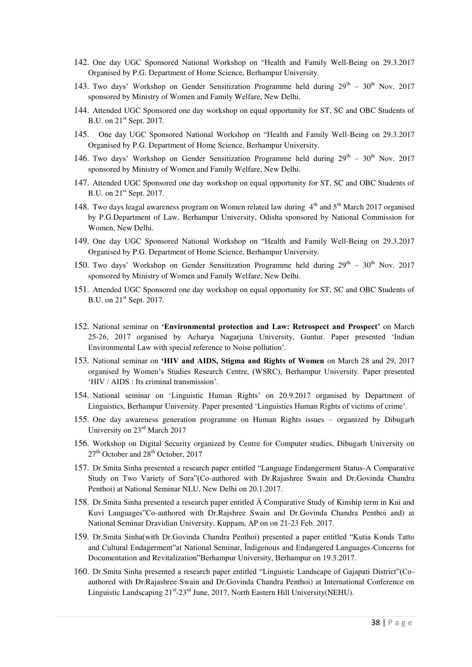- 142. One day UGC Sponsored National Workshop on "Health and Family Well-Being on 29.3.2017 Organised by P.G. Department of Home Science, Berhampur University.
- 143. Two days' Workshop on Gender Sensitization Programme held during  $29^{th}$   $30^{th}$  Nov. 2017 sponsored by Ministry of Women and Family Welfare, New Delhi.
- 144. Attended UGC Sponsored one day workshop on equal opportunity for ST, SC and OBC Students of B.U. on 21<sup>st</sup> Sept. 2017.
- 145. One day UGC Sponsored National Workshop on "Health and Family Well-Being on 29.3.2017 Organised by P.G. Department of Home Science, Berhampur University.
- 146. Two days' Workshop on Gender Sensitization Programme held during  $29^{th}$   $30^{th}$  Nov. 2017 sponsored by Ministry of Women and Family Welfare, New Delhi.
- 147. Attended UGC Sponsored one day workshop on equal opportunity for ST, SC and OBC Students of B.U. on 21<sup>st</sup> Sept. 2017.
- 148. Two days leagal awareness program on Women related law during 4<sup>th</sup> and 5<sup>th</sup> March 2017 organised by P.G.Department of Law, Berhampur University, Odisha sponsored by National Commission for Women, New Delhi.
- 149. One day UGC Sponsored National Workshop on "Health and Family Well-Being on 29.3.2017 Organised by P.G. Department of Home Science, Berhampur University.
- 150. Two days' Workshop on Gender Sensitization Programme held during  $29^{th}$   $30^{th}$  Nov. 2017 sponsored by Ministry of Women and Family Welfare, New Delhi.
- 151. Attended UGC Sponsored one day workshop on equal opportunity for ST, SC and OBC Students of B.U. on 21<sup>st</sup> Sept. 2017.
- 152. National seminar on **"Environmental protection and Law: Retrospect and Prospect"** on March 25-26, 2017 organised by Acharya Nagarjuna University, Guntur. Paper presented "Indian Environmental Law with special reference to Noise pollution".
- 153. National seminar on **"HIV and AIDS, Stigma and Rights of Women** on March 28 and 29, 2017 organised by Women"s Studies Research Centre, (WSRC), Berhampur University. Paper presented 'HIV / AIDS : Its criminal transmission'.
- 154. National seminar on "Linguistic Human Rights" on 20.9.2017 organised by Department of Linguistics, Berhampur University. Paper presented "Linguistics Human Rights of victims of crime".
- 155. One day awareness generation programme on Human Rights issues organized by Dibugarh University on 23<sup>rd</sup> March 2017
- 156. Workshop on Digital Security organized by Centre for Computer studies, Dibugarh University on  $27<sup>th</sup>$  October and  $28<sup>th</sup>$  October, 2017
- 157. Dr.Smita Sinha presented a research paper entitled "Language Endangerment Status-A Comparative Study on Two Variety of Sora"(Co-authored with Dr.Rajashree Swain and Dr.Govinda Chandra Penthoi) at National Seminar NLU, New Delhi on 20.1.2017.
- 158. Dr.Smita Sinha presented a research paper entitled Ä Comparative Study of Kinship term in Kui and Kuvi Languages"Co-authored with Dr.Rajshree Swain and Dr.Govinda Chandra Penthoi and) at National Seminar Dravidian University, Kuppam, AP on on 21-23 Feb. 2017.
- 159. Dr.Smita Sinha(with Dr.Govinda Chandra Penthoi) presented a paper entitled "Kutia Konds Tatto and Cultural Endagerment"at National Seminar, Ïndigenous and Endangered Languages-Concerns for Documentation and Revitalization"Berhampur University, Berhampur on 19.3.2017.
- 160. Dr.Smita Sinha presented a research paper entitled "Linguistic Landscape of Gajapati District"(Coauthored with Dr.Rajashree Swain and Dr.Govinda Chandra Penthoi) at International Conference on Linguistic Landscaping 21<sup>st</sup>-23<sup>rd</sup> June, 2017, North Eastern Hill University(NEHU).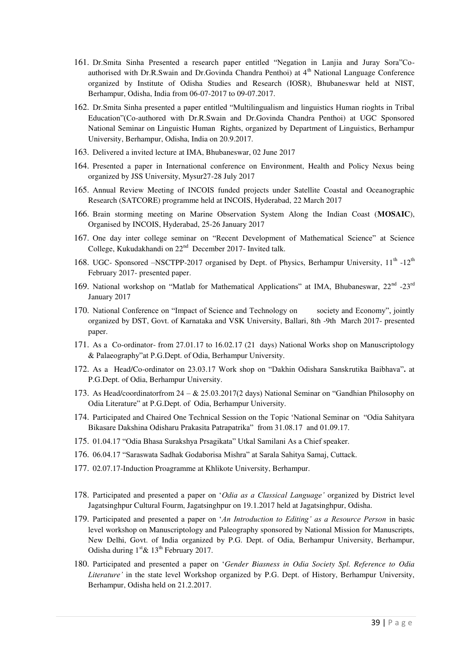- 161. Dr.Smita Sinha Presented a research paper entitled "Negation in Lanjia and Juray Sora"Coauthorised with Dr.R.Swain and Dr.Govinda Chandra Penthoi) at 4<sup>th</sup> National Language Conference organized by Institute of Odisha Studies and Research (IOSR), Bhubaneswar held at NIST, Berhampur, Odisha, India from 06-07-2017 to 09-07.2017.
- 162. Dr.Smita Sinha presented a paper entitled "Multilingualism and linguistics Human rioghts in Tribal Education"(Co-authored with Dr.R.Swain and Dr.Govinda Chandra Penthoi) at UGC Sponsored National Seminar on Linguistic Human Rights, organized by Department of Linguistics, Berhampur University, Berhampur, Odisha, India on 20.9.2017.
- 163. Delivered a invited lecture at IMA, Bhubaneswar, 02 June 2017
- 164. Presented a paper in International conference on Environment, Health and Policy Nexus being organized by JSS University, Mysur27-28 July 2017
- 165. Annual Review Meeting of INCOIS funded projects under Satellite Coastal and Oceanographic Research (SATCORE) programme held at INCOIS, Hyderabad, 22 March 2017
- 166. Brain storming meeting on Marine Observation System Along the Indian Coast (**MOSAIC**), Organised by INCOIS, Hyderabad, 25-26 January 2017
- 167. One day inter college seminar on "Recent Development of Mathematical Science" at Science College, Kukudakhandi on 22<sup>nd</sup> December 2017- Invited talk.
- 168. UGC- Sponsored -NSCTPP-2017 organised by Dept. of Physics, Berhampur University, 11<sup>th</sup> -12<sup>th</sup> February 2017- presented paper.
- 169. National workshop on "Matlab for Mathematical Applications" at IMA, Bhubaneswar, 22<sup>nd</sup> -23<sup>rd</sup> January 2017
- 170. National Conference on "Impact of Science and Technology on society and Economy", jointly organized by DST, Govt. of Karnataka and VSK University, Ballari, 8th -9th March 2017- presented paper.
- 171. As a Co-ordinator- from 27.01.17 to 16.02.17 (21 days) National Works shop on Manuscriptology & Palaeography"at P.G.Dept. of Odia, Berhampur University.
- 172. As a Head/Co-ordinator on 23.03.17 Work shop on "Dakhin Odishara Sanskrutika Baibhava"**.** at P.G.Dept. of Odia, Berhampur University.
- 173. As Head/coordinatorfrom  $24 \& 25.03.2017(2 \text{ days})$  National Seminar on "Gandhian Philosophy on Odia Literature" at P.G.Dept. of Odia, Berhampur University.
- 174. Participated and Chaired One Technical Session on the Topic "National Seminar on "Odia Sahityara Bikasare Dakshina Odisharu Prakasita Patrapatrika" from 31.08.17 and 01.09.17.
- 175. 01.04.17 "Odia Bhasa Surakshya Prsagikata" Utkal Samilani As a Chief speaker.
- 176. 06.04.17 "Saraswata Sadhak Godaborisa Mishra" at Sarala Sahitya Samaj, Cuttack.
- 177. 02.07.17-Induction Proagramme at Khlikote University, Berhampur.
- 178. Participated and presented a paper on "*Odia as a Classical Language'* organized by District level Jagatsinghpur Cultural Fourm, Jagatsinghpur on 19.1.2017 held at Jagatsinghpur, Odisha.
- 179. Participated and presented a paper on "*An Introduction to Editing' as a Resource Person* in basic level workshop on Manuscriptology and Paleography sponsored by National Mission for Manuscripts, New Delhi, Govt. of India organized by P.G. Dept. of Odia, Berhampur University, Berhampur, Odisha during  $1<sup>st</sup> \& 13<sup>th</sup>$  February 2017.
- 180. Participated and presented a paper on "*Gender Biasness in Odia Society Spl. Reference to Odia Literature'* in the state level Workshop organized by P.G. Dept. of History, Berhampur University, Berhampur, Odisha held on 21.2.2017.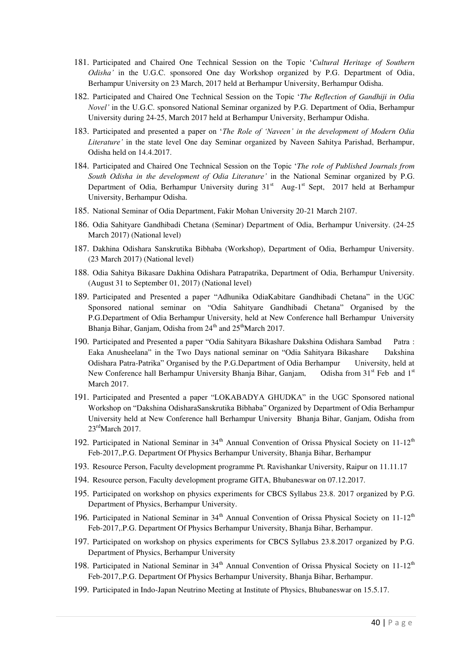- 181. Participated and Chaired One Technical Session on the Topic "*Cultural Heritage of Southern Odisha'* in the U.G.C. sponsored One day Workshop organized by P.G. Department of Odia, Berhampur University on 23 March, 2017 held at Berhampur University, Berhampur Odisha.
- 182. Participated and Chaired One Technical Session on the Topic "*The Reflection of Gandhiji in Odia Novel'* in the U.G.C. sponsored National Seminar organized by P.G. Department of Odia, Berhampur University during 24-25, March 2017 held at Berhampur University, Berhampur Odisha.
- 183. Participated and presented a paper on "*The Role of 'Naveen' in the development of Modern Odia Literature'* in the state level One day Seminar organized by Naveen Sahitya Parishad, Berhampur, Odisha held on 14.4.2017.
- 184. Participated and Chaired One Technical Session on the Topic "*The role of Published Journals from South Odisha in the development of Odia Literature'* in the National Seminar organized by P.G. Department of Odia, Berhampur University during 31<sup>st</sup> Aug-1<sup>st</sup> Sept, 2017 held at Berhampur University, Berhampur Odisha.
- 185. National Seminar of Odia Department, Fakir Mohan University 20-21 March 2107.
- 186. Odia Sahityare Gandhibadi Chetana (Seminar) Department of Odia, Berhampur University. (24-25 March 2017) (National level)
- 187. Dakhina Odishara Sanskrutika Bibhaba (Workshop), Department of Odia, Berhampur University. (23 March 2017) (National level)
- 188. Odia Sahitya Bikasare Dakhina Odishara Patrapatrika, Department of Odia, Berhampur University. (August 31 to September 01, 2017) (National level)
- 189. Participated and Presented a paper "Adhunika OdiaKabitare Gandhibadi Chetana" in the UGC Sponsored national seminar on "Odia Sahityare Gandhibadi Chetana" Organised by the P.G.Department of Odia Berhampur University, held at New Conference hall Berhampur University Bhanja Bihar, Ganjam, Odisha from 24<sup>th</sup> and 25<sup>th</sup>March 2017.
- 190. Participated and Presented a paper "Odia Sahityara Bikashare Dakshina Odishara Sambad Patra : Eaka Anusheelana" in the Two Days national seminar on "Odia Sahityara Bikashare Dakshina Odishara Patra-Patrika" Organised by the P.G.Department of Odia Berhampur University, held at New Conference hall Berhampur University Bhanja Bihar, Ganjam, Odisha from  $31<sup>st</sup>$  Feb and  $1<sup>st</sup>$ March 2017.
- 191. Participated and Presented a paper "LOKABADYA GHUDKA" in the UGC Sponsored national Workshop on "Dakshina OdisharaSanskrutika Bibhaba" Organized by Department of Odia Berhampur University held at New Conference hall Berhampur University Bhanja Bihar, Ganjam, Odisha from  $23^{\text{rd}}$ March 2017.
- 192. Participated in National Seminar in 34<sup>th</sup> Annual Convention of Orissa Physical Society on 11-12<sup>th</sup> Feb-2017,.P.G. Department Of Physics Berhampur University, Bhanja Bihar, Berhampur
- 193. Resource Person, Faculty development programme Pt. Ravishankar University, Raipur on 11.11.17
- 194. Resource person, Faculty development programe GITA, Bhubaneswar on 07.12.2017.
- 195. Participated on workshop on physics experiments for CBCS Syllabus 23.8. 2017 organized by P.G. Department of Physics, Berhampur University.
- 196. Participated in National Seminar in  $34<sup>th</sup>$  Annual Convention of Orissa Physical Society on 11-12<sup>th</sup> Feb-2017,.P.G. Department Of Physics Berhampur University, Bhanja Bihar, Berhampur.
- 197. Participated on workshop on physics experiments for CBCS Syllabus 23.8.2017 organized by P.G. Department of Physics, Berhampur University
- 198. Participated in National Seminar in 34<sup>th</sup> Annual Convention of Orissa Physical Society on 11-12<sup>th</sup> Feb-2017,.P.G. Department Of Physics Berhampur University, Bhanja Bihar, Berhampur.
- 199. Participated in Indo-Japan Neutrino Meeting at Institute of Physics, Bhubaneswar on 15.5.17.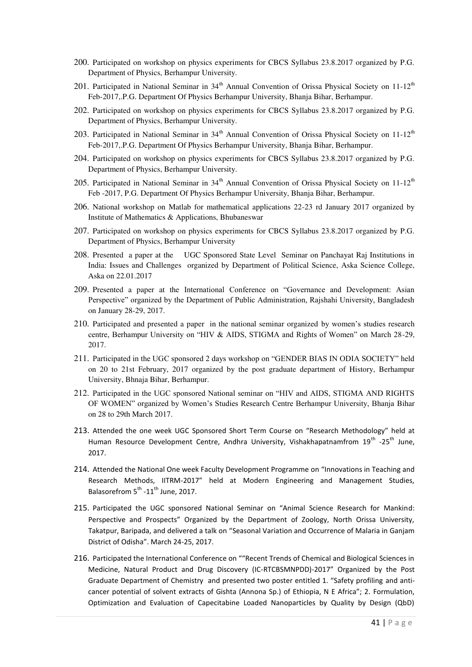- 200. Participated on workshop on physics experiments for CBCS Syllabus 23.8.2017 organized by P.G. Department of Physics, Berhampur University.
- 201. Participated in National Seminar in  $34<sup>th</sup>$  Annual Convention of Orissa Physical Society on  $11-12<sup>th</sup>$ Feb-2017,.P.G. Department Of Physics Berhampur University, Bhanja Bihar, Berhampur.
- 202. Participated on workshop on physics experiments for CBCS Syllabus 23.8.2017 organized by P.G. Department of Physics, Berhampur University.
- 203. Participated in National Seminar in 34<sup>th</sup> Annual Convention of Orissa Physical Society on 11-12<sup>th</sup> Feb-2017,.P.G. Department Of Physics Berhampur University, Bhanja Bihar, Berhampur.
- 204. Participated on workshop on physics experiments for CBCS Syllabus 23.8.2017 organized by P.G. Department of Physics, Berhampur University.
- 205. Participated in National Seminar in  $34<sup>th</sup>$  Annual Convention of Orissa Physical Society on  $11-12<sup>th</sup>$ Feb -2017, P.G. Department Of Physics Berhampur University, Bhanja Bihar, Berhampur.
- 206. National workshop on Matlab for mathematical applications 22-23 rd January 2017 organized by Institute of Mathematics & Applications, Bhubaneswar
- 207. Participated on workshop on physics experiments for CBCS Syllabus 23.8.2017 organized by P.G. Department of Physics, Berhampur University
- 208. Presented a paper at the UGC Sponsored State Level Seminar on Panchayat Raj Institutions in India: Issues and Challenges organized by Department of Political Science, Aska Science College, Aska on 22.01.2017
- 209. Presented a paper at the International Conference on "Governance and Development: Asian Perspective" organized by the Department of Public Administration, Rajshahi University, Bangladesh on January 28-29, 2017.
- 210. Participated and presented a paper in the national seminar organized by women"s studies research centre, Berhampur University on "HIV & AIDS, STIGMA and Rights of Women" on March 28-29, 2017.
- 211. Participated in the UGC sponsored 2 days workshop on "GENDER BIAS IN ODIA SOCIETY" held on 20 to 21st February, 2017 organized by the post graduate department of History, Berhampur University, Bhnaja Bihar, Berhampur.
- 212. Participated in the UGC sponsored National seminar on "HIV and AIDS, STIGMA AND RIGHTS OF WOMEN" organized by Women"s Studies Research Centre Berhampur University, Bhanja Bihar on 28 to 29th March 2017.
- 213. Attended the one week UGC Sponsored Short Term Course on "Research Methodology" held at Human Resource Development Centre, Andhra University, Vishakhapatnamfrom 19<sup>th</sup> -25<sup>th</sup> June, 2017.
- 214. Attended the National One week Faculty Development Programme on "Innovations in Teaching and Research Methods, IITRM-2017" held at Modern Engineering and Management Studies, Balasorefrom 5<sup>th</sup> -11<sup>th</sup> June, 2017.
- 215. Participated the UGC sponsored National Seminar on "Animal Science Research for Mankind: Perspective and Prospects" Organized by the Department of Zoology, North Orissa University, Takatpur, Baripada, and delivered a talk on "Seasonal Variation and Occurrence of Malaria in Ganjam District of Odisha". March 24-25, 2017.
- 216. Participated the International Conference on ""Recent Trends of Chemical and Biological Sciences in Medicine, Natural Product and Drug Discovery (IC-RTCBSMNPDD)-2017" Organized by the Post Graduate Department of Chemistry and presented two poster entitled 1. "Safety profiling and anticancer potential of solvent extracts of Gishta (Annona Sp.) of Ethiopia, N E Africa"; 2. Formulation, Optimization and Evaluation of Capecitabine Loaded Nanoparticles by Quality by Design (QbD)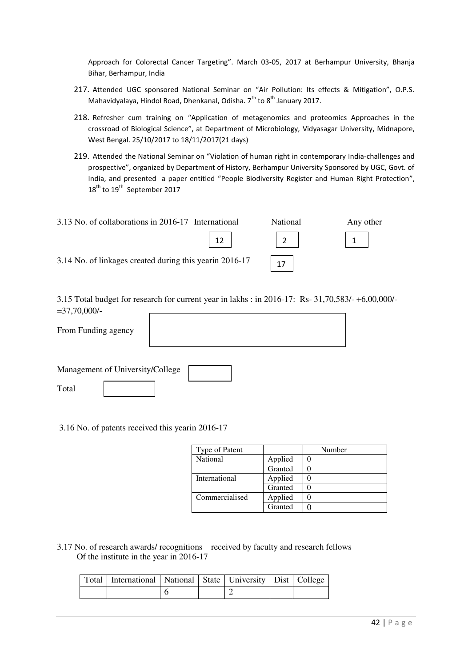Approach for Colorectal Cancer Targeting". March 03-05, 2017 at Berhampur University, Bhanja Bihar, Berhampur, India

- 217. Attended UGC sponsored National Seminar on "Air Pollution: Its effects & Mitigation", O.P.S. Mahavidyalaya, Hindol Road, Dhenkanal, Odisha. 7<sup>th</sup> to 8<sup>th</sup> January 2017.
- 218. Refresher cum training on "Application of metagenomics and proteomics Approaches in the crossroad of Biological Science", at Department of Microbiology, Vidyasagar University, Midnapore, West Bengal. 25/10/2017 to 18/11/2017(21 days)
- 219. Attended the National Seminar on "Violation of human right in contemporary India-challenges and prospective", organized by Department of History, Berhampur University Sponsored by UGC, Govt. of India, and presented a paper entitled "People Biodiversity Register and Human Right Protection",  $18^{\text{th}}$  to  $19^{\text{th}}$  September 2017
- 3.13 No. of collaborations in 2016-17 International National Any other 3.14 No. of linkages created during this yearin 2016-17  $12$  |  $2$  |  $1$ 17

3.15 Total budget for research for current year in lakhs : in 2016-17: Rs- 31,70,583/- +6,00,000/- =37,70,000/-



| Management of University/College |  |  |  |  |
|----------------------------------|--|--|--|--|
| Total                            |  |  |  |  |

3.16 No. of patents received this yearin 2016-17

| Type of Patent |         | Number |
|----------------|---------|--------|
| National       | Applied |        |
|                | Granted |        |
| International  | Applied |        |
|                | Granted |        |
| Commercialised | Applied |        |
|                | Granted |        |

3.17 No. of research awards/ recognitions received by faculty and research fellows Of the institute in the year in 2016-17

| Total   International   National   State   University   Dist   College |  |  |  |
|------------------------------------------------------------------------|--|--|--|
|                                                                        |  |  |  |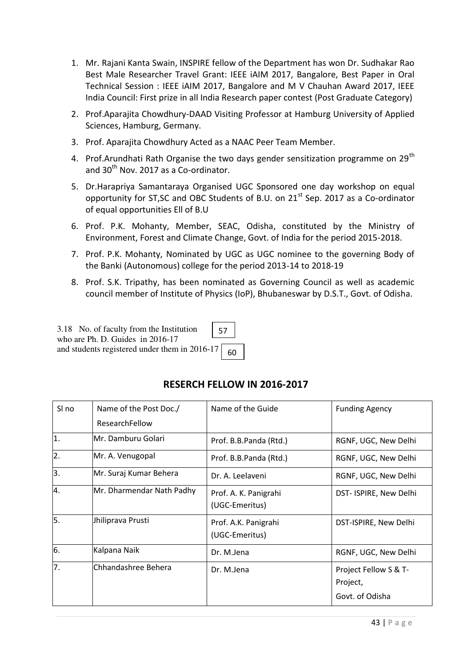- 1. Mr. Rajani Kanta Swain, INSPIRE fellow of the Department has won Dr. Sudhakar Rao Best Male Researcher Travel Grant: IEEE iAIM 2017, Bangalore, Best Paper in Oral Technical Session : IEEE iAIM 2017, Bangalore and M V Chauhan Award 2017, IEEE India Council: First prize in all India Research paper contest (Post Graduate Category)
- 2. Prof.Aparajita Chowdhury-DAAD Visiting Professor at Hamburg University of Applied Sciences, Hamburg, Germany.
- 3. Prof. Aparajita Chowdhury Acted as a NAAC Peer Team Member.
- 4. Prof.Arundhati Rath Organise the two days gender sensitization programme on 29<sup>th</sup> and 30<sup>th</sup> Nov. 2017 as a Co-ordinator.
- 5. Dr.Harapriya Samantaraya Organised UGC Sponsored one day workshop on equal opportunity for ST, SC and OBC Students of B.U. on  $21<sup>st</sup>$  Sep. 2017 as a Co-ordinator of equal opportunities Ell of B.U
- 6. Prof. P.K. Mohanty, Member, SEAC, Odisha, constituted by the Ministry of Environment, Forest and Climate Change, Govt. of India for the period 2015-2018.
- 7. Prof. P.K. Mohanty, Nominated by UGC as UGC nominee to the governing Body of the Banki (Autonomous) college for the period 2013-14 to 2018-19
- 8. Prof. S.K. Tripathy, has been nominated as Governing Council as well as academic council member of Institute of Physics (IoP), Bhubaneswar by D.S.T., Govt. of Odisha.

| $\frac{1}{57}$<br>3.18 No. of faculty from the Institution<br>who are Ph. D. Guides in 2016-17 |  |  |
|------------------------------------------------------------------------------------------------|--|--|
| and students registered under them in 2016-17 $\Big  60$                                       |  |  |

### **RESERCH FELLOW IN 2016-2017**

| SI no | Name of the Post Doc./    | Name of the Guide                       | <b>Funding Agency</b>                                |
|-------|---------------------------|-----------------------------------------|------------------------------------------------------|
|       | ResearchFellow            |                                         |                                                      |
| 1.    | lMr. Damburu Golari       | Prof. B.B.Panda (Rtd.)                  | RGNF, UGC, New Delhi                                 |
| 2.    | Mr. A. Venugopal          | Prof. B.B.Panda (Rtd.)                  | RGNF, UGC, New Delhi                                 |
| 3.    | Mr. Suraj Kumar Behera    | Dr. A. Leelaveni                        | RGNF, UGC, New Delhi                                 |
| 4.    | Mr. Dharmendar Nath Padhy | Prof. A. K. Panigrahi<br>(UGC-Emeritus) | DST- ISPIRE, New Delhi                               |
| 5.    | Jhiliprava Prusti         | Prof. A.K. Panigrahi<br>(UGC-Emeritus)  | DST-ISPIRE, New Delhi                                |
| 6.    | Kalpana Naik              | Dr. M.Jena                              | RGNF, UGC, New Delhi                                 |
| 7.    | lChhandashree Behera      | Dr. M.Jena                              | Project Fellow S & T-<br>Project,<br>Govt. of Odisha |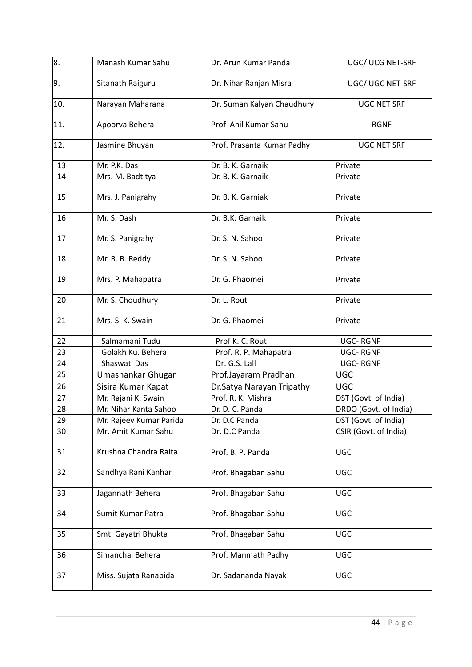| 8.  | Manash Kumar Sahu       | Dr. Arun Kumar Panda       | UGC/ UCG NET-SRF      |
|-----|-------------------------|----------------------------|-----------------------|
| 9.  | Sitanath Raiguru        | Dr. Nihar Ranjan Misra     | UGC/ UGC NET-SRF      |
| 10. | Narayan Maharana        | Dr. Suman Kalyan Chaudhury | <b>UGC NET SRF</b>    |
| 11. | Apoorva Behera          | Prof Anil Kumar Sahu       | <b>RGNF</b>           |
| 12. | Jasmine Bhuyan          | Prof. Prasanta Kumar Padhy | <b>UGC NET SRF</b>    |
| 13  | Mr. P.K. Das            | Dr. B. K. Garnaik          | Private               |
| 14  | Mrs. M. Badtitya        | Dr. B. K. Garnaik          | Private               |
| 15  | Mrs. J. Panigrahy       | Dr. B. K. Garniak          | Private               |
| 16  | Mr. S. Dash             | Dr. B.K. Garnaik           | Private               |
| 17  | Mr. S. Panigrahy        | Dr. S. N. Sahoo            | Private               |
| 18  | Mr. B. B. Reddy         | Dr. S. N. Sahoo            | Private               |
| 19  | Mrs. P. Mahapatra       | Dr. G. Phaomei             | Private               |
| 20  | Mr. S. Choudhury        | Dr. L. Rout                | Private               |
| 21  | Mrs. S. K. Swain        | Dr. G. Phaomei             | Private               |
| 22  | Salmamani Tudu          | Prof K. C. Rout            | <b>UGC-RGNF</b>       |
| 23  | Golakh Ku. Behera       | Prof. R. P. Mahapatra      | <b>UGC-RGNF</b>       |
| 24  | Shaswati Das            | Dr. G.S. Lall              | <b>UGC-RGNF</b>       |
| 25  | Umashankar Ghugar       | Prof.Jayaram Pradhan       | <b>UGC</b>            |
| 26  | Sisira Kumar Kapat      | Dr.Satya Narayan Tripathy  | <b>UGC</b>            |
| 27  | Mr. Rajani K. Swain     | Prof. R. K. Mishra         | DST (Govt. of India)  |
| 28  | Mr. Nihar Kanta Sahoo   | Dr. D. C. Panda            | DRDO (Govt. of India) |
| 29  | Mr. Rajeev Kumar Parida | Dr. D.C Panda              | DST (Govt. of India)  |
| 30  | Mr. Amit Kumar Sahu     | Dr. D.C Panda              | CSIR (Govt. of India) |
| 31  | Krushna Chandra Raita   | Prof. B. P. Panda          | <b>UGC</b>            |
| 32  | Sandhya Rani Kanhar     | Prof. Bhagaban Sahu        | <b>UGC</b>            |
| 33  | Jagannath Behera        | Prof. Bhagaban Sahu        | <b>UGC</b>            |
| 34  | Sumit Kumar Patra       | Prof. Bhagaban Sahu        | UGC                   |
| 35  | Smt. Gayatri Bhukta     | Prof. Bhagaban Sahu        | <b>UGC</b>            |
| 36  | Simanchal Behera        | Prof. Manmath Padhy        | <b>UGC</b>            |
| 37  | Miss. Sujata Ranabida   | Dr. Sadananda Nayak        | UGC                   |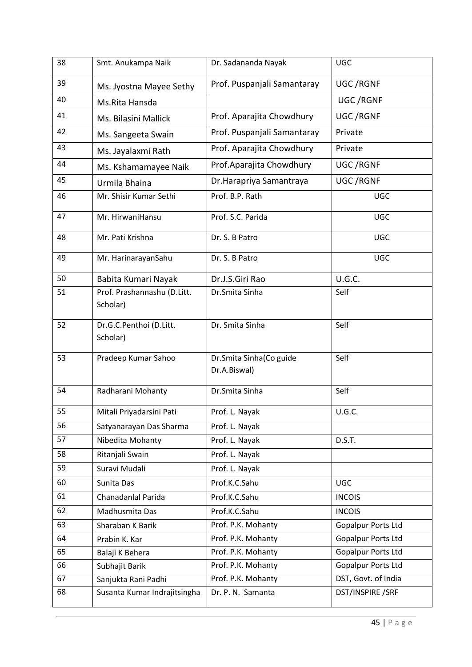| 38 | Smt. Anukampa Naik                      | Dr. Sadananda Nayak                     | <b>UGC</b>                |
|----|-----------------------------------------|-----------------------------------------|---------------------------|
| 39 | Ms. Jyostna Mayee Sethy                 | Prof. Puspanjali Samantaray             | <b>UGC/RGNF</b>           |
| 40 | Ms.Rita Hansda                          |                                         | <b>UGC/RGNF</b>           |
| 41 | Ms. Bilasini Mallick                    | Prof. Aparajita Chowdhury               | UGC/RGNF                  |
| 42 | Ms. Sangeeta Swain                      | Prof. Puspanjali Samantaray             | Private                   |
| 43 | Ms. Jayalaxmi Rath                      | Prof. Aparajita Chowdhury               | Private                   |
| 44 | Ms. Kshamamayee Naik                    | Prof.Aparajita Chowdhury                | UGC/RGNF                  |
| 45 | Urmila Bhaina                           | Dr.Harapriya Samantraya                 | <b>UGC/RGNF</b>           |
| 46 | Mr. Shisir Kumar Sethi                  | Prof. B.P. Rath                         | UGC                       |
| 47 | Mr. HirwaniHansu                        | Prof. S.C. Parida                       | <b>UGC</b>                |
| 48 | Mr. Pati Krishna                        | Dr. S. B Patro                          | <b>UGC</b>                |
| 49 | Mr. HarinarayanSahu                     | Dr. S. B Patro                          | <b>UGC</b>                |
| 50 | Babita Kumari Nayak                     | Dr.J.S.Giri Rao                         | U.G.C.                    |
| 51 | Prof. Prashannashu (D.Litt.<br>Scholar) | Dr.Smita Sinha                          | Self                      |
| 52 | Dr.G.C.Penthoi (D.Litt.<br>Scholar)     | Dr. Smita Sinha                         | Self                      |
| 53 | Pradeep Kumar Sahoo                     | Dr.Smita Sinha(Co guide<br>Dr.A.Biswal) | Self                      |
| 54 | Radharani Mohanty                       | Dr.Smita Sinha                          | Self                      |
| 55 | Mitali Priyadarsini Pati                | Prof. L. Nayak                          | U.G.C.                    |
| 56 | Satyanarayan Das Sharma                 | Prof. L. Nayak                          |                           |
| 57 | Nibedita Mohanty                        | Prof. L. Nayak                          | D.S.T.                    |
| 58 | Ritanjali Swain                         | Prof. L. Nayak                          |                           |
| 59 | Suravi Mudali                           | Prof. L. Nayak                          |                           |
| 60 | Sunita Das                              | Prof.K.C.Sahu                           | <b>UGC</b>                |
| 61 | Chanadanlal Parida                      | Prof.K.C.Sahu                           | <b>INCOIS</b>             |
| 62 | Madhusmita Das                          | Prof.K.C.Sahu                           | <b>INCOIS</b>             |
| 63 | Sharaban K Barik                        | Prof. P.K. Mohanty                      | <b>Gopalpur Ports Ltd</b> |
| 64 | Prabin K. Kar                           | Prof. P.K. Mohanty                      | <b>Gopalpur Ports Ltd</b> |
| 65 | Balaji K Behera                         | Prof. P.K. Mohanty                      | Gopalpur Ports Ltd        |
| 66 | Subhajit Barik                          | Prof. P.K. Mohanty                      | Gopalpur Ports Ltd        |
| 67 | Sanjukta Rani Padhi                     | Prof. P.K. Mohanty                      | DST, Govt. of India       |
| 68 | Susanta Kumar Indrajitsingha            | Dr. P. N. Samanta                       | DST/INSPIRE/SRF           |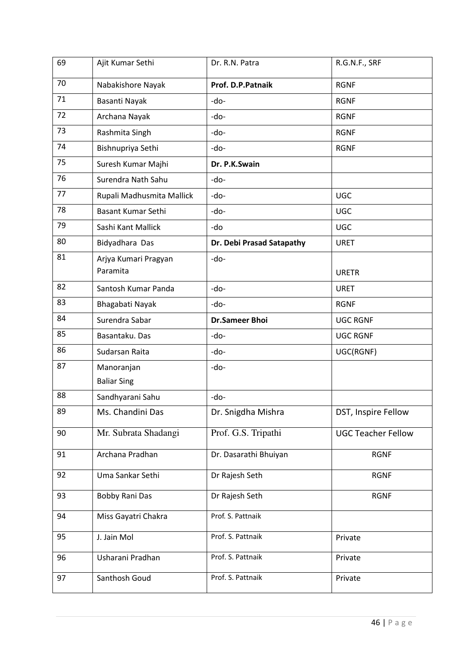| 69 | Ajit Kumar Sethi                 | Dr. R.N. Patra            | R.G.N.F., SRF             |
|----|----------------------------------|---------------------------|---------------------------|
| 70 | Nabakishore Nayak                | Prof. D.P.Patnaik         | <b>RGNF</b>               |
| 71 | Basanti Nayak                    | -do-                      | <b>RGNF</b>               |
| 72 | Archana Nayak                    | -do-                      | <b>RGNF</b>               |
| 73 | Rashmita Singh                   | -do-                      | <b>RGNF</b>               |
| 74 | Bishnupriya Sethi                | -do-                      | <b>RGNF</b>               |
| 75 | Suresh Kumar Majhi               | Dr. P.K.Swain             |                           |
| 76 | Surendra Nath Sahu               | -do-                      |                           |
| 77 | Rupali Madhusmita Mallick        | -do-                      | <b>UGC</b>                |
| 78 | Basant Kumar Sethi               | -do-                      | <b>UGC</b>                |
| 79 | Sashi Kant Mallick               | -do                       | <b>UGC</b>                |
| 80 | Bidyadhara Das                   | Dr. Debi Prasad Satapathy | <b>URET</b>               |
| 81 | Arjya Kumari Pragyan<br>Paramita | -do-                      |                           |
| 82 |                                  |                           | <b>URETR</b>              |
|    | Santosh Kumar Panda              | -do-                      | <b>URET</b>               |
| 83 | Bhagabati Nayak                  | -do-                      | <b>RGNF</b>               |
| 84 | Surendra Sabar                   | <b>Dr.Sameer Bhoi</b>     | <b>UGC RGNF</b>           |
| 85 | Basantaku. Das                   | -do-                      | <b>UGC RGNF</b>           |
| 86 | Sudarsan Raita                   | -do-                      | UGC(RGNF)                 |
| 87 | Manoranjan                       | -do-                      |                           |
|    | <b>Baliar Sing</b>               |                           |                           |
| 88 | Sandhyarani Sahu                 | -do-                      |                           |
| 89 | Ms. Chandini Das                 | Dr. Snigdha Mishra        | DST, Inspire Fellow       |
| 90 | Mr. Subrata Shadangi             | Prof. G.S. Tripathi       | <b>UGC Teacher Fellow</b> |
| 91 | Archana Pradhan                  | Dr. Dasarathi Bhuiyan     | <b>RGNF</b>               |
| 92 | Uma Sankar Sethi                 | Dr Rajesh Seth            | <b>RGNF</b>               |
| 93 | <b>Bobby Rani Das</b>            | Dr Rajesh Seth            | <b>RGNF</b>               |
| 94 | Miss Gayatri Chakra              | Prof. S. Pattnaik         |                           |
| 95 | J. Jain Mol                      | Prof. S. Pattnaik         | Private                   |
| 96 | Usharani Pradhan                 | Prof. S. Pattnaik         | Private                   |
| 97 | Santhosh Goud                    | Prof. S. Pattnaik         | Private                   |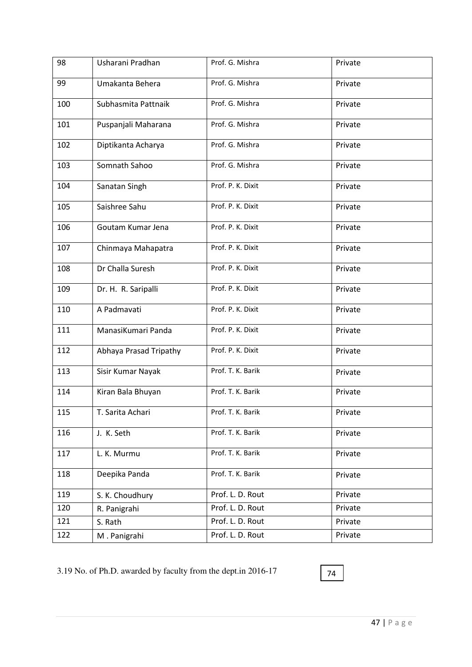| 98  | Usharani Pradhan       | Prof. G. Mishra   | Private |
|-----|------------------------|-------------------|---------|
| 99  | Umakanta Behera        | Prof. G. Mishra   | Private |
| 100 | Subhasmita Pattnaik    | Prof. G. Mishra   | Private |
| 101 | Puspanjali Maharana    | Prof. G. Mishra   | Private |
| 102 | Diptikanta Acharya     | Prof. G. Mishra   | Private |
| 103 | Somnath Sahoo          | Prof. G. Mishra   | Private |
| 104 | Sanatan Singh          | Prof. P. K. Dixit | Private |
| 105 | Saishree Sahu          | Prof. P. K. Dixit | Private |
| 106 | Goutam Kumar Jena      | Prof. P. K. Dixit | Private |
| 107 | Chinmaya Mahapatra     | Prof. P. K. Dixit | Private |
| 108 | Dr Challa Suresh       | Prof. P. K. Dixit | Private |
| 109 | Dr. H. R. Saripalli    | Prof. P. K. Dixit | Private |
| 110 | A Padmavati            | Prof. P. K. Dixit | Private |
| 111 | ManasiKumari Panda     | Prof. P. K. Dixit | Private |
| 112 | Abhaya Prasad Tripathy | Prof. P. K. Dixit | Private |
| 113 | Sisir Kumar Nayak      | Prof. T. K. Barik | Private |
| 114 | Kiran Bala Bhuyan      | Prof. T. K. Barik | Private |
| 115 | T. Sarita Achari       | Prof. T. K. Barik | Private |
| 116 | J. K. Seth             | Prof. T. K. Barik | Private |
| 117 | L. K. Murmu            | Prof. T. K. Barik | Private |
| 118 | Deepika Panda          | Prof. T. K. Barik | Private |
| 119 | S. K. Choudhury        | Prof. L. D. Rout  | Private |
| 120 | R. Panigrahi           | Prof. L. D. Rout  | Private |
| 121 | S. Rath                | Prof. L. D. Rout  | Private |
| 122 | M. Panigrahi           | Prof. L. D. Rout  | Private |

3.19 No. of Ph.D. awarded by faculty from the dept.in 2016-17  $\sqrt{74}$ 

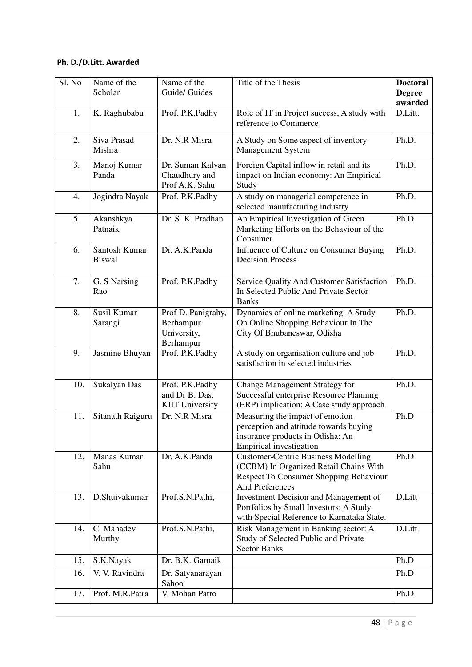### **Ph. D./D.Litt. Awarded**

| Sl. No | Name of the<br>Scholar         | Name of the<br>Guide/ Guides                                | Title of the Thesis                                                                                                                                      | <b>Doctoral</b><br><b>Degree</b> |
|--------|--------------------------------|-------------------------------------------------------------|----------------------------------------------------------------------------------------------------------------------------------------------------------|----------------------------------|
|        |                                |                                                             |                                                                                                                                                          | awarded                          |
| 1.     | K. Raghubabu                   | Prof. P.K.Padhy                                             | Role of IT in Project success, A study with<br>reference to Commerce                                                                                     | D.Litt.                          |
| 2.     | Siva Prasad<br>Mishra          | Dr. N.R Misra                                               | A Study on Some aspect of inventory<br>Management System                                                                                                 | Ph.D.                            |
| 3.     | Manoj Kumar<br>Panda           | Dr. Suman Kalyan<br>Chaudhury and<br>Prof A.K. Sahu         | Foreign Capital inflow in retail and its<br>impact on Indian economy: An Empirical<br>Study                                                              | Ph.D.                            |
| 4.     | Jogindra Nayak                 | Prof. P.K.Padhy                                             | A study on managerial competence in<br>selected manufacturing industry                                                                                   | Ph.D.                            |
| 5.     | Akanshkya<br>Patnaik           | Dr. S. K. Pradhan                                           | An Empirical Investigation of Green<br>Marketing Efforts on the Behaviour of the<br>Consumer                                                             | Ph.D.                            |
| 6.     | Santosh Kumar<br><b>Biswal</b> | Dr. A.K.Panda                                               | Influence of Culture on Consumer Buying<br><b>Decision Process</b>                                                                                       | Ph.D.                            |
| 7.     | G. S Narsing<br>Rao            | Prof. P.K.Padhy                                             | Service Quality And Customer Satisfaction<br>In Selected Public And Private Sector<br><b>Banks</b>                                                       | Ph.D.                            |
| 8.     | Susil Kumar<br>Sarangi         | Prof D. Panigrahy,<br>Berhampur<br>University,<br>Berhampur | Dynamics of online marketing: A Study<br>On Online Shopping Behaviour In The<br>City Of Bhubaneswar, Odisha                                              | Ph.D.                            |
| 9.     | Jasmine Bhuyan                 | Prof. P.K.Padhy                                             | A study on organisation culture and job<br>satisfaction in selected industries                                                                           | Ph.D.                            |
| 10.    | Sukalyan Das                   | Prof. P.K.Padhy<br>and Dr B. Das,<br><b>KIIT University</b> | Change Management Strategy for<br>Successful enterprise Resource Planning<br>(ERP) implication: A Case study approach                                    | Ph.D.                            |
| 11.    | Sitanath Raiguru               | Dr. N.R Misra                                               | Measuring the impact of emotion<br>perception and attitude towards buying<br>insurance products in Odisha: An<br><b>Empirical investigation</b>          | Ph.D                             |
| 12.    | Manas Kumar<br>Sahu            | Dr. A.K.Panda                                               | <b>Customer-Centric Business Modelling</b><br>(CCBM) In Organized Retail Chains With<br>Respect To Consumer Shopping Behaviour<br><b>And Preferences</b> | Ph.D                             |
| 13.    | D.Shuivakumar                  | Prof.S.N.Pathi,                                             | Investment Decision and Management of<br>Portfolios by Small Investors: A Study<br>with Special Reference to Karnataka State.                            | D.Litt                           |
| 14.    | C. Mahadev<br>Murthy           | Prof.S.N.Pathi,                                             | Risk Management in Banking sector: A<br>Study of Selected Public and Private<br>Sector Banks.                                                            | D.Litt                           |
| 15.    | S.K.Nayak                      | Dr. B.K. Garnaik                                            |                                                                                                                                                          | Ph.D                             |
| 16.    | V. V. Ravindra                 | Dr. Satyanarayan<br>Sahoo                                   |                                                                                                                                                          | Ph.D                             |
| 17.    | Prof. M.R.Patra                | V. Mohan Patro                                              |                                                                                                                                                          | Ph.D                             |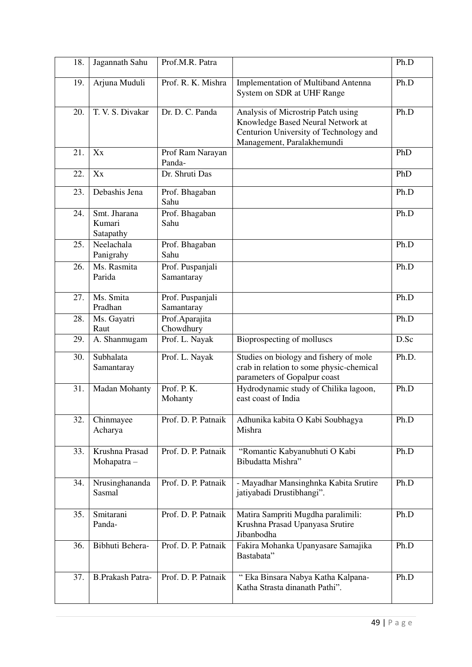| 18. | Jagannath Sahu                      | Prof.M.R. Patra                |                                                                                                                                                 | Ph.D  |
|-----|-------------------------------------|--------------------------------|-------------------------------------------------------------------------------------------------------------------------------------------------|-------|
| 19. | Arjuna Muduli                       | Prof. R. K. Mishra             | Implementation of Multiband Antenna<br>System on SDR at UHF Range                                                                               | Ph.D  |
| 20. | T. V. S. Divakar                    | Dr. D. C. Panda                | Analysis of Microstrip Patch using<br>Knowledge Based Neural Network at<br>Centurion University of Technology and<br>Management, Paralakhemundi | Ph.D  |
| 21. | Xx                                  | Prof Ram Narayan<br>Panda-     |                                                                                                                                                 | PhD   |
| 22. | Xx                                  | Dr. Shruti Das                 |                                                                                                                                                 | PhD   |
| 23. | Debashis Jena                       | Prof. Bhagaban<br>Sahu         |                                                                                                                                                 | Ph.D  |
| 24. | Smt. Jharana<br>Kumari<br>Satapathy | Prof. Bhagaban<br>Sahu         |                                                                                                                                                 | Ph.D  |
| 25. | Neelachala<br>Panigrahy             | Prof. Bhagaban<br>Sahu         |                                                                                                                                                 | Ph.D  |
| 26. | Ms. Rasmita<br>Parida               | Prof. Puspanjali<br>Samantaray |                                                                                                                                                 | Ph.D  |
| 27. | Ms. Smita<br>Pradhan                | Prof. Puspanjali<br>Samantaray |                                                                                                                                                 | Ph.D  |
| 28. | Ms. Gayatri<br>Raut                 | Prof.Aparajita<br>Chowdhury    |                                                                                                                                                 | Ph.D  |
| 29. | A. Shanmugam                        | Prof. L. Nayak                 | Bioprospecting of molluscs                                                                                                                      | D.Sc  |
| 30. | Subhalata<br>Samantaray             | Prof. L. Nayak                 | Studies on biology and fishery of mole<br>crab in relation to some physic-chemical<br>parameters of Gopalpur coast                              | Ph.D. |
| 31. | Madan Mohanty                       | Prof. P. K.<br>Mohanty         | Hydrodynamic study of Chilika lagoon,<br>east coast of India                                                                                    | Ph.D  |
| 32. | Chinmayee<br>Acharya                | Prof. D. P. Patnaik            | Adhunika kabita O Kabi Soubhagya<br>Mishra                                                                                                      | Ph.D  |
| 33. | Krushna Prasad<br>Mohapatra-        | Prof. D. P. Patnaik            | "Romantic Kabyanubhuti O Kabi<br>Bibudatta Mishra"                                                                                              | Ph.D  |
| 34. | Nrusinghananda<br>Sasmal            | Prof. D. P. Patnaik            | - Mayadhar Mansinghnka Kabita Srutire<br>jatiyabadi Drustibhangi".                                                                              | Ph.D  |
| 35. | Smitarani<br>Panda-                 | Prof. D. P. Patnaik            | Matira Sampriti Mugdha paralimili:<br>Krushna Prasad Upanyasa Srutire<br>Jibanbodha                                                             | Ph.D  |
| 36. | Bibhuti Behera-                     | Prof. D. P. Patnaik            | Fakira Mohanka Upanyasare Samajika<br>Bastabata"                                                                                                | Ph.D  |
| 37. | <b>B.Prakash Patra-</b>             | Prof. D. P. Patnaik            | " Eka Binsara Nabya Katha Kalpana-<br>Katha Strasta dinanath Pathi".                                                                            | Ph.D  |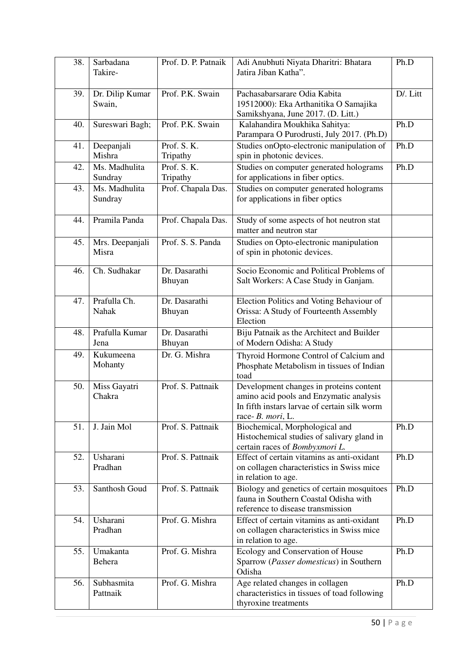| 38. | Sarbadana<br>Takire-      | Prof. D. P. Patnaik     | Adi Anubhuti Niyata Dharitri: Bhatara<br>Jatira Jiban Katha".                                                                                           | Ph.D     |
|-----|---------------------------|-------------------------|---------------------------------------------------------------------------------------------------------------------------------------------------------|----------|
| 39. | Dr. Dilip Kumar<br>Swain, | Prof. P.K. Swain        | Pachasabarsarare Odia Kabita<br>19512000): Eka Arthanitika O Samajika<br>Samikshyana, June 2017. (D. Litt.)                                             | D/. Litt |
| 40. | Sureswari Bagh;           | Prof. P.K. Swain        | Kalahandira Moukhika Sahitya:<br>Parampara O Purodrusti, July 2017. (Ph.D)                                                                              | Ph.D     |
| 41. | Deepanjali<br>Mishra      | Prof. S. K.<br>Tripathy | Studies onOpto-electronic manipulation of<br>spin in photonic devices.                                                                                  | Ph.D     |
| 42. | Ms. Madhulita<br>Sundray  | Prof. S. K.<br>Tripathy | Studies on computer generated holograms<br>for applications in fiber optics.                                                                            | Ph.D     |
| 43. | Ms. Madhulita<br>Sundray  | Prof. Chapala Das.      | Studies on computer generated holograms<br>for applications in fiber optics                                                                             |          |
| 44. | Pramila Panda             | Prof. Chapala Das.      | Study of some aspects of hot neutron stat<br>matter and neutron star                                                                                    |          |
| 45. | Mrs. Deepanjali<br>Misra  | Prof. S. S. Panda       | Studies on Opto-electronic manipulation<br>of spin in photonic devices.                                                                                 |          |
| 46. | Ch. Sudhakar              | Dr. Dasarathi<br>Bhuyan | Socio Economic and Political Problems of<br>Salt Workers: A Case Study in Ganjam.                                                                       |          |
| 47. | Prafulla Ch.<br>Nahak     | Dr. Dasarathi<br>Bhuyan | Election Politics and Voting Behaviour of<br>Orissa: A Study of Fourteenth Assembly<br>Election                                                         |          |
| 48. | Prafulla Kumar<br>Jena    | Dr. Dasarathi<br>Bhuyan | Biju Patnaik as the Architect and Builder<br>of Modern Odisha: A Study                                                                                  |          |
| 49. | Kukumeena<br>Mohanty      | Dr. G. Mishra           | Thyroid Hormone Control of Calcium and<br>Phosphate Metabolism in tissues of Indian<br>toad                                                             |          |
| 50. | Miss Gayatri<br>Chakra    | Prof. S. Pattnaik       | Development changes in proteins content<br>amino acid pools and Enzymatic analysis<br>In fifth instars larvae of certain silk worm<br>race- B. mori, L. |          |
| 51. | J. Jain Mol               | Prof. S. Pattnaik       | Biochemical, Morphological and<br>Histochemical studies of salivary gland in<br>certain races of Bombyxmori L.                                          | Ph.D     |
| 52. | Usharani<br>Pradhan       | Prof. S. Pattnaik       | Effect of certain vitamins as anti-oxidant<br>on collagen characteristics in Swiss mice<br>in relation to age.                                          | Ph.D     |
| 53. | Santhosh Goud             | Prof. S. Pattnaik       | Biology and genetics of certain mosquitoes<br>fauna in Southern Coastal Odisha with<br>reference to disease transmission                                |          |
| 54. | Usharani<br>Pradhan       | Prof. G. Mishra         | Effect of certain vitamins as anti-oxidant<br>on collagen characteristics in Swiss mice<br>in relation to age.                                          | Ph.D     |
| 55. | Umakanta<br>Behera        | Prof. G. Mishra         | Ecology and Conservation of House<br>Sparrow (Passer domesticus) in Southern<br>Odisha                                                                  | Ph.D     |
| 56. | Subhasmita<br>Pattnaik    | Prof. G. Mishra         | Age related changes in collagen<br>characteristics in tissues of toad following<br>thyroxine treatments                                                 | Ph.D     |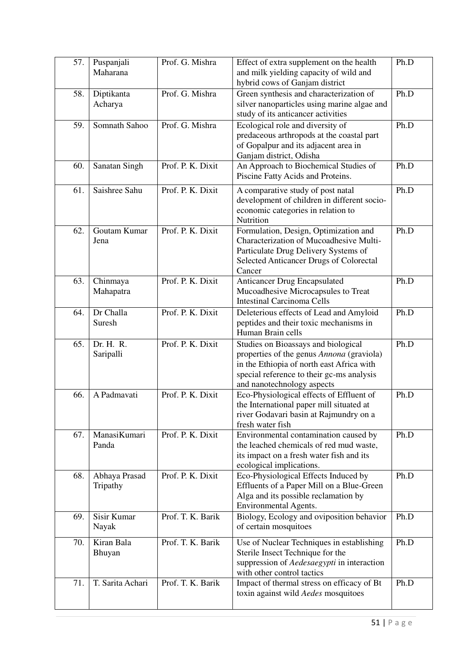| 57. | Puspanjali<br>Maharana    | Prof. G. Mishra   | Effect of extra supplement on the health<br>and milk yielding capacity of wild and<br>hybrid cows of Ganjam district                                                                                     | Ph.D |
|-----|---------------------------|-------------------|----------------------------------------------------------------------------------------------------------------------------------------------------------------------------------------------------------|------|
| 58. | Diptikanta<br>Acharya     | Prof. G. Mishra   | Green synthesis and characterization of<br>silver nanoparticles using marine algae and<br>study of its anticancer activities                                                                             | Ph.D |
| 59. | Somnath Sahoo             | Prof. G. Mishra   | Ecological role and diversity of<br>predaceous arthropods at the coastal part<br>of Gopalpur and its adjacent area in<br>Ganjam district, Odisha                                                         | Ph.D |
| 60. | Sanatan Singh             | Prof. P. K. Dixit | An Approach to Biochemical Studies of<br>Piscine Fatty Acids and Proteins.                                                                                                                               | Ph.D |
| 61. | Saishree Sahu             | Prof. P. K. Dixit | A comparative study of post natal<br>development of children in different socio-<br>economic categories in relation to<br>Nutrition                                                                      | Ph.D |
| 62. | Goutam Kumar<br>Jena      | Prof. P. K. Dixit | Formulation, Design, Optimization and<br>Characterization of Mucoadhesive Multi-<br>Particulate Drug Delivery Systems of<br>Selected Anticancer Drugs of Colorectal<br>Cancer                            | Ph.D |
| 63. | Chinmaya<br>Mahapatra     | Prof. P. K. Dixit | <b>Anticancer Drug Encapsulated</b><br>Mucoadhesive Microcapsules to Treat<br><b>Intestinal Carcinoma Cells</b>                                                                                          | Ph.D |
| 64. | Dr Challa<br>Suresh       | Prof. P. K. Dixit | Deleterious effects of Lead and Amyloid<br>peptides and their toxic mechanisms in<br>Human Brain cells                                                                                                   | Ph.D |
| 65. | Dr. H. R.<br>Saripalli    | Prof. P. K. Dixit | Studies on Bioassays and biological<br>properties of the genus Annona (graviola)<br>in the Ethiopia of north east Africa with<br>special reference to their gc-ms analysis<br>and nanotechnology aspects | Ph.D |
| 66. | A Padmavati               | Prof. P. K. Dixit | Eco-Physiological effects of Effluent of<br>the International paper mill situated at<br>river Godavari basin at Rajmundry on a<br>fresh water fish                                                       | Ph.D |
| 67. | ManasiKumari<br>Panda     | Prof. P. K. Dixit | Environmental contamination caused by<br>the leached chemicals of red mud waste,<br>its impact on a fresh water fish and its<br>ecological implications.                                                 | Ph.D |
| 68. | Abhaya Prasad<br>Tripathy | Prof. P. K. Dixit | Eco-Physiological Effects Induced by<br>Effluents of a Paper Mill on a Blue-Green<br>Alga and its possible reclamation by<br>Environmental Agents.                                                       | Ph.D |
| 69. | Sisir Kumar<br>Nayak      | Prof. T. K. Barik | Biology, Ecology and oviposition behavior<br>of certain mosquitoes                                                                                                                                       | Ph.D |
| 70. | Kiran Bala<br>Bhuyan      | Prof. T. K. Barik | Use of Nuclear Techniques in establishing<br>Sterile Insect Technique for the<br>suppression of Aedesaegypti in interaction<br>with other control tactics                                                | Ph.D |
| 71. | T. Sarita Achari          | Prof. T. K. Barik | Impact of thermal stress on efficacy of Bt<br>toxin against wild Aedes mosquitoes                                                                                                                        | Ph.D |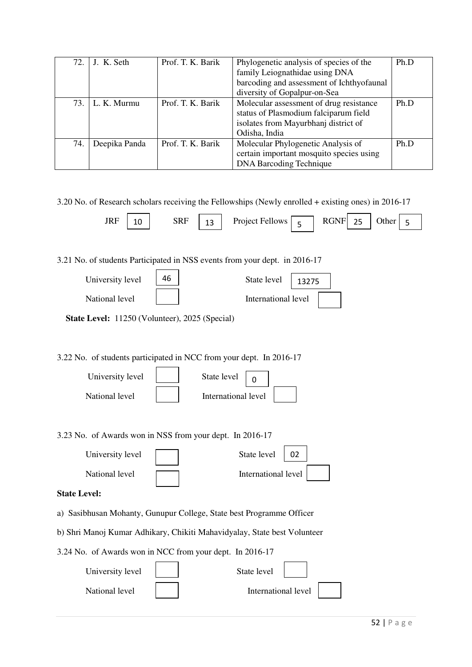|     | 72. J. K. Seth  | Prof. T. K. Barik | Phylogenetic analysis of species of the<br>family Leiognathidae using DNA<br>barcoding and assessment of Ichthyofaunal<br>diversity of Gopalpur-on-Sea | Ph.D |
|-----|-----------------|-------------------|--------------------------------------------------------------------------------------------------------------------------------------------------------|------|
|     | 73. L. K. Murmu | Prof. T. K. Barik | Molecular assessment of drug resistance<br>status of Plasmodium falciparum field<br>isolates from Mayurbhanj district of<br>Odisha, India              | Ph.D |
| 74. | Deepika Panda   | Prof. T. K. Barik | Molecular Phylogenetic Analysis of<br>certain important mosquito species using<br><b>DNA Barcoding Technique</b>                                       | Ph.D |

3.20 No. of Research scholars receiving the Fellowships (Newly enrolled + existing ones) in 2016-17

| <b>JRF</b> | 10<br>__ | SRF | $\sim$<br>--<br>__ | <b>Project Fellows</b> | -<br>۰ | RGNF<br> | $\sim$ $\sim$<br>--<br>$\sim$ | )ther |  |  |
|------------|----------|-----|--------------------|------------------------|--------|----------|-------------------------------|-------|--|--|
|------------|----------|-----|--------------------|------------------------|--------|----------|-------------------------------|-------|--|--|

3.21 No. of students Participated in NSS events from your dept. in 2016-17

| University level | 46 | State level         | 13275 |  |
|------------------|----|---------------------|-------|--|
| National level   |    | International level |       |  |

3.22 No. of students participated in NCC from your dept. In 2016-17

| University level | State level         |  |
|------------------|---------------------|--|
| National level   | International level |  |

3.23 No. of Awards won in NSS from your dept. In 2016-17

| University level | State level<br>02   |  |
|------------------|---------------------|--|
| National level   | International level |  |

#### **State Level:**

- a) Sasibhusan Mohanty, Gunupur College, State best Programme Officer
- b) Shri Manoj Kumar Adhikary, Chikiti Mahavidyalay, State best Volunteer

3.24 No. of Awards won in NCC from your dept. In 2016-17

| University level | State level         |  |
|------------------|---------------------|--|
| National level   | International level |  |

**State Level:** 11250 (Volunteer), 2025 (Special)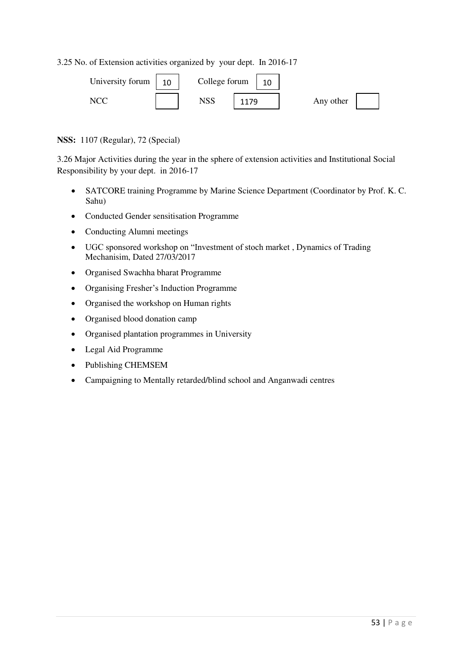3.25 No. of Extension activities organized by your dept. In 2016-17

| University forum | 10 | College forum | 10   |           |  |
|------------------|----|---------------|------|-----------|--|
| <b>NCC</b>       |    | NSS           | 1179 | Any other |  |

**NSS:** 1107 (Regular), 72 (Special)

3.26 Major Activities during the year in the sphere of extension activities and Institutional Social Responsibility by your dept. in 2016-17

- SATCORE training Programme by Marine Science Department (Coordinator by Prof. K. C. Sahu)
- Conducted Gender sensitisation Programme
- Conducting Alumni meetings
- UGC sponsored workshop on "Investment of stoch market , Dynamics of Trading Mechanisim, Dated 27/03/2017
- Organised Swachha bharat Programme
- Organising Fresher"s Induction Programme
- Organised the workshop on Human rights
- Organised blood donation camp
- Organised plantation programmes in University
- Legal Aid Programme
- Publishing CHEMSEM
- Campaigning to Mentally retarded/blind school and Anganwadi centres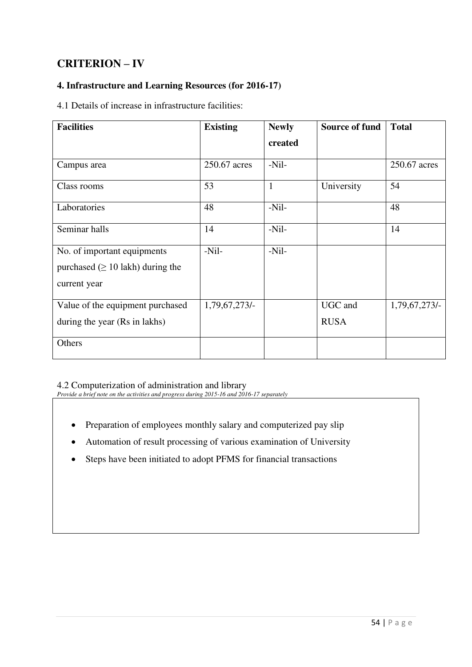### **CRITERION – IV**

### **4. Infrastructure and Learning Resources (for 2016-17)**

4.1 Details of increase in infrastructure facilities:

| <b>Facilities</b>                                                                     | <b>Existing</b> | <b>Newly</b> | <b>Source of fund</b>         | <b>Total</b>  |
|---------------------------------------------------------------------------------------|-----------------|--------------|-------------------------------|---------------|
|                                                                                       |                 | created      |                               |               |
| Campus area                                                                           | 250.67 acres    | $-Nil-$      |                               | 250.67 acres  |
| Class rooms                                                                           | 53              | $\mathbf{1}$ | University                    | 54            |
| Laboratories                                                                          | 48              | $-Nil-$      |                               | 48            |
| Seminar halls                                                                         | 14              | $-Nil-$      |                               | 14            |
| No. of important equipments<br>purchased ( $\geq 10$ lakh) during the<br>current year | $-Nil-$         | $-Nil-$      |                               |               |
| Value of the equipment purchased<br>during the year (Rs in lakhs)                     | 1,79,67,273/-   |              | <b>UGC</b> and<br><b>RUSA</b> | 1,79,67,273/- |
| Others                                                                                |                 |              |                               |               |

### 4.2 Computerization of administration and library

*Provide a brief note on the activities and progress during 2015-16 and 2016-17 separately* 

- Preparation of employees monthly salary and computerized pay slip
- Automation of result processing of various examination of University
- Steps have been initiated to adopt PFMS for financial transactions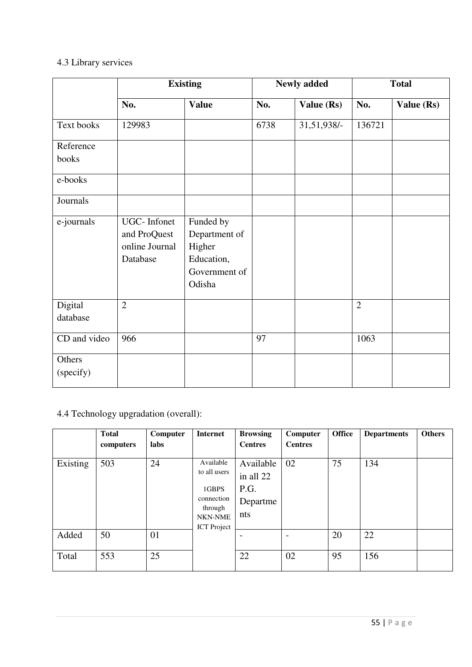### 4.3 Library services

|              | <b>Existing</b> |               |      | <b>Newly added</b> | <b>Total</b>   |            |
|--------------|-----------------|---------------|------|--------------------|----------------|------------|
|              | No.             | <b>Value</b>  | No.  | Value (Rs)         | No.            | Value (Rs) |
| Text books   | 129983          |               | 6738 | 31,51,938/-        | 136721         |            |
| Reference    |                 |               |      |                    |                |            |
| books        |                 |               |      |                    |                |            |
| e-books      |                 |               |      |                    |                |            |
| Journals     |                 |               |      |                    |                |            |
| e-journals   | UGC-Infonet     | Funded by     |      |                    |                |            |
|              | and ProQuest    | Department of |      |                    |                |            |
|              | online Journal  | Higher        |      |                    |                |            |
|              | Database        | Education,    |      |                    |                |            |
|              |                 | Government of |      |                    |                |            |
|              |                 | Odisha        |      |                    |                |            |
| Digital      | $\overline{2}$  |               |      |                    | $\overline{2}$ |            |
| database     |                 |               |      |                    |                |            |
| CD and video | 966             |               | 97   |                    | 1063           |            |
| Others       |                 |               |      |                    |                |            |
| (specify)    |                 |               |      |                    |                |            |

4.4 Technology upgradation (overall):

|          | <b>Total</b><br>computers | Computer<br>labs | <b>Internet</b>                                                                              | <b>Browsing</b><br><b>Centres</b>                 | Computer<br><b>Centres</b> | <b>Office</b> | <b>Departments</b> | <b>Others</b> |
|----------|---------------------------|------------------|----------------------------------------------------------------------------------------------|---------------------------------------------------|----------------------------|---------------|--------------------|---------------|
| Existing | 503                       | 24               | Available<br>to all users<br>1GBPS<br>connection<br>through<br>NKN-NME<br><b>ICT</b> Project | Available<br>in all 22<br>P.G.<br>Departme<br>nts | 02                         | 75            | 134                |               |
| Added    | 50                        | 01               |                                                                                              |                                                   |                            | 20            | 22                 |               |
| Total    | 553                       | 25               |                                                                                              | 22                                                | 02                         | 95            | 156                |               |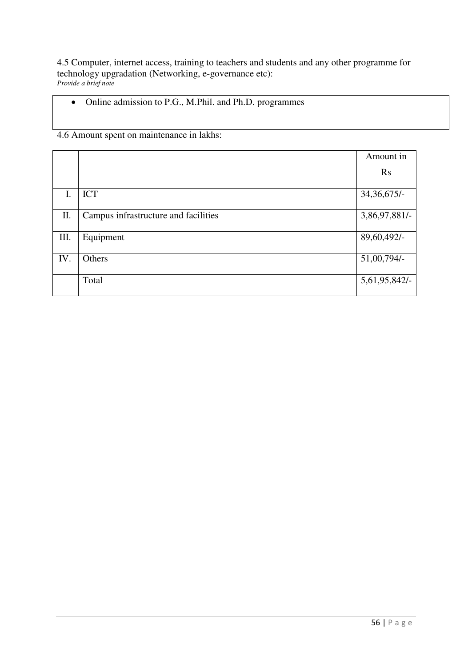4.5 Computer, internet access, training to teachers and students and any other programme for technology upgradation (Networking, e-governance etc): *Provide a brief note* 

• Online admission to P.G., M.Phil. and Ph.D. programmes

### 4.6 Amount spent on maintenance in lakhs:

|     |                                      | Amount in     |
|-----|--------------------------------------|---------------|
|     |                                      | <b>Rs</b>     |
| Ι.  | <b>ICT</b>                           | $34,36,675/-$ |
| II. | Campus infrastructure and facilities | 3,86,97,881/- |
| Ш.  | Equipment                            | 89,60,492/-   |
| IV. | Others                               | 51,00,794/-   |
|     | Total                                | 5,61,95,842/- |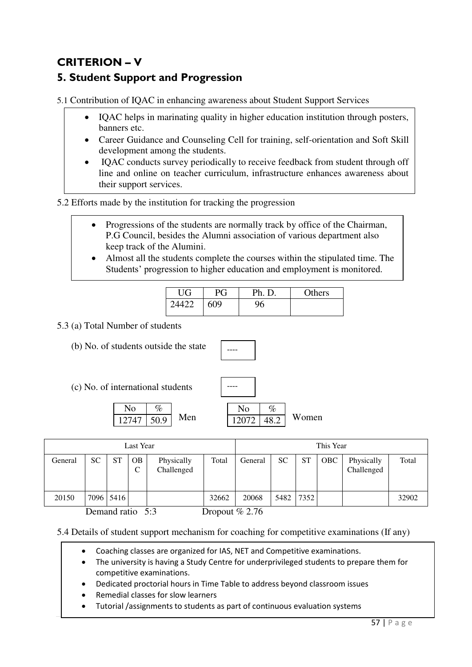### **CRITERION – V 5. Student Support and Progression**

5.1 Contribution of IQAC in enhancing awareness about Student Support Services

- IQAC helps in marinating quality in higher education institution through posters, banners etc.
- Career Guidance and Counseling Cell for training, self-orientation and Soft Skill development among the students.
- IOAC conducts survey periodically to receive feedback from student through off line and online on teacher curriculum, infrastructure enhances awareness about their support services.

5.2 Efforts made by the institution for tracking the progression

- Progressions of the students are normally track by office of the Chairman, P.G Council, besides the Alumni association of various department also keep track of the Alumini.
- Almost all the students complete the courses within the stipulated time. The Students' progression to higher education and employment is monitored.

| UG | PG  | Ph. D. | Others |
|----|-----|--------|--------|
|    | 609 |        |        |

### 5.3 (a) Total Number of students

(b) No. of students outside the state

(c) No. of international students

No  $\frac{1}{\%}$  $12747 \mid 50.9 \mid$ 



----

 $\frac{12747}{509}$  Men  $\frac{12072}{482}$  Women 12072 48.2

| Last Year |                           |                                       |                |                          | This Year                  |                                        |           |           |     |                          |       |
|-----------|---------------------------|---------------------------------------|----------------|--------------------------|----------------------------|----------------------------------------|-----------|-----------|-----|--------------------------|-------|
| General   | SC                        | <b>ST</b>                             | <b>OB</b><br>C | Physically<br>Challenged | Total                      | General                                | <b>SC</b> | <b>ST</b> | OBC | Physically<br>Challenged | Total |
| 20150     | 7096<br>$\mathbf{\Gamma}$ | 5416<br>$\mathbf{r}$ and $\mathbf{r}$ |                | $\sim$ $\sim$            | 32662<br>$\mathbf{\Gamma}$ | 20068<br>$\overline{M}$ $\overline{M}$ | 5482      | 7352      |     |                          | 32902 |

5.4 Details of student support mechanism for coaching for competitive examinations (If any)

- Coaching classes are organized for IAS, NET and Competitive examinations.
- The university is having a Study Centre for underprivileged students to prepare them for competitive examinations.
- Dedicated proctorial hours in Time Table to address beyond classroom issues
- Remedial classes for slow learners
- Tutorial /assignments to students as part of continuous evaluation systems

Demand ratio 5:3 Dropout % 2.76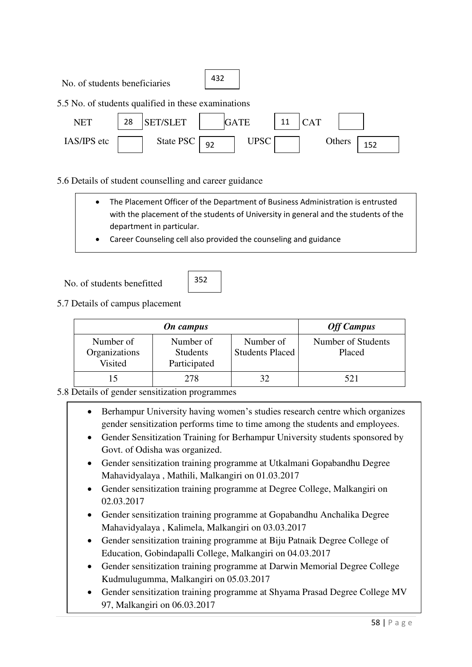No. of students beneficiaries



5.5 No. of students qualified in these examinations



### 5.6 Details of student counselling and career guidance

- The Placement Officer of the Department of Business Administration is entrusted with the placement of the students of University in general and the students of the department in particular.
- Career Counseling cell also provided the counseling and guidance

No. of students benefitted

Ξ



5.7 Details of campus placement

|                                       | <b>Off Campus</b>                            |                                     |                              |
|---------------------------------------|----------------------------------------------|-------------------------------------|------------------------------|
| Number of<br>Organizations<br>Visited | Number of<br><b>Students</b><br>Participated | Number of<br><b>Students Placed</b> | Number of Students<br>Placed |
|                                       | 278                                          |                                     | 521                          |

5.8 Details of gender sensitization programmes

- Berhampur University having women's studies research centre which organizes gender sensitization performs time to time among the students and employees.
- Gender Sensitization Training for Berhampur University students sponsored by Govt. of Odisha was organized.
- Gender sensitization training programme at Utkalmani Gopabandhu Degree Mahavidyalaya , Mathili, Malkangiri on 01.03.2017
- Gender sensitization training programme at Degree College, Malkangiri on 02.03.2017
- Gender sensitization training programme at Gopabandhu Anchalika Degree Mahavidyalaya , Kalimela, Malkangiri on 03.03.2017
- Gender sensitization training programme at Biju Patnaik Degree College of Education, Gobindapalli College, Malkangiri on 04.03.2017
- Gender sensitization training programme at Darwin Memorial Degree College Kudmulugumma, Malkangiri on 05.03.2017
- Gender sensitization training programme at Shyama Prasad Degree College MV 97, Malkangiri on 06.03.2017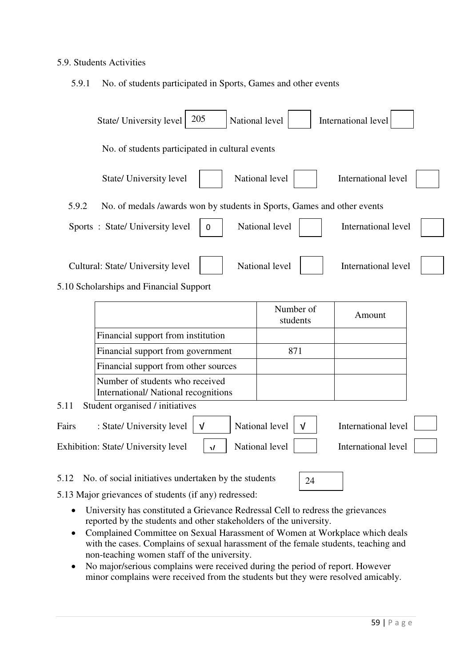### 5.9. Students Activities

5.9.1 No. of students participated in Sports, Games and other events

|       | 205<br>State/ University level                                               | National level        | International level        |  |  |  |  |
|-------|------------------------------------------------------------------------------|-----------------------|----------------------------|--|--|--|--|
|       | No. of students participated in cultural events                              |                       |                            |  |  |  |  |
|       | State/ University level                                                      | National level        | <b>International level</b> |  |  |  |  |
| 5.9.2 | No. of medals /awards won by students in Sports, Games and other events      |                       |                            |  |  |  |  |
|       | Sports: State/University level<br>$\pmb{0}$                                  | National level        | International level        |  |  |  |  |
|       | Cultural: State/ University level<br>5.10 Scholarships and Financial Support | National level        | International level        |  |  |  |  |
|       |                                                                              | Number of<br>students | Amount                     |  |  |  |  |
|       | Financial support from institution                                           |                       |                            |  |  |  |  |
|       | Financial support from government                                            | 871                   |                            |  |  |  |  |
|       | Financial support from other sources                                         |                       |                            |  |  |  |  |
|       | Number of students who received<br>International/ National recognitions      |                       |                            |  |  |  |  |
| 5.11  | Student organised / initiatives                                              |                       |                            |  |  |  |  |
| Fairs | : State/ University level<br>$\sqrt{ }$                                      | National level<br>V   | International level        |  |  |  |  |
|       | Exhibition: State/ University level<br>$\mathbf{I}$                          | National level        | International level        |  |  |  |  |
| 5.12  | No. of social initiatives undertaken by the students                         | 24                    |                            |  |  |  |  |

5.13 Major grievances of students (if any) redressed:

- University has constituted a Grievance Redressal Cell to redress the grievances reported by the students and other stakeholders of the university.
- Complained Committee on Sexual Harassment of Women at Workplace which deals with the cases. Complains of sexual harassment of the female students, teaching and non-teaching women staff of the university.
- No major/serious complains were received during the period of report. However minor complains were received from the students but they were resolved amicably.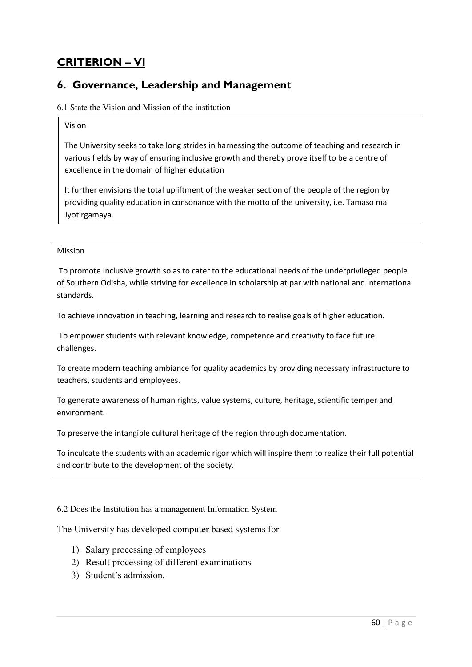### **CRITERION – VI**

### **6. Governance, Leadership and Management**

#### 6.1 State the Vision and Mission of the institution

#### Vision

The University seeks to take long strides in harnessing the outcome of teaching and research in various fields by way of ensuring inclusive growth and thereby prove itself to be a centre of excellence in the domain of higher education

It further envisions the total upliftment of the weaker section of the people of the region by providing quality education in consonance with the motto of the university, i.e. Tamaso ma Jyotirgamaya.

#### Mission

 To promote Inclusive growth so as to cater to the educational needs of the underprivileged people of Southern Odisha, while striving for excellence in scholarship at par with national and international standards.

To achieve innovation in teaching, learning and research to realise goals of higher education.

 To empower students with relevant knowledge, competence and creativity to face future challenges.

To create modern teaching ambiance for quality academics by providing necessary infrastructure to teachers, students and employees.

To generate awareness of human rights, value systems, culture, heritage, scientific temper and environment.

To preserve the intangible cultural heritage of the region through documentation.

To inculcate the students with an academic rigor which will inspire them to realize their full potential and contribute to the development of the society.

6.2 Does the Institution has a management Information System

The University has developed computer based systems for

- 1) Salary processing of employees
- 2) Result processing of different examinations
- 3) Student"s admission.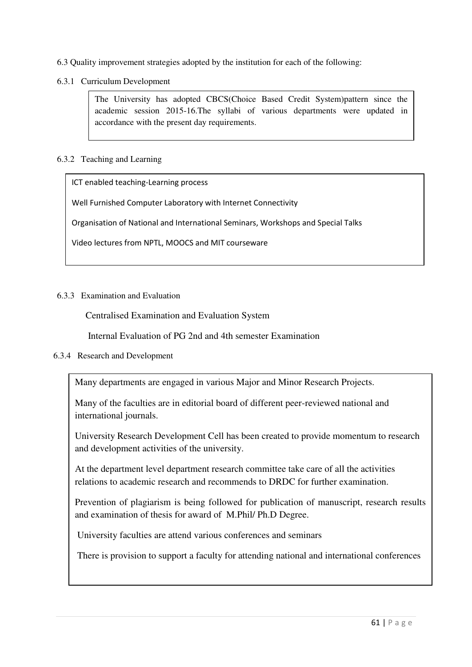- 6.3 Quality improvement strategies adopted by the institution for each of the following:
- 6.3.1 Curriculum Development

The University has adopted CBCS(Choice Based Credit System)pattern since the academic session 2015-16.The syllabi of various departments were updated in accordance with the present day requirements.

#### 6.3.2 Teaching and Learning

ICT enabled teaching-Learning process

Well Furnished Computer Laboratory with Internet Connectivity

Organisation of National and International Seminars, Workshops and Special Talks

Video lectures from NPTL, MOOCS and MIT courseware

#### 6.3.3 Examination and Evaluation

Centralised Examination and Evaluation System

Internal Evaluation of PG 2nd and 4th semester Examination

### 6.3.4 Research and Development

Many departments are engaged in various Major and Minor Research Projects.

Many of the faculties are in editorial board of different peer-reviewed national and international journals.

University Research Development Cell has been created to provide momentum to research and development activities of the university.

At the department level department research committee take care of all the activities relations to academic research and recommends to DRDC for further examination.

Prevention of plagiarism is being followed for publication of manuscript, research results and examination of thesis for award of M.Phil/ Ph.D Degree.

University faculties are attend various conferences and seminars

There is provision to support a faculty for attending national and international conferences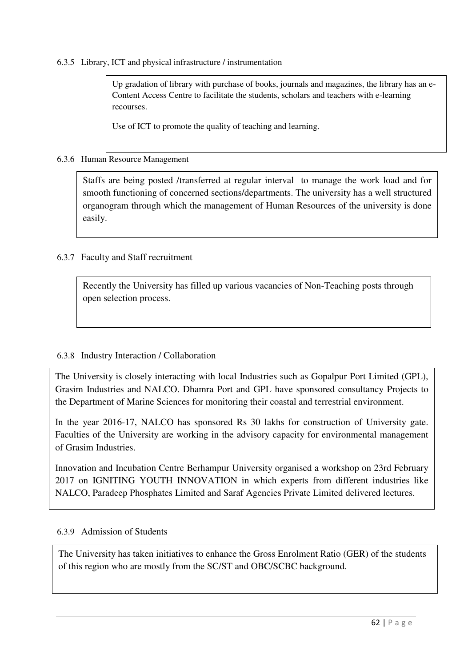6.3.5 Library, ICT and physical infrastructure / instrumentation

Up gradation of library with purchase of books, journals and magazines, the library has an e-Content Access Centre to facilitate the students, scholars and teachers with e-learning recourses.

Use of ICT to promote the quality of teaching and learning.

### 6.3.6 Human Resource Management

Staffs are being posted /transferred at regular interval to manage the work load and for smooth functioning of concerned sections/departments. The university has a well structured organogram through which the management of Human Resources of the university is done easily.

### 6.3.7 Faculty and Staff recruitment

Recently the University has filled up various vacancies of Non-Teaching posts through open selection process.

### 6.3.8 Industry Interaction / Collaboration

The University is closely interacting with local Industries such as Gopalpur Port Limited (GPL), Grasim Industries and NALCO. Dhamra Port and GPL have sponsored consultancy Projects to the Department of Marine Sciences for monitoring their coastal and terrestrial environment.

In the year 2016-17, NALCO has sponsored Rs 30 lakhs for construction of University gate. Faculties of the University are working in the advisory capacity for environmental management of Grasim Industries.

Innovation and Incubation Centre Berhampur University organised a workshop on 23rd February 2017 on IGNITING YOUTH INNOVATION in which experts from different industries like NALCO, Paradeep Phosphates Limited and Saraf Agencies Private Limited delivered lectures.

### 6.3.9 Admission of Students

The University has taken initiatives to enhance the Gross Enrolment Ratio (GER) of the students of this region who are mostly from the SC/ST and OBC/SCBC background.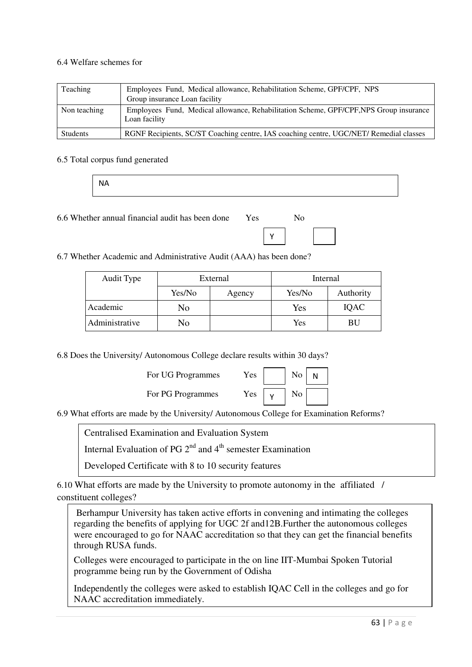#### 6.4 Welfare schemes for

| Teaching     | Employees Fund, Medical allowance, Rehabilitation Scheme, GPF/CPF, NPS<br>Group insurance Loan facility |
|--------------|---------------------------------------------------------------------------------------------------------|
| Non teaching | Employees Fund, Medical allowance, Rehabilitation Scheme, GPF/CPF, NPS Group insurance<br>Loan facility |
| Students     | RGNF Recipients, SC/ST Coaching centre, IAS coaching centre, UGC/NET/ Remedial classes                  |

#### 6.5 Total corpus fund generated

6.6 Whether annual financial audit has been done Yes

| No |  |
|----|--|
|    |  |

6.7 Whether Academic and Administrative Audit (AAA) has been done?

| Audit Type     | External |        | Internal |           |  |
|----------------|----------|--------|----------|-----------|--|
|                | Yes/No   | Agency | Yes/No   | Authority |  |
| Academic       | No       |        | Yes      | IQAC      |  |
| Administrative | No       |        | Yes      | BU        |  |

6.8 Does the University/ Autonomous College declare results within 30 days?

For UG Programmes Yes

| No | N |
|----|---|
| No |   |

6.9 What efforts are made by the University/ Autonomous College for Examination Reforms?

Centralised Examination and Evaluation System

Internal Evaluation of PG  $2<sup>nd</sup>$  and  $4<sup>th</sup>$  semester Examination

For PG Programmes Yes

Developed Certificate with 8 to 10 security features

6.10 What efforts are made by the University to promote autonomy in the affiliated / constituent colleges?

 Berhampur University has taken active efforts in convening and intimating the colleges regarding the benefits of applying for UGC 2f and12B.Further the autonomous colleges were encouraged to go for NAAC accreditation so that they can get the financial benefits through RUSA funds.

Colleges were encouraged to participate in the on line IIT-Mumbai Spoken Tutorial programme being run by the Government of Odisha

Independently the colleges were asked to establish IQAC Cell in the colleges and go for NAAC accreditation immediately.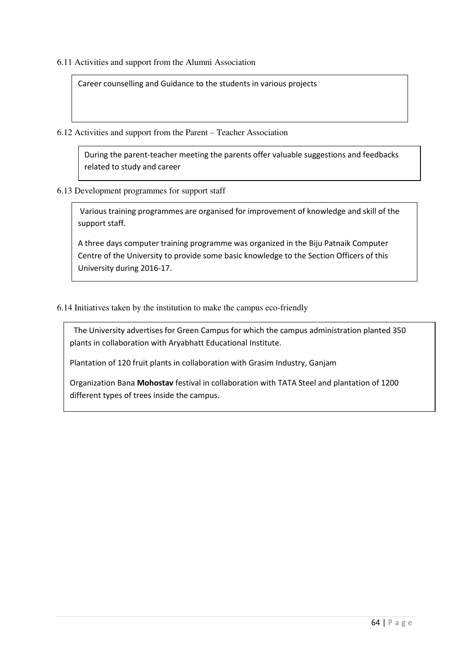6.11 Activities and support from the Alumni Association

Career counselling and Guidance to the students in various projects

6.12 Activities and support from the Parent – Teacher Association

During the parent-teacher meeting the parents offer valuable suggestions and feedbacks related to study and career

6.13 Development programmes for support staff

 Various training programmes are organised for improvement of knowledge and skill of the support staff.

A three days computer training programme was organized in the Biju Patnaik Computer Centre of the University to provide some basic knowledge to the Section Officers of this University during 2016-17.

6.14 Initiatives taken by the institution to make the campus eco-friendly

 The University advertises for Green Campus for which the campus administration planted 350 plants in collaboration with Aryabhatt Educational Institute.

Plantation of 120 fruit plants in collaboration with Grasim Industry, Ganjam

Organization Bana **Mohostav** festival in collaboration with TATA Steel and plantation of 1200 different types of trees inside the campus.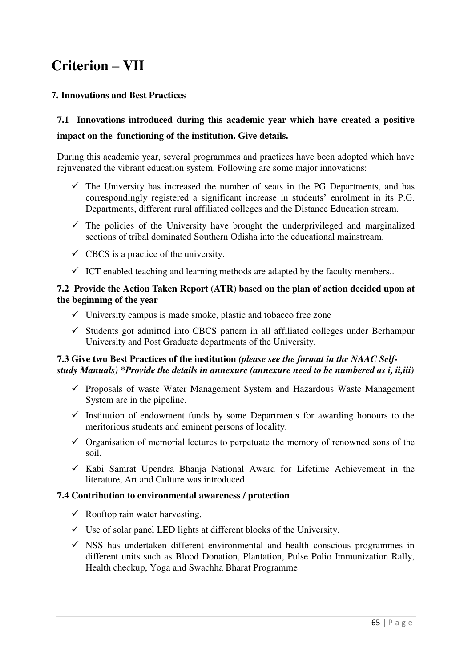## **Criterion – VII**

### **7. Innovations and Best Practices**

### **7.1 Innovations introduced during this academic year which have created a positive impact on the functioning of the institution. Give details.**

During this academic year, several programmes and practices have been adopted which have rejuvenated the vibrant education system. Following are some major innovations:

- $\checkmark$  The University has increased the number of seats in the PG Departments, and has correspondingly registered a significant increase in students" enrolment in its P.G. Departments, different rural affiliated colleges and the Distance Education stream.
- $\checkmark$  The policies of the University have brought the underprivileged and marginalized sections of tribal dominated Southern Odisha into the educational mainstream.
- $\checkmark$  CBCS is a practice of the university.
- $\checkmark$  ICT enabled teaching and learning methods are adapted by the faculty members..

### **7.2 Provide the Action Taken Report (ATR) based on the plan of action decided upon at the beginning of the year**

- $\checkmark$  University campus is made smoke, plastic and tobacco free zone
- $\checkmark$  Students got admitted into CBCS pattern in all affiliated colleges under Berhampur University and Post Graduate departments of the University.

### **7.3 Give two Best Practices of the institution** *(please see the format in the NAAC Selfstudy Manuals) \*Provide the details in annexure (annexure need to be numbered as i, ii,iii)*

- $\checkmark$  Proposals of waste Water Management System and Hazardous Waste Management System are in the pipeline.
- $\checkmark$  Institution of endowment funds by some Departments for awarding honours to the meritorious students and eminent persons of locality.
- $\checkmark$  Organisation of memorial lectures to perpetuate the memory of renowned sons of the soil.
- $\checkmark$  Kabi Samrat Upendra Bhanja National Award for Lifetime Achievement in the literature, Art and Culture was introduced.

### **7.4 Contribution to environmental awareness / protection**

- $\checkmark$  Rooftop rain water harvesting.
- $\checkmark$  Use of solar panel LED lights at different blocks of the University.
- $\checkmark$  NSS has undertaken different environmental and health conscious programmes in different units such as Blood Donation, Plantation, Pulse Polio Immunization Rally, Health checkup, Yoga and Swachha Bharat Programme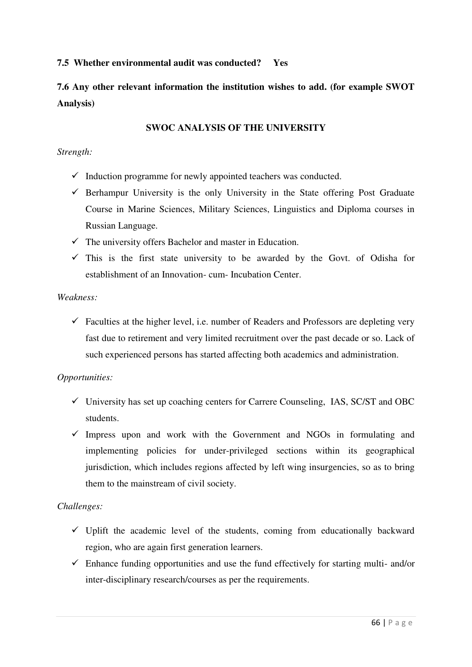### **7.5 Whether environmental audit was conducted? Yes**

**7.6 Any other relevant information the institution wishes to add. (for example SWOT Analysis)** 

### **SWOC ANALYSIS OF THE UNIVERSITY**

### *Strength:*

- $\checkmark$  Induction programme for newly appointed teachers was conducted.
- $\checkmark$  Berhampur University is the only University in the State offering Post Graduate Course in Marine Sciences, Military Sciences, Linguistics and Diploma courses in Russian Language.
- $\checkmark$  The university offers Bachelor and master in Education.
- $\checkmark$  This is the first state university to be awarded by the Govt. of Odisha for establishment of an Innovation- cum- Incubation Center.

#### *Weakness:*

 $\checkmark$  Faculties at the higher level, i.e. number of Readers and Professors are depleting very fast due to retirement and very limited recruitment over the past decade or so. Lack of such experienced persons has started affecting both academics and administration.

### *Opportunities:*

- $\checkmark$  University has set up coaching centers for Carrere Counseling, IAS, SC/ST and OBC students.
- $\checkmark$  Impress upon and work with the Government and NGOs in formulating and implementing policies for under-privileged sections within its geographical jurisdiction, which includes regions affected by left wing insurgencies, so as to bring them to the mainstream of civil society.

### *Challenges:*

- $\checkmark$  Uplift the academic level of the students, coming from educationally backward region, who are again first generation learners.
- $\checkmark$  Enhance funding opportunities and use the fund effectively for starting multi- and/or inter-disciplinary research/courses as per the requirements.